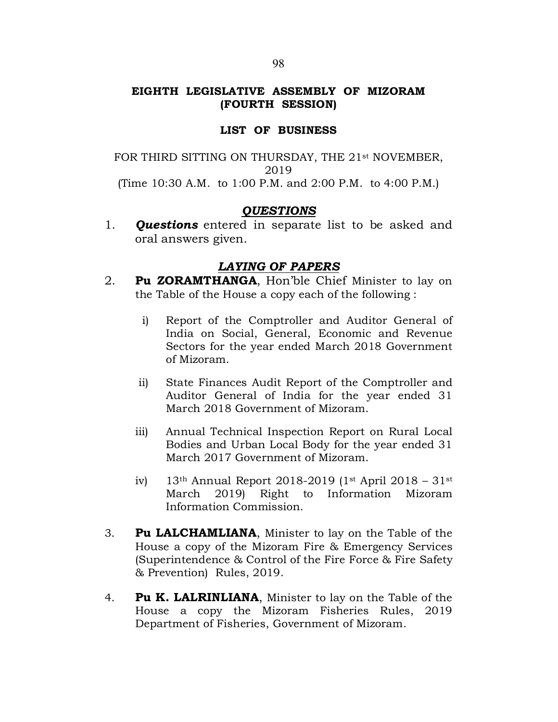# EIGHTH LEGISLATIVE ASSEMBLY OF MIZORAM (FOURTH SESSION)

## LIST OF BUSINESS

FOR THIRD SITTING ON THURSDAY, THE 21<sup>st</sup> NOVEMBER, 2019 (Time 10:30 A.M. to 1:00 P.M. and 2:00 P.M. to 4:00 P.M.)

## **OUESTIONS**

1. **Questions** entered in separate list to be asked and oral answers given.

# LAYING OF PAPERS

- 2. Pu ZORAMTHANGA, Hon'ble Chief Minister to lay on the Table of the House a copy each of the following :
	- i) Report of the Comptroller and Auditor General of India on Social, General, Economic and Revenue Sectors for the year ended March 2018 Government of Mizoram.
	- ii) State Finances Audit Report of the Comptroller and Auditor General of India for the year ended 31 March 2018 Government of Mizoram.
	- iii) Annual Technical Inspection Report on Rural Local Bodies and Urban Local Body for the year ended 31 March 2017 Government of Mizoram.
	- iv) 13th Annual Report 2018-2019 (1st April 2018 31st March 2019) Right to Information Mizoram Information Commission.
- 3. Pu LALCHAMLIANA, Minister to lay on the Table of the House a copy of the Mizoram Fire & Emergency Services (Superintendence & Control of the Fire Force & Fire Safety & Prevention) Rules, 2019.
- 4. **Pu K. LALRINLIANA,** Minister to lay on the Table of the House a copy the Mizoram Fisheries Rules, 2019 Department of Fisheries, Government of Mizoram.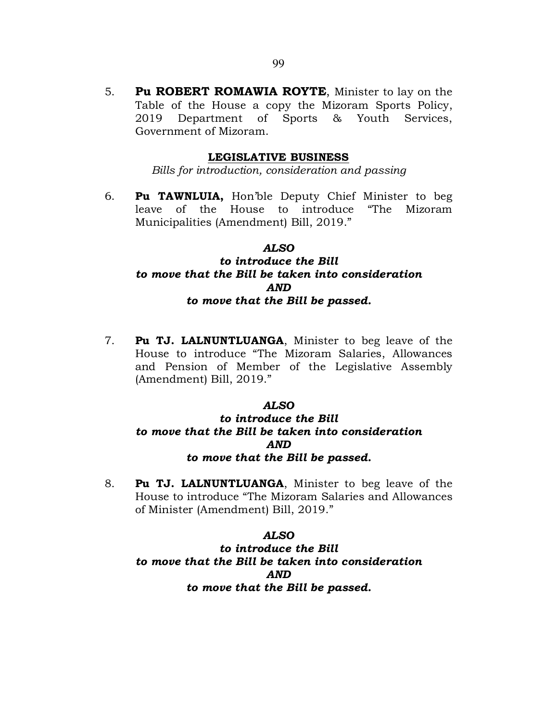5. Pu ROBERT ROMAWIA ROYTE, Minister to lay on the Table of the House a copy the Mizoram Sports Policy, 2019 Department of Sports & Youth Services, Government of Mizoram.

### LEGISLATIVE BUSINESS

Bills for introduction, consideration and passing

6. Pu TAWNLUIA, Hon'ble Deputy Chief Minister to beg leave of the House to introduce "The Mizoram Municipalities (Amendment) Bill, 2019."

#### ALSO

# to introduce the Bill to move that the Bill be taken into consideration AND to move that the Bill be passed.

7. Pu TJ. LALNUNTLUANGA, Minister to beg leave of the House to introduce "The Mizoram Salaries, Allowances and Pension of Member of the Legislative Assembly (Amendment) Bill, 2019."

#### ALSO

# to introduce the Bill to move that the Bill be taken into consideration AND to move that the Bill be passed.

8. Pu TJ. LALNUNTLUANGA, Minister to beg leave of the House to introduce "The Mizoram Salaries and Allowances of Minister (Amendment) Bill, 2019."

#### ALSO

to introduce the Bill to move that the Bill be taken into consideration AND to move that the Bill be passed.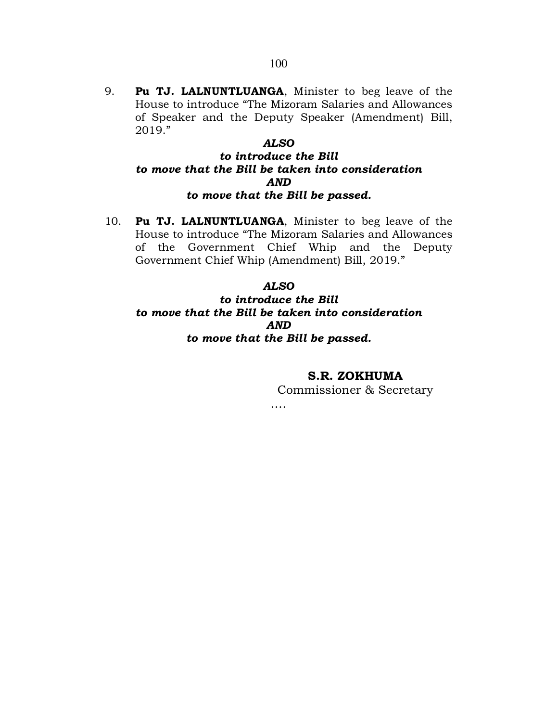9. Pu TJ. LALNUNTLUANGA, Minister to beg leave of the House to introduce "The Mizoram Salaries and Allowances of Speaker and the Deputy Speaker (Amendment) Bill, 2019."

# ALSO

# to introduce the Bill to move that the Bill be taken into consideration AND to move that the Bill be passed.

10. Pu TJ. LALNUNTLUANGA, Minister to beg leave of the House to introduce "The Mizoram Salaries and Allowances of the Government Chief Whip and the Deputy Government Chief Whip (Amendment) Bill, 2019."

#### ALSO

# to introduce the Bill to move that the Bill be taken into consideration AND to move that the Bill be passed.

S.R. ZOKHUMA Commissioner & Secretary

….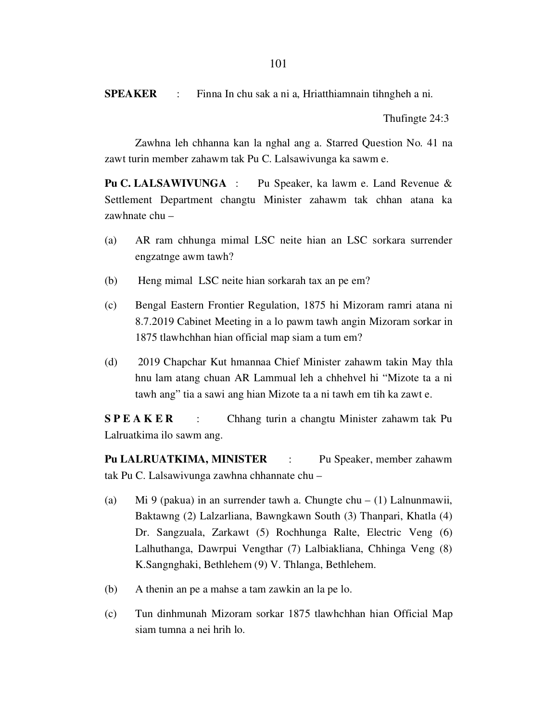SPEAKER : Finna In chu sak a ni a, Hriatthiamnain tihngheh a ni.

Thufingte 24:3

 Zawhna leh chhanna kan la nghal ang a. Starred Question No. 41 na zawt turin member zahawm tak Pu C. Lalsawivunga ka sawm e.

Pu C. LALSAWIVUNGA : Pu Speaker, ka lawm e. Land Revenue & Settlement Department changtu Minister zahawm tak chhan atana ka zawhnate chu –

- (a) AR ram chhunga mimal LSC neite hian an LSC sorkara surrender engzatnge awm tawh?
- (b) Heng mimal LSC neite hian sorkarah tax an pe em?
- (c) Bengal Eastern Frontier Regulation, 1875 hi Mizoram ramri atana ni 8.7.2019 Cabinet Meeting in a lo pawm tawh angin Mizoram sorkar in 1875 tlawhchhan hian official map siam a tum em?
- (d) 2019 Chapchar Kut hmannaa Chief Minister zahawm takin May thla hnu lam atang chuan AR Lammual leh a chhehvel hi "Mizote ta a ni tawh ang" tia a sawi ang hian Mizote ta a ni tawh em tih ka zawt e.

S P E A K E R : Chhang turin a changtu Minister zahawm tak Pu Lalruatkima ilo sawm ang.

Pu LALRUATKIMA, MINISTER : Pu Speaker, member zahawm tak Pu C. Lalsawivunga zawhna chhannate chu –

- (a) Mi 9 (pakua) in an surrender tawh a. Chungte chu (1) Lalnunmawii, Baktawng (2) Lalzarliana, Bawngkawn South (3) Thanpari, Khatla (4) Dr. Sangzuala, Zarkawt (5) Rochhunga Ralte, Electric Veng (6) Lalhuthanga, Dawrpui Vengthar (7) Lalbiakliana, Chhinga Veng (8) K.Sangnghaki, Bethlehem (9) V. Thlanga, Bethlehem.
- (b) A thenin an pe a mahse a tam zawkin an la pe lo.
- (c) Tun dinhmunah Mizoram sorkar 1875 tlawhchhan hian Official Map siam tumna a nei hrih lo.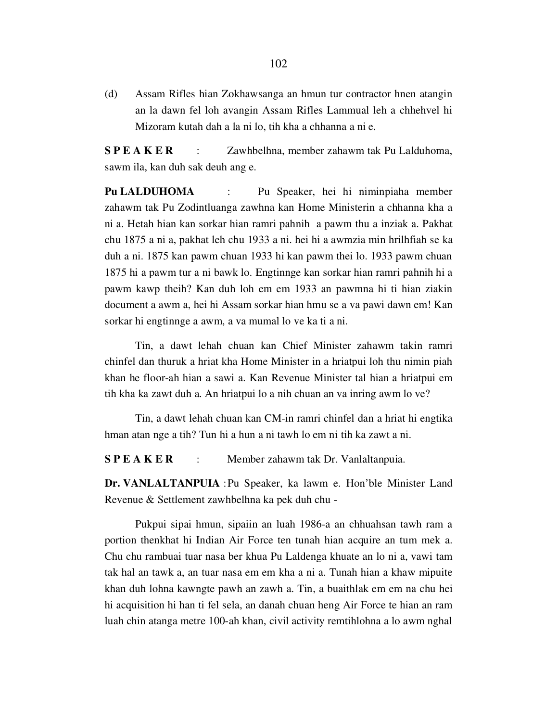(d) Assam Rifles hian Zokhawsanga an hmun tur contractor hnen atangin an la dawn fel loh avangin Assam Rifles Lammual leh a chhehvel hi Mizoram kutah dah a la ni lo, tih kha a chhanna a ni e.

S P E A K E R : Zawhbelhna, member zahawm tak Pu Lalduhoma, sawm ila, kan duh sak deuh ang e.

Pu LALDUHOMA : Pu Speaker, hei hi niminpiaha member zahawm tak Pu Zodintluanga zawhna kan Home Ministerin a chhanna kha a ni a. Hetah hian kan sorkar hian ramri pahnih a pawm thu a inziak a. Pakhat chu 1875 a ni a, pakhat leh chu 1933 a ni. hei hi a awmzia min hrilhfiah se ka duh a ni. 1875 kan pawm chuan 1933 hi kan pawm thei lo. 1933 pawm chuan 1875 hi a pawm tur a ni bawk lo. Engtinnge kan sorkar hian ramri pahnih hi a pawm kawp theih? Kan duh loh em em 1933 an pawmna hi ti hian ziakin document a awm a, hei hi Assam sorkar hian hmu se a va pawi dawn em! Kan sorkar hi engtinnge a awm, a va mumal lo ve ka ti a ni.

 Tin, a dawt lehah chuan kan Chief Minister zahawm takin ramri chinfel dan thuruk a hriat kha Home Minister in a hriatpui loh thu nimin piah khan he floor-ah hian a sawi a. Kan Revenue Minister tal hian a hriatpui em tih kha ka zawt duh a. An hriatpui lo a nih chuan an va inring awm lo ve?

 Tin, a dawt lehah chuan kan CM-in ramri chinfel dan a hriat hi engtika hman atan nge a tih? Tun hi a hun a ni tawh lo em ni tih ka zawt a ni.

S P E A K E R : Member zahawm tak Dr. Vanlaltanpuia.

Dr. VANLALTANPUIA : Pu Speaker, ka lawm e. Hon'ble Minister Land Revenue & Settlement zawhbelhna ka pek duh chu -

 Pukpui sipai hmun, sipaiin an luah 1986-a an chhuahsan tawh ram a portion thenkhat hi Indian Air Force ten tunah hian acquire an tum mek a. Chu chu rambuai tuar nasa ber khua Pu Laldenga khuate an lo ni a, vawi tam tak hal an tawk a, an tuar nasa em em kha a ni a. Tunah hian a khaw mipuite khan duh lohna kawngte pawh an zawh a. Tin, a buaithlak em em na chu hei hi acquisition hi han ti fel sela, an danah chuan heng Air Force te hian an ram luah chin atanga metre 100-ah khan, civil activity remtihlohna a lo awm nghal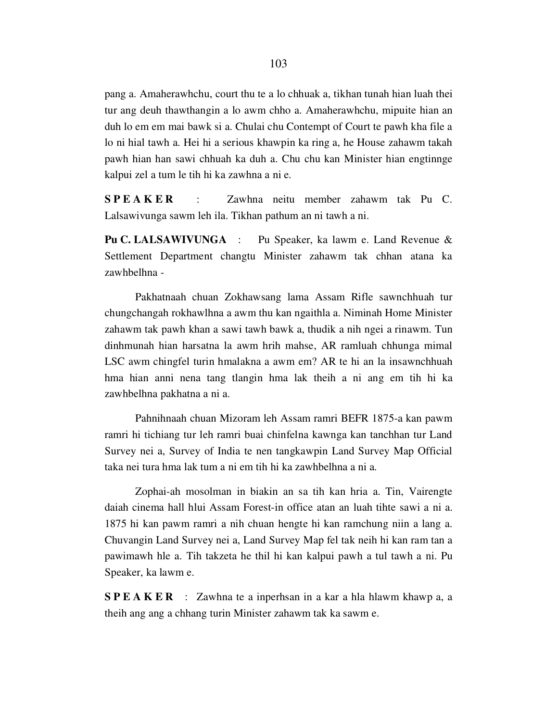pang a. Amaherawhchu, court thu te a lo chhuak a, tikhan tunah hian luah thei tur ang deuh thawthangin a lo awm chho a. Amaherawhchu, mipuite hian an duh lo em em mai bawk si a. Chulai chu Contempt of Court te pawh kha file a lo ni hial tawh a. Hei hi a serious khawpin ka ring a, he House zahawm takah pawh hian han sawi chhuah ka duh a. Chu chu kan Minister hian engtinnge kalpui zel a tum le tih hi ka zawhna a ni e.

S P E A K E R : Zawhna neitu member zahawm tak Pu C. Lalsawivunga sawm leh ila. Tikhan pathum an ni tawh a ni.

Pu C. LALSAWIVUNGA : Pu Speaker, ka lawm e. Land Revenue & Settlement Department changtu Minister zahawm tak chhan atana ka zawhbelhna -

 Pakhatnaah chuan Zokhawsang lama Assam Rifle sawnchhuah tur chungchangah rokhawlhna a awm thu kan ngaithla a. Niminah Home Minister zahawm tak pawh khan a sawi tawh bawk a, thudik a nih ngei a rinawm. Tun dinhmunah hian harsatna la awm hrih mahse, AR ramluah chhunga mimal LSC awm chingfel turin hmalakna a awm em? AR te hi an la insawnchhuah hma hian anni nena tang tlangin hma lak theih a ni ang em tih hi ka zawhbelhna pakhatna a ni a.

 Pahnihnaah chuan Mizoram leh Assam ramri BEFR 1875-a kan pawm ramri hi tichiang tur leh ramri buai chinfelna kawnga kan tanchhan tur Land Survey nei a, Survey of India te nen tangkawpin Land Survey Map Official taka nei tura hma lak tum a ni em tih hi ka zawhbelhna a ni a.

 Zophai-ah mosolman in biakin an sa tih kan hria a. Tin, Vairengte daiah cinema hall hlui Assam Forest-in office atan an luah tihte sawi a ni a. 1875 hi kan pawm ramri a nih chuan hengte hi kan ramchung niin a lang a. Chuvangin Land Survey nei a, Land Survey Map fel tak neih hi kan ram tan a pawimawh hle a. Tih takzeta he thil hi kan kalpui pawh a tul tawh a ni. Pu Speaker, ka lawm e.

S P E A K E R : Zawhna te a inperhsan in a kar a hla hlawm khawp a, a theih ang ang a chhang turin Minister zahawm tak ka sawm e.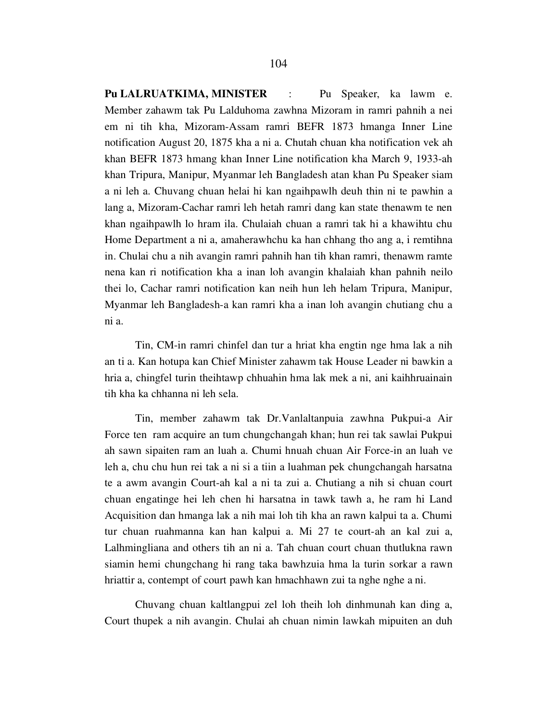Pu LALRUATKIMA, MINISTER : Pu Speaker, ka lawm e. Member zahawm tak Pu Lalduhoma zawhna Mizoram in ramri pahnih a nei em ni tih kha, Mizoram-Assam ramri BEFR 1873 hmanga Inner Line notification August 20, 1875 kha a ni a. Chutah chuan kha notification vek ah khan BEFR 1873 hmang khan Inner Line notification kha March 9, 1933-ah khan Tripura, Manipur, Myanmar leh Bangladesh atan khan Pu Speaker siam a ni leh a. Chuvang chuan helai hi kan ngaihpawlh deuh thin ni te pawhin a lang a, Mizoram-Cachar ramri leh hetah ramri dang kan state thenawm te nen khan ngaihpawlh lo hram ila. Chulaiah chuan a ramri tak hi a khawihtu chu Home Department a ni a, amaherawhchu ka han chhang tho ang a, i remtihna in. Chulai chu a nih avangin ramri pahnih han tih khan ramri, thenawm ramte nena kan ri notification kha a inan loh avangin khalaiah khan pahnih neilo thei lo, Cachar ramri notification kan neih hun leh helam Tripura, Manipur, Myanmar leh Bangladesh-a kan ramri kha a inan loh avangin chutiang chu a ni a.

 Tin, CM-in ramri chinfel dan tur a hriat kha engtin nge hma lak a nih an ti a. Kan hotupa kan Chief Minister zahawm tak House Leader ni bawkin a hria a, chingfel turin theihtawp chhuahin hma lak mek a ni, ani kaihhruainain tih kha ka chhanna ni leh sela.

 Tin, member zahawm tak Dr.Vanlaltanpuia zawhna Pukpui-a Air Force ten ram acquire an tum chungchangah khan; hun rei tak sawlai Pukpui ah sawn sipaiten ram an luah a. Chumi hnuah chuan Air Force-in an luah ve leh a, chu chu hun rei tak a ni si a tiin a luahman pek chungchangah harsatna te a awm avangin Court-ah kal a ni ta zui a. Chutiang a nih si chuan court chuan engatinge hei leh chen hi harsatna in tawk tawh a, he ram hi Land Acquisition dan hmanga lak a nih mai loh tih kha an rawn kalpui ta a. Chumi tur chuan ruahmanna kan han kalpui a. Mi 27 te court-ah an kal zui a, Lalhmingliana and others tih an ni a. Tah chuan court chuan thutlukna rawn siamin hemi chungchang hi rang taka bawhzuia hma la turin sorkar a rawn hriattir a, contempt of court pawh kan hmachhawn zui ta nghe nghe a ni.

 Chuvang chuan kaltlangpui zel loh theih loh dinhmunah kan ding a, Court thupek a nih avangin. Chulai ah chuan nimin lawkah mipuiten an duh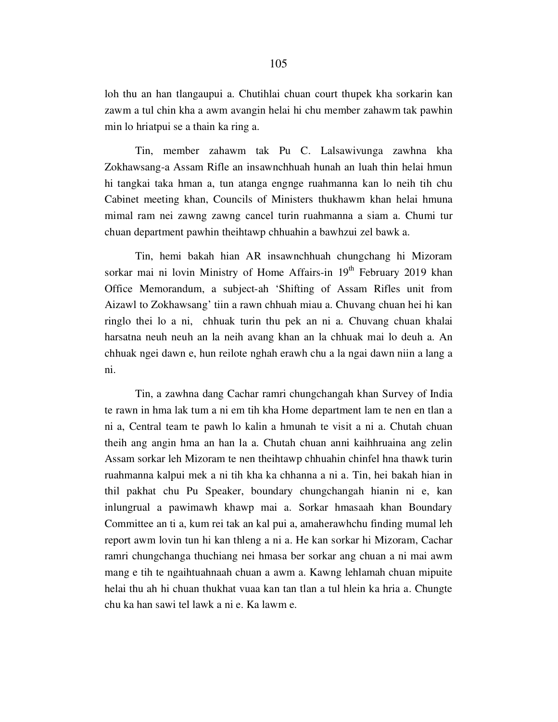loh thu an han tlangaupui a. Chutihlai chuan court thupek kha sorkarin kan zawm a tul chin kha a awm avangin helai hi chu member zahawm tak pawhin min lo hriatpui se a thain ka ring a.

 Tin, member zahawm tak Pu C. Lalsawivunga zawhna kha Zokhawsang-a Assam Rifle an insawnchhuah hunah an luah thin helai hmun hi tangkai taka hman a, tun atanga engnge ruahmanna kan lo neih tih chu Cabinet meeting khan, Councils of Ministers thukhawm khan helai hmuna mimal ram nei zawng zawng cancel turin ruahmanna a siam a. Chumi tur chuan department pawhin theihtawp chhuahin a bawhzui zel bawk a.

 Tin, hemi bakah hian AR insawnchhuah chungchang hi Mizoram sorkar mai ni lovin Ministry of Home Affairs-in 19<sup>th</sup> February 2019 khan Office Memorandum, a subject-ah 'Shifting of Assam Rifles unit from Aizawl to Zokhawsang' tiin a rawn chhuah miau a. Chuvang chuan hei hi kan ringlo thei lo a ni, chhuak turin thu pek an ni a. Chuvang chuan khalai harsatna neuh neuh an la neih avang khan an la chhuak mai lo deuh a. An chhuak ngei dawn e, hun reilote nghah erawh chu a la ngai dawn niin a lang a ni.

 Tin, a zawhna dang Cachar ramri chungchangah khan Survey of India te rawn in hma lak tum a ni em tih kha Home department lam te nen en tlan a ni a, Central team te pawh lo kalin a hmunah te visit a ni a. Chutah chuan theih ang angin hma an han la a. Chutah chuan anni kaihhruaina ang zelin Assam sorkar leh Mizoram te nen theihtawp chhuahin chinfel hna thawk turin ruahmanna kalpui mek a ni tih kha ka chhanna a ni a. Tin, hei bakah hian in thil pakhat chu Pu Speaker, boundary chungchangah hianin ni e, kan inlungrual a pawimawh khawp mai a. Sorkar hmasaah khan Boundary Committee an ti a, kum rei tak an kal pui a, amaherawhchu finding mumal leh report awm lovin tun hi kan thleng a ni a. He kan sorkar hi Mizoram, Cachar ramri chungchanga thuchiang nei hmasa ber sorkar ang chuan a ni mai awm mang e tih te ngaihtuahnaah chuan a awm a. Kawng lehlamah chuan mipuite helai thu ah hi chuan thukhat vuaa kan tan tlan a tul hlein ka hria a. Chungte chu ka han sawi tel lawk a ni e. Ka lawm e.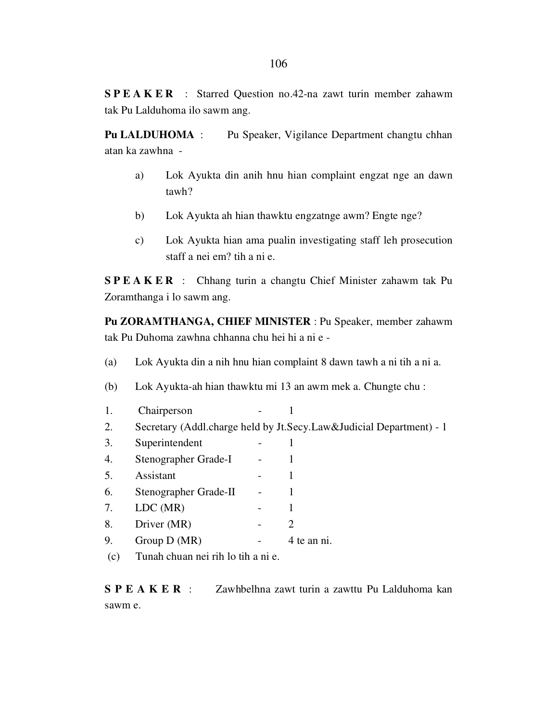S P E A K E R : Starred Question no.42-na zawt turin member zahawm tak Pu Lalduhoma ilo sawm ang.

Pu LALDUHOMA : Pu Speaker, Vigilance Department changtu chhan atan ka zawhna -

- a) Lok Ayukta din anih hnu hian complaint engzat nge an dawn tawh?
- b) Lok Ayukta ah hian thawktu engzatnge awm? Engte nge?
- c) Lok Ayukta hian ama pualin investigating staff leh prosecution staff a nei em? tih a ni e.

S P E A K E R : Chhang turin a changtu Chief Minister zahawm tak Pu Zoramthanga i lo sawm ang.

Pu ZORAMTHANGA, CHIEF MINISTER : Pu Speaker, member zahawm tak Pu Duhoma zawhna chhanna chu hei hi a ni e -

- (a) Lok Ayukta din a nih hnu hian complaint 8 dawn tawh a ni tih a ni a.
- (b) Lok Ayukta-ah hian thawktu mi 13 an awm mek a. Chungte chu :
- 1. Chairperson 1 2. Secretary (Addl.charge held by Jt.Secy.Law&Judicial Department) - 1 3. Superintendent - 1 4. Stenographer Grade-I - 1 5. Assistant - 1 6. Stenographer Grade-II - 1 7. LDC (MR) - 1 8. Driver (MR) - 2 9. Group D (MR) - 4 te an ni. (c) Tunah chuan nei rih lo tih a ni e.

S P E A K E R : Zawhbelhna zawt turin a zawttu Pu Lalduhoma kan sawm e.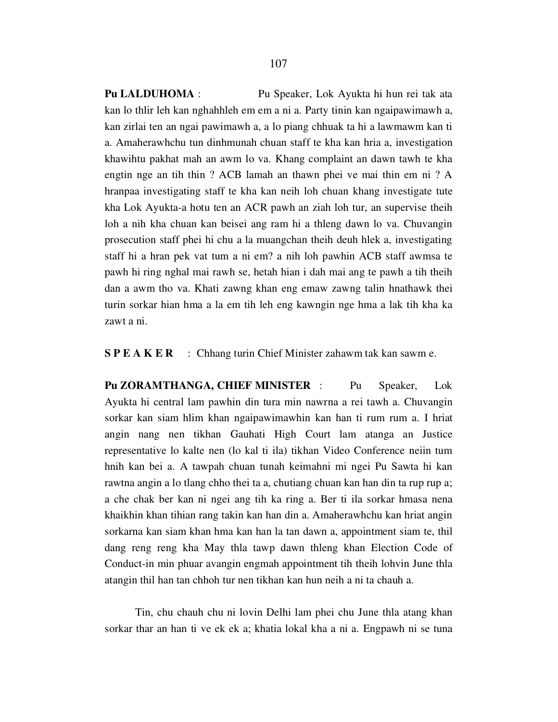Pu LALDUHOMA : Pu Speaker, Lok Ayukta hi hun rei tak ata kan lo thlir leh kan nghahhleh em em a ni a. Party tinin kan ngaipawimawh a, kan zirlai ten an ngai pawimawh a, a lo piang chhuak ta hi a lawmawm kan ti a. Amaherawhchu tun dinhmunah chuan staff te kha kan hria a, investigation khawihtu pakhat mah an awm lo va. Khang complaint an dawn tawh te kha engtin nge an tih thin ? ACB lamah an thawn phei ve mai thin em ni ? A hranpaa investigating staff te kha kan neih loh chuan khang investigate tute kha Lok Ayukta-a hotu ten an ACR pawh an ziah loh tur, an supervise theih loh a nih kha chuan kan beisei ang ram hi a thleng dawn lo va. Chuvangin prosecution staff phei hi chu a la muangchan theih deuh hlek a, investigating staff hi a hran pek vat tum a ni em? a nih loh pawhin ACB staff awmsa te pawh hi ring nghal mai rawh se, hetah hian i dah mai ang te pawh a tih theih dan a awm tho va. Khati zawng khan eng emaw zawng talin hnathawk thei turin sorkar hian hma a la em tih leh eng kawngin nge hma a lak tih kha ka zawt a ni.

S P E A K E R : Chhang turin Chief Minister zahawm tak kan sawm e.

Pu ZORAMTHANGA, CHIEF MINISTER : Pu Speaker, Lok Ayukta hi central lam pawhin din tura min nawrna a rei tawh a. Chuvangin sorkar kan siam hlim khan ngaipawimawhin kan han ti rum rum a. I hriat angin nang nen tikhan Gauhati High Court lam atanga an Justice representative lo kalte nen (lo kal ti ila) tikhan Video Conference neiin tum hnih kan bei a. A tawpah chuan tunah keimahni mi ngei Pu Sawta hi kan rawtna angin a lo tlang chho thei ta a, chutiang chuan kan han din ta rup rup a; a che chak ber kan ni ngei ang tih ka ring a. Ber ti ila sorkar hmasa nena khaikhin khan tihian rang takin kan han din a. Amaherawhchu kan hriat angin sorkarna kan siam khan hma kan han la tan dawn a, appointment siam te, thil dang reng reng kha May thla tawp dawn thleng khan Election Code of Conduct-in min phuar avangin engmah appointment tih theih lohvin June thla atangin thil han tan chhoh tur nen tikhan kan hun neih a ni ta chauh a.

 Tin, chu chauh chu ni lovin Delhi lam phei chu June thla atang khan sorkar thar an han ti ve ek ek a; khatia lokal kha a ni a. Engpawh ni se tuna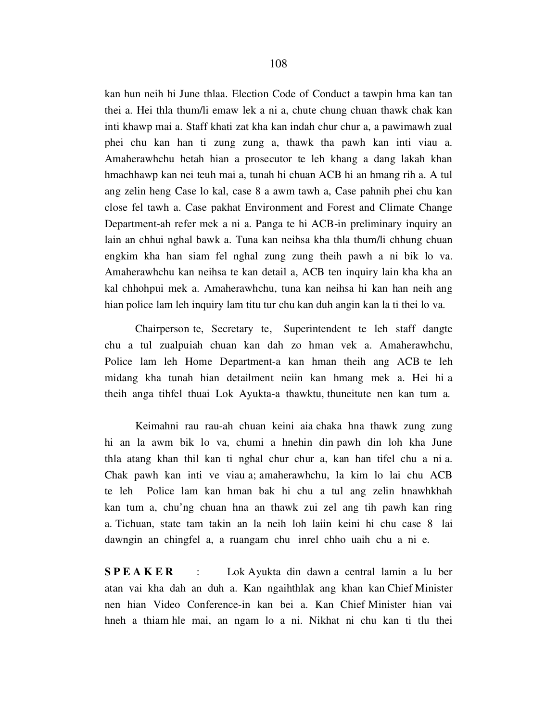kan hun neih hi June thlaa. Election Code of Conduct a tawpin hma kan tan thei a. Hei thla thum/li emaw lek a ni a, chute chung chuan thawk chak kan inti khawp mai a. Staff khati zat kha kan indah chur chur a, a pawimawh zual phei chu kan han ti zung zung a, thawk tha pawh kan inti viau a. Amaherawhchu hetah hian a prosecutor te leh khang a dang lakah khan hmachhawp kan nei teuh mai a, tunah hi chuan ACB hi an hmang rih a. A tul ang zelin heng Case lo kal, case 8 a awm tawh a, Case pahnih phei chu kan close fel tawh a. Case pakhat Environment and Forest and Climate Change Department-ah refer mek a ni a. Panga te hi ACB-in preliminary inquiry an lain an chhui nghal bawk a. Tuna kan neihsa kha thla thum/li chhung chuan engkim kha han siam fel nghal zung zung theih pawh a ni bik lo va. Amaherawhchu kan neihsa te kan detail a, ACB ten inquiry lain kha kha an kal chhohpui mek a. Amaherawhchu, tuna kan neihsa hi kan han neih ang hian police lam leh inquiry lam titu tur chu kan duh angin kan la ti thei lo va.

 Chairperson te, Secretary te, Superintendent te leh staff dangte chu a tul zualpuiah chuan kan dah zo hman vek a. Amaherawhchu, Police lam leh Home Department-a kan hman theih ang ACB te leh midang kha tunah hian detailment neiin kan hmang mek a. Hei hi a theih anga tihfel thuai Lok Ayukta-a thawktu, thuneitute nen kan tum a.

 Keimahni rau rau-ah chuan keini aia chaka hna thawk zung zung hi an la awm bik lo va, chumi a hnehin din pawh din loh kha June thla atang khan thil kan ti nghal chur chur a, kan han tifel chu a ni a. Chak pawh kan inti ve viau a; amaherawhchu, la kim lo lai chu ACB te leh Police lam kan hman bak hi chu a tul ang zelin hnawhkhah kan tum a, chu'ng chuan hna an thawk zui zel ang tih pawh kan ring a. Tichuan, state tam takin an la neih loh laiin keini hi chu case 8 lai dawngin an chingfel a, a ruangam chu inrel chho uaih chu a ni e.

**SPEAKER** : Lok Ayukta din dawn a central lamin a lu ber atan vai kha dah an duh a. Kan ngaihthlak ang khan kan Chief Minister nen hian Video Conference-in kan bei a. Kan Chief Minister hian vai hneh a thiam hle mai, an ngam lo a ni. Nikhat ni chu kan ti tlu thei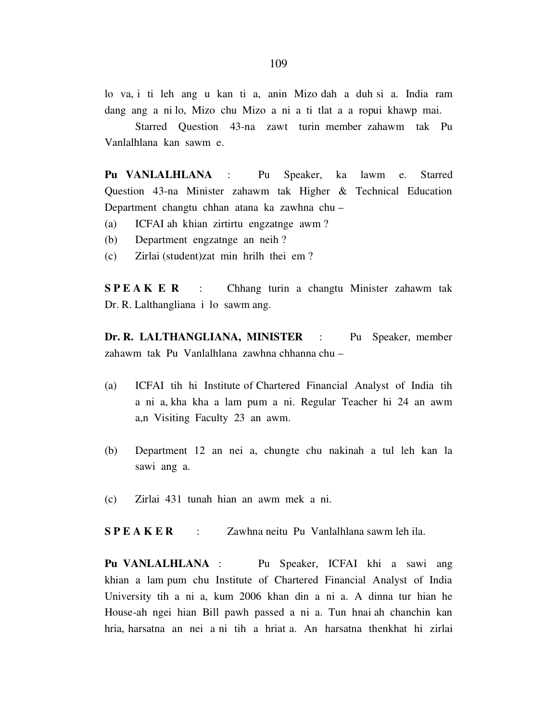lo va, i ti leh ang u kan ti a, anin Mizo dah a duh si a. India ram dang ang a ni lo, Mizo chu Mizo a ni a ti tlat a a ropui khawp mai.

 Starred Question 43-na zawt turin member zahawm tak Pu Vanlalhlana kan sawm e.

Pu VANLALHLANA : Pu Speaker, ka lawm e. Starred Question 43-na Minister zahawm tak Higher & Technical Education Department changtu chhan atana ka zawhna chu –

- (a) ICFAI ah khian zirtirtu engzatnge awm ?
- (b) Department engzatnge an neih ?
- (c) Zirlai (student)zat min hrilh thei em ?

SPEAKER : Chhang turin a changtu Minister zahawm tak Dr. R. Lalthangliana i lo sawm ang.

Dr. R. LALTHANGLIANA, MINISTER : Pu Speaker, member zahawm tak Pu Vanlalhlana zawhna chhanna chu –

- (a) ICFAI tih hi Institute of Chartered Financial Analyst of India tih a ni a, kha kha a lam pum a ni. Regular Teacher hi 24 an awm a,n Visiting Faculty 23 an awm.
- (b) Department 12 an nei a, chungte chu nakinah a tul leh kan la sawi ang a.
- (c) Zirlai 431 tunah hian an awm mek a ni.

S P E A K E R : Zawhna neitu Pu Vanlalhlana sawm leh ila.

Pu VANLALHLANA : Pu Speaker, ICFAI khi a sawi ang khian a lam pum chu Institute of Chartered Financial Analyst of India University tih a ni a, kum 2006 khan din a ni a. A dinna tur hian he House-ah ngei hian Bill pawh passed a ni a. Tun hnai ah chanchin kan hria, harsatna an nei a ni tih a hriat a. An harsatna thenkhat hi zirlai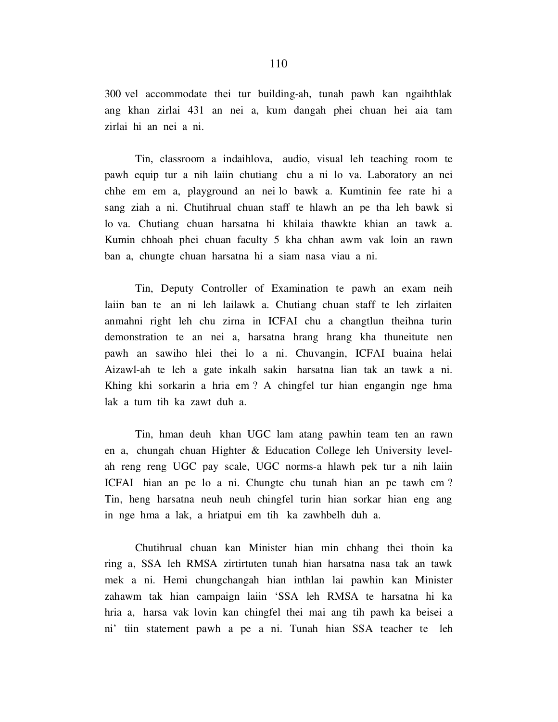300 vel accommodate thei tur building-ah, tunah pawh kan ngaihthlak ang khan zirlai 431 an nei a, kum dangah phei chuan hei aia tam zirlai hi an nei a ni.

 Tin, classroom a indaihlova, audio, visual leh teaching room te pawh equip tur a nih laiin chutiang chu a ni lo va. Laboratory an nei chhe em em a, playground an nei lo bawk a. Kumtinin fee rate hi a sang ziah a ni. Chutihrual chuan staff te hlawh an pe tha leh bawk si lo va. Chutiang chuan harsatna hi khilaia thawkte khian an tawk a. Kumin chhoah phei chuan faculty 5 kha chhan awm vak loin an rawn ban a, chungte chuan harsatna hi a siam nasa viau a ni.

 Tin, Deputy Controller of Examination te pawh an exam neih laiin ban te an ni leh lailawk a. Chutiang chuan staff te leh zirlaiten anmahni right leh chu zirna in ICFAI chu a changtlun theihna turin demonstration te an nei a, harsatna hrang hrang kha thuneitute nen pawh an sawiho hlei thei lo a ni. Chuvangin, ICFAI buaina helai Aizawl-ah te leh a gate inkalh sakin harsatna lian tak an tawk a ni. Khing khi sorkarin a hria em ? A chingfel tur hian engangin nge hma lak a tum tih ka zawt duh a.

 Tin, hman deuh khan UGC lam atang pawhin team ten an rawn en a, chungah chuan Highter & Education College leh University levelah reng reng UGC pay scale, UGC norms-a hlawh pek tur a nih laiin ICFAI hian an pe lo a ni. Chungte chu tunah hian an pe tawh em ? Tin, heng harsatna neuh neuh chingfel turin hian sorkar hian eng ang in nge hma a lak, a hriatpui em tih ka zawhbelh duh a.

 Chutihrual chuan kan Minister hian min chhang thei thoin ka ring a, SSA leh RMSA zirtirtuten tunah hian harsatna nasa tak an tawk mek a ni. Hemi chungchangah hian inthlan lai pawhin kan Minister zahawm tak hian campaign laiin 'SSA leh RMSA te harsatna hi ka hria a, harsa vak lovin kan chingfel thei mai ang tih pawh ka beisei a ni' tiin statement pawh a pe a ni. Tunah hian SSA teacher te leh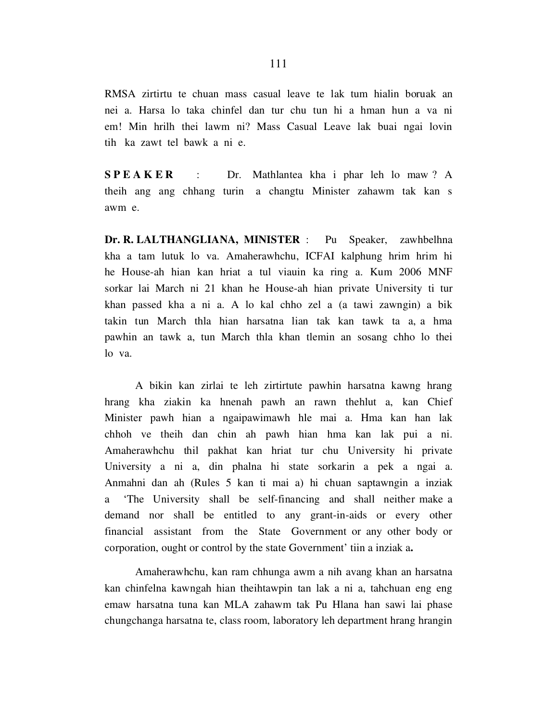RMSA zirtirtu te chuan mass casual leave te lak tum hialin boruak an nei a. Harsa lo taka chinfel dan tur chu tun hi a hman hun a va ni em! Min hrilh thei lawm ni? Mass Casual Leave lak buai ngai lovin tih ka zawt tel bawk a ni e.

SPEAKER : Dr. Mathlantea kha i phar leh lo maw? A theih ang ang chhang turin a changtu Minister zahawm tak kan s awm e.

Dr. R. LALTHANGLIANA, MINISTER : Pu Speaker, zawhbelhna kha a tam lutuk lo va. Amaherawhchu, ICFAI kalphung hrim hrim hi he House-ah hian kan hriat a tul viauin ka ring a. Kum 2006 MNF sorkar lai March ni 21 khan he House-ah hian private University ti tur khan passed kha a ni a. A lo kal chho zel a (a tawi zawngin) a bik takin tun March thla hian harsatna lian tak kan tawk ta a, a hma pawhin an tawk a, tun March thla khan tlemin an sosang chho lo thei lo va.

 A bikin kan zirlai te leh zirtirtute pawhin harsatna kawng hrang hrang kha ziakin ka hnenah pawh an rawn thehlut a, kan Chief Minister pawh hian a ngaipawimawh hle mai a. Hma kan han lak chhoh ve theih dan chin ah pawh hian hma kan lak pui a ni. Amaherawhchu thil pakhat kan hriat tur chu University hi private University a ni a, din phalna hi state sorkarin a pek a ngai a. Anmahni dan ah (Rules 5 kan ti mai a) hi chuan saptawngin a inziak a 'The University shall be self-financing and shall neither make a demand nor shall be entitled to any grant-in-aids or every other financial assistant from the State Government or any other body or corporation, ought or control by the state Government' tiin a inziak a.

 Amaherawhchu, kan ram chhunga awm a nih avang khan an harsatna kan chinfelna kawngah hian theihtawpin tan lak a ni a, tahchuan eng eng emaw harsatna tuna kan MLA zahawm tak Pu Hlana han sawi lai phase chungchanga harsatna te, class room, laboratory leh department hrang hrangin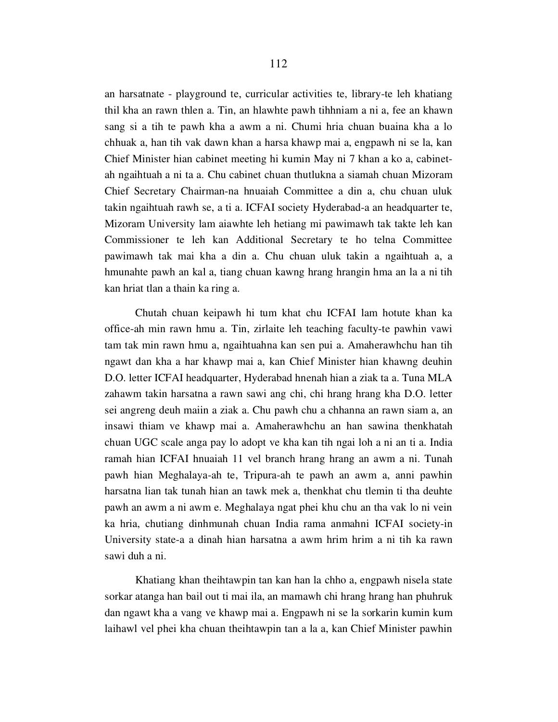an harsatnate - playground te, curricular activities te, library-te leh khatiang thil kha an rawn thlen a. Tin, an hlawhte pawh tihhniam a ni a, fee an khawn sang si a tih te pawh kha a awm a ni. Chumi hria chuan buaina kha a lo chhuak a, han tih vak dawn khan a harsa khawp mai a, engpawh ni se la, kan Chief Minister hian cabinet meeting hi kumin May ni 7 khan a ko a, cabinetah ngaihtuah a ni ta a. Chu cabinet chuan thutlukna a siamah chuan Mizoram Chief Secretary Chairman-na hnuaiah Committee a din a, chu chuan uluk takin ngaihtuah rawh se, a ti a. ICFAI society Hyderabad-a an headquarter te, Mizoram University lam aiawhte leh hetiang mi pawimawh tak takte leh kan Commissioner te leh kan Additional Secretary te ho telna Committee pawimawh tak mai kha a din a. Chu chuan uluk takin a ngaihtuah a, a hmunahte pawh an kal a, tiang chuan kawng hrang hrangin hma an la a ni tih kan hriat tlan a thain ka ring a.

 Chutah chuan keipawh hi tum khat chu ICFAI lam hotute khan ka office-ah min rawn hmu a. Tin, zirlaite leh teaching faculty-te pawhin vawi tam tak min rawn hmu a, ngaihtuahna kan sen pui a. Amaherawhchu han tih ngawt dan kha a har khawp mai a, kan Chief Minister hian khawng deuhin D.O. letter ICFAI headquarter, Hyderabad hnenah hian a ziak ta a. Tuna MLA zahawm takin harsatna a rawn sawi ang chi, chi hrang hrang kha D.O. letter sei angreng deuh maiin a ziak a. Chu pawh chu a chhanna an rawn siam a, an insawi thiam ve khawp mai a. Amaherawhchu an han sawina thenkhatah chuan UGC scale anga pay lo adopt ve kha kan tih ngai loh a ni an ti a. India ramah hian ICFAI hnuaiah 11 vel branch hrang hrang an awm a ni. Tunah pawh hian Meghalaya-ah te, Tripura-ah te pawh an awm a, anni pawhin harsatna lian tak tunah hian an tawk mek a, thenkhat chu tlemin ti tha deuhte pawh an awm a ni awm e. Meghalaya ngat phei khu chu an tha vak lo ni vein ka hria, chutiang dinhmunah chuan India rama anmahni ICFAI society-in University state-a a dinah hian harsatna a awm hrim hrim a ni tih ka rawn sawi duh a ni.

 Khatiang khan theihtawpin tan kan han la chho a, engpawh nisela state sorkar atanga han bail out ti mai ila, an mamawh chi hrang hrang han phuhruk dan ngawt kha a vang ve khawp mai a. Engpawh ni se la sorkarin kumin kum laihawl vel phei kha chuan theihtawpin tan a la a, kan Chief Minister pawhin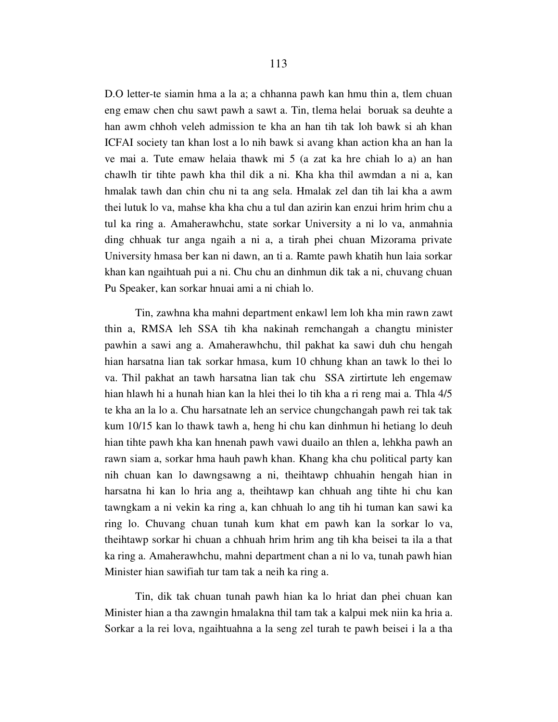D.O letter-te siamin hma a la a; a chhanna pawh kan hmu thin a, tlem chuan eng emaw chen chu sawt pawh a sawt a. Tin, tlema helai boruak sa deuhte a han awm chhoh veleh admission te kha an han tih tak loh bawk si ah khan ICFAI society tan khan lost a lo nih bawk si avang khan action kha an han la ve mai a. Tute emaw helaia thawk mi 5 (a zat ka hre chiah lo a) an han chawlh tir tihte pawh kha thil dik a ni. Kha kha thil awmdan a ni a, kan hmalak tawh dan chin chu ni ta ang sela. Hmalak zel dan tih lai kha a awm thei lutuk lo va, mahse kha kha chu a tul dan azirin kan enzui hrim hrim chu a tul ka ring a. Amaherawhchu, state sorkar University a ni lo va, anmahnia ding chhuak tur anga ngaih a ni a, a tirah phei chuan Mizorama private University hmasa ber kan ni dawn, an ti a. Ramte pawh khatih hun laia sorkar khan kan ngaihtuah pui a ni. Chu chu an dinhmun dik tak a ni, chuvang chuan Pu Speaker, kan sorkar hnuai ami a ni chiah lo.

 Tin, zawhna kha mahni department enkawl lem loh kha min rawn zawt thin a, RMSA leh SSA tih kha nakinah remchangah a changtu minister pawhin a sawi ang a. Amaherawhchu, thil pakhat ka sawi duh chu hengah hian harsatna lian tak sorkar hmasa, kum 10 chhung khan an tawk lo thei lo va. Thil pakhat an tawh harsatna lian tak chu SSA zirtirtute leh engemaw hian hlawh hi a hunah hian kan la hlei thei lo tih kha a ri reng mai a. Thla 4/5 te kha an la lo a. Chu harsatnate leh an service chungchangah pawh rei tak tak kum 10/15 kan lo thawk tawh a, heng hi chu kan dinhmun hi hetiang lo deuh hian tihte pawh kha kan hnenah pawh vawi duailo an thlen a, lehkha pawh an rawn siam a, sorkar hma hauh pawh khan. Khang kha chu political party kan nih chuan kan lo dawngsawng a ni, theihtawp chhuahin hengah hian in harsatna hi kan lo hria ang a, theihtawp kan chhuah ang tihte hi chu kan tawngkam a ni vekin ka ring a, kan chhuah lo ang tih hi tuman kan sawi ka ring lo. Chuvang chuan tunah kum khat em pawh kan la sorkar lo va, theihtawp sorkar hi chuan a chhuah hrim hrim ang tih kha beisei ta ila a that ka ring a. Amaherawhchu, mahni department chan a ni lo va, tunah pawh hian Minister hian sawifiah tur tam tak a neih ka ring a.

 Tin, dik tak chuan tunah pawh hian ka lo hriat dan phei chuan kan Minister hian a tha zawngin hmalakna thil tam tak a kalpui mek niin ka hria a. Sorkar a la rei lova, ngaihtuahna a la seng zel turah te pawh beisei i la a tha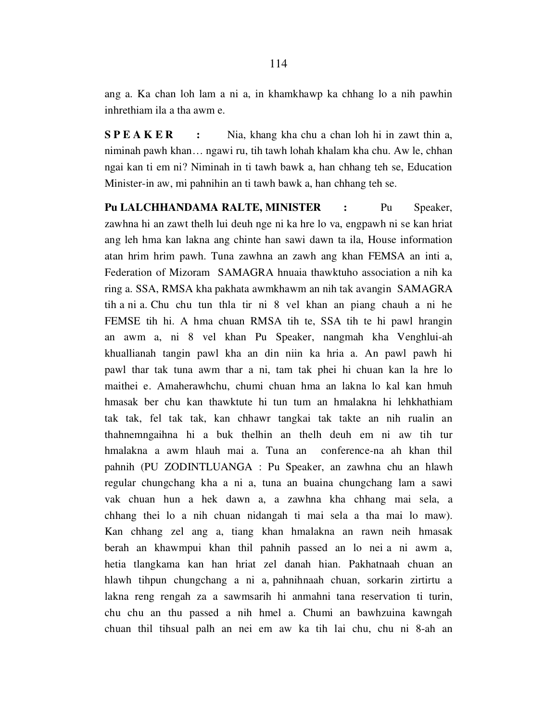ang a. Ka chan loh lam a ni a, in khamkhawp ka chhang lo a nih pawhin inhrethiam ila a tha awm e.

S P E A K E R : Nia, khang kha chu a chan loh hi in zawt thin a, niminah pawh khan… ngawi ru, tih tawh lohah khalam kha chu. Aw le, chhan ngai kan ti em ni? Niminah in ti tawh bawk a, han chhang teh se, Education Minister-in aw, mi pahnihin an ti tawh bawk a, han chhang teh se.

Pu LALCHHANDAMA RALTE, MINISTER : Pu Speaker, zawhna hi an zawt thelh lui deuh nge ni ka hre lo va, engpawh ni se kan hriat ang leh hma kan lakna ang chinte han sawi dawn ta ila, House information atan hrim hrim pawh. Tuna zawhna an zawh ang khan FEMSA an inti a, Federation of Mizoram SAMAGRA hnuaia thawktuho association a nih ka ring a. SSA, RMSA kha pakhata awmkhawm an nih tak avangin SAMAGRA tih a ni a. Chu chu tun thla tir ni 8 vel khan an piang chauh a ni he FEMSE tih hi. A hma chuan RMSA tih te, SSA tih te hi pawl hrangin an awm a, ni 8 vel khan Pu Speaker, nangmah kha Venghlui-ah khuallianah tangin pawl kha an din niin ka hria a. An pawl pawh hi pawl thar tak tuna awm thar a ni, tam tak phei hi chuan kan la hre lo maithei e. Amaherawhchu, chumi chuan hma an lakna lo kal kan hmuh hmasak ber chu kan thawktute hi tun tum an hmalakna hi lehkhathiam tak tak, fel tak tak, kan chhawr tangkai tak takte an nih rualin an thahnemngaihna hi a buk thelhin an thelh deuh em ni aw tih tur hmalakna a awm hlauh mai a. Tuna an conference-na ah khan thil pahnih (PU ZODINTLUANGA : Pu Speaker, an zawhna chu an hlawh regular chungchang kha a ni a, tuna an buaina chungchang lam a sawi vak chuan hun a hek dawn a, a zawhna kha chhang mai sela, a chhang thei lo a nih chuan nidangah ti mai sela a tha mai lo maw). Kan chhang zel ang a, tiang khan hmalakna an rawn neih hmasak berah an khawmpui khan thil pahnih passed an lo nei a ni awm a, hetia tlangkama kan han hriat zel danah hian. Pakhatnaah chuan an hlawh tihpun chungchang a ni a, pahnihnaah chuan, sorkarin zirtirtu a lakna reng rengah za a sawmsarih hi anmahni tana reservation ti turin, chu chu an thu passed a nih hmel a. Chumi an bawhzuina kawngah chuan thil tihsual palh an nei em aw ka tih lai chu, chu ni 8-ah an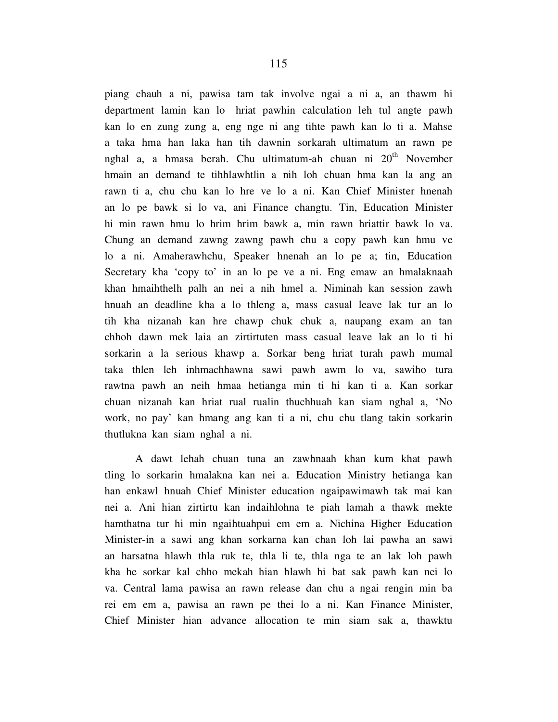piang chauh a ni, pawisa tam tak involve ngai a ni a, an thawm hi department lamin kan lo hriat pawhin calculation leh tul angte pawh kan lo en zung zung a, eng nge ni ang tihte pawh kan lo ti a. Mahse a taka hma han laka han tih dawnin sorkarah ultimatum an rawn pe nghal a, a hmasa berah. Chu ultimatum-ah chuan ni  $20<sup>th</sup>$  November hmain an demand te tihhlawhtlin a nih loh chuan hma kan la ang an rawn ti a, chu chu kan lo hre ve lo a ni. Kan Chief Minister hnenah an lo pe bawk si lo va, ani Finance changtu. Tin, Education Minister hi min rawn hmu lo hrim hrim bawk a, min rawn hriattir bawk lo va. Chung an demand zawng zawng pawh chu a copy pawh kan hmu ve lo a ni. Amaherawhchu, Speaker hnenah an lo pe a; tin, Education Secretary kha 'copy to' in an lo pe ve a ni. Eng emaw an hmalaknaah khan hmaihthelh palh an nei a nih hmel a. Niminah kan session zawh hnuah an deadline kha a lo thleng a, mass casual leave lak tur an lo tih kha nizanah kan hre chawp chuk chuk a, naupang exam an tan chhoh dawn mek laia an zirtirtuten mass casual leave lak an lo ti hi sorkarin a la serious khawp a. Sorkar beng hriat turah pawh mumal taka thlen leh inhmachhawna sawi pawh awm lo va, sawiho tura rawtna pawh an neih hmaa hetianga min ti hi kan ti a. Kan sorkar chuan nizanah kan hriat rual rualin thuchhuah kan siam nghal a, 'No work, no pay' kan hmang ang kan ti a ni, chu chu tlang takin sorkarin thutlukna kan siam nghal a ni.

 A dawt lehah chuan tuna an zawhnaah khan kum khat pawh tling lo sorkarin hmalakna kan nei a. Education Ministry hetianga kan han enkawl hnuah Chief Minister education ngaipawimawh tak mai kan nei a. Ani hian zirtirtu kan indaihlohna te piah lamah a thawk mekte hamthatna tur hi min ngaihtuahpui em em a. Nichina Higher Education Minister-in a sawi ang khan sorkarna kan chan loh lai pawha an sawi an harsatna hlawh thla ruk te, thla li te, thla nga te an lak loh pawh kha he sorkar kal chho mekah hian hlawh hi bat sak pawh kan nei lo va. Central lama pawisa an rawn release dan chu a ngai rengin min ba rei em em a, pawisa an rawn pe thei lo a ni. Kan Finance Minister, Chief Minister hian advance allocation te min siam sak a, thawktu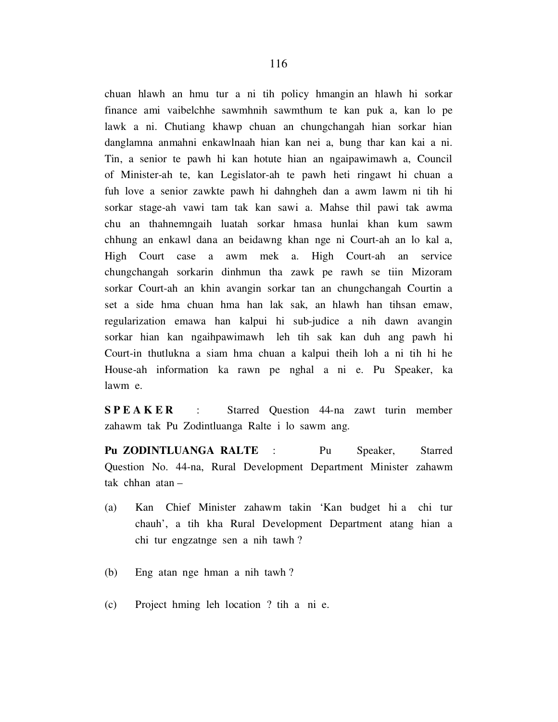chuan hlawh an hmu tur a ni tih policy hmangin an hlawh hi sorkar finance ami vaibelchhe sawmhnih sawmthum te kan puk a, kan lo pe lawk a ni. Chutiang khawp chuan an chungchangah hian sorkar hian danglamna anmahni enkawlnaah hian kan nei a, bung thar kan kai a ni. Tin, a senior te pawh hi kan hotute hian an ngaipawimawh a, Council of Minister-ah te, kan Legislator-ah te pawh heti ringawt hi chuan a fuh love a senior zawkte pawh hi dahngheh dan a awm lawm ni tih hi sorkar stage-ah vawi tam tak kan sawi a. Mahse thil pawi tak awma chu an thahnemngaih luatah sorkar hmasa hunlai khan kum sawm chhung an enkawl dana an beidawng khan nge ni Court-ah an lo kal a, High Court case a awm mek a. High Court-ah an service chungchangah sorkarin dinhmun tha zawk pe rawh se tiin Mizoram sorkar Court-ah an khin avangin sorkar tan an chungchangah Courtin a set a side hma chuan hma han lak sak, an hlawh han tihsan emaw, regularization emawa han kalpui hi sub-judice a nih dawn avangin sorkar hian kan ngaihpawimawh leh tih sak kan duh ang pawh hi Court-in thutlukna a siam hma chuan a kalpui theih loh a ni tih hi he House-ah information ka rawn pe nghal a ni e. Pu Speaker, ka lawm e.

SPEAKER : Starred Question 44-na zawt turin member zahawm tak Pu Zodintluanga Ralte i lo sawm ang.

Pu ZODINTLUANGA RALTE : Pu Speaker, Starred Question No. 44-na, Rural Development Department Minister zahawm tak chhan atan –

- (a) Kan Chief Minister zahawm takin 'Kan budget hi a chi tur chauh', a tih kha Rural Development Department atang hian a chi tur engzatnge sen a nih tawh ?
- (b) Eng atan nge hman a nih tawh ?
- (c) Project hming leh location ? tih a ni e.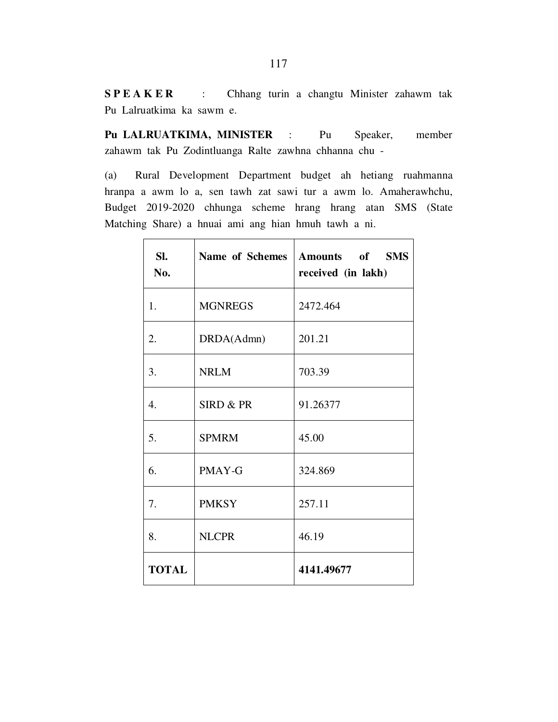S P E A K E R : Chhang turin a changtu Minister zahawm tak Pu Lalruatkima ka sawm e.

Pu LALRUATKIMA, MINISTER : Pu Speaker, member zahawm tak Pu Zodintluanga Ralte zawhna chhanna chu -

(a) Rural Development Department budget ah hetiang ruahmanna hranpa a awm lo a, sen tawh zat sawi tur a awm lo. Amaherawhchu, Budget 2019-2020 chhunga scheme hrang hrang atan SMS (State Matching Share) a hnuai ami ang hian hmuh tawh a ni.

| SI.<br>No.       | Name of Schemes | Amounts of SMS<br>received (in lakh) |
|------------------|-----------------|--------------------------------------|
| 1.               | <b>MGNREGS</b>  | 2472.464                             |
| 2.               | DRDA(Admn)      | 201.21                               |
| 3.               | <b>NRLM</b>     | 703.39                               |
| $\overline{4}$ . | SIRD & PR       | 91.26377                             |
| 5.               | <b>SPMRM</b>    | 45.00                                |
| 6.               | PMAY-G          | 324.869                              |
| 7.               | <b>PMKSY</b>    | 257.11                               |
| 8.               | <b>NLCPR</b>    | 46.19                                |
| <b>TOTAL</b>     |                 | 4141.49677                           |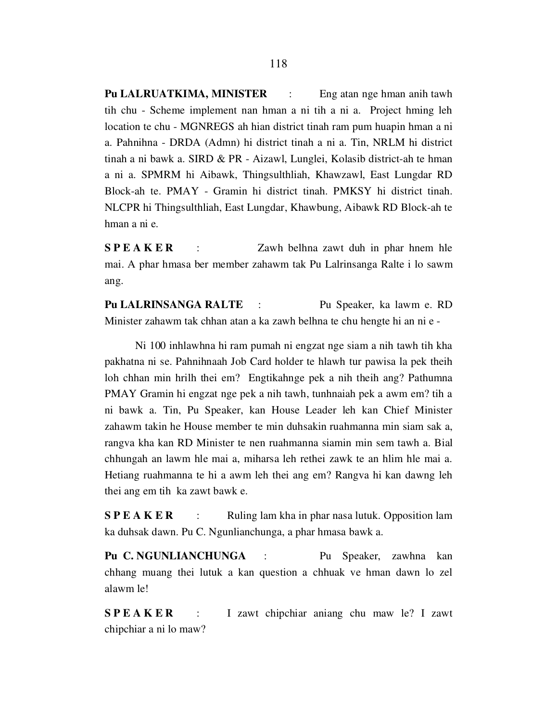Pu LALRUATKIMA, MINISTER : Eng atan nge hman anih tawh tih chu - Scheme implement nan hman a ni tih a ni a. Project hming leh location te chu - MGNREGS ah hian district tinah ram pum huapin hman a ni a. Pahnihna - DRDA (Admn) hi district tinah a ni a. Tin, NRLM hi district tinah a ni bawk a. SIRD & PR - Aizawl, Lunglei, Kolasib district-ah te hman a ni a. SPMRM hi Aibawk, Thingsulthliah, Khawzawl, East Lungdar RD Block-ah te. PMAY - Gramin hi district tinah. PMKSY hi district tinah. NLCPR hi Thingsulthliah, East Lungdar, Khawbung, Aibawk RD Block-ah te hman a ni e.

S P E A K E R : Zawh belhna zawt duh in phar hnem hle mai. A phar hmasa ber member zahawm tak Pu Lalrinsanga Ralte i lo sawm ang.

Pu LALRINSANGA RALTE : Pu Speaker, ka lawm e. RD Minister zahawm tak chhan atan a ka zawh belhna te chu hengte hi an ni e -

 Ni 100 inhlawhna hi ram pumah ni engzat nge siam a nih tawh tih kha pakhatna ni se. Pahnihnaah Job Card holder te hlawh tur pawisa la pek theih loh chhan min hrilh thei em? Engtikahnge pek a nih theih ang? Pathumna PMAY Gramin hi engzat nge pek a nih tawh, tunhnaiah pek a awm em? tih a ni bawk a. Tin, Pu Speaker, kan House Leader leh kan Chief Minister zahawm takin he House member te min duhsakin ruahmanna min siam sak a, rangva kha kan RD Minister te nen ruahmanna siamin min sem tawh a. Bial chhungah an lawm hle mai a, miharsa leh rethei zawk te an hlim hle mai a. Hetiang ruahmanna te hi a awm leh thei ang em? Rangva hi kan dawng leh thei ang em tih ka zawt bawk e.

**S P E A K E R** : Ruling lam kha in phar nasa lutuk. Opposition lam ka duhsak dawn. Pu C. Ngunlianchunga, a phar hmasa bawk a.

Pu C. NGUNLIANCHUNGA : Pu Speaker, zawhna kan chhang muang thei lutuk a kan question a chhuak ve hman dawn lo zel alawm le!

SPEAKER : I zawt chipchiar aniang chu maw le? I zawt chipchiar a ni lo maw?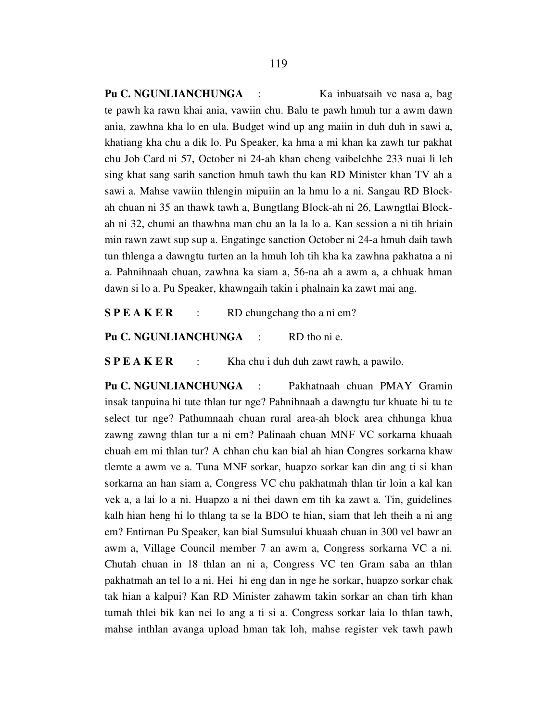Pu C. NGUNLIANCHUNGA : Ka inbuatsaih ve nasa a, bag te pawh ka rawn khai ania, vawiin chu. Balu te pawh hmuh tur a awm dawn ania, zawhna kha lo en ula. Budget wind up ang maiin in duh duh in sawi a, khatiang kha chu a dik lo. Pu Speaker, ka hma a mi khan ka zawh tur pakhat chu Job Card ni 57, October ni 24-ah khan cheng vaibelchhe 233 nuai li leh sing khat sang sarih sanction hmuh tawh thu kan RD Minister khan TV ah a sawi a. Mahse vawiin thlengin mipuiin an la hmu lo a ni. Sangau RD Blockah chuan ni 35 an thawk tawh a, Bungtlang Block-ah ni 26, Lawngtlai Blockah ni 32, chumi an thawhna man chu an la la lo a. Kan session a ni tih hriain min rawn zawt sup sup a. Engatinge sanction October ni 24-a hmuh daih tawh tun thlenga a dawngtu turten an la hmuh loh tih kha ka zawhna pakhatna a ni a. Pahnihnaah chuan, zawhna ka siam a, 56-na ah a awm a, a chhuak hman dawn si lo a. Pu Speaker, khawngaih takin i phalnain ka zawt mai ang.

 $S P E A K E R$  : RD chungchang tho a ni em?

Pu C. NGUNLIANCHUNGA : RD tho ni e.

 $S P E A K E R$  : Kha chu i duh duh zawt rawh, a pawilo.

Pu C. NGUNLIANCHUNGA : Pakhatnaah chuan PMAY Gramin insak tanpuina hi tute thlan tur nge? Pahnihnaah a dawngtu tur khuate hi tu te select tur nge? Pathumnaah chuan rural area-ah block area chhunga khua zawng zawng thlan tur a ni em? Palinaah chuan MNF VC sorkarna khuaah chuah em mi thlan tur? A chhan chu kan bial ah hian Congres sorkarna khaw tlemte a awm ve a. Tuna MNF sorkar, huapzo sorkar kan din ang ti si khan sorkarna an han siam a, Congress VC chu pakhatmah thlan tir loin a kal kan vek a, a lai lo a ni. Huapzo a ni thei dawn em tih ka zawt a. Tin, guidelines kalh hian heng hi lo thlang ta se la BDO te hian, siam that leh theih a ni ang em? Entirnan Pu Speaker, kan bial Sumsului khuaah chuan in 300 vel bawr an awm a, Village Council member 7 an awm a, Congress sorkarna VC a ni. Chutah chuan in 18 thlan an ni a, Congress VC ten Gram saba an thlan pakhatmah an tel lo a ni. Hei hi eng dan in nge he sorkar, huapzo sorkar chak tak hian a kalpui? Kan RD Minister zahawm takin sorkar an chan tirh khan tumah thlei bik kan nei lo ang a ti si a. Congress sorkar laia lo thlan tawh, mahse inthlan avanga upload hman tak loh, mahse register vek tawh pawh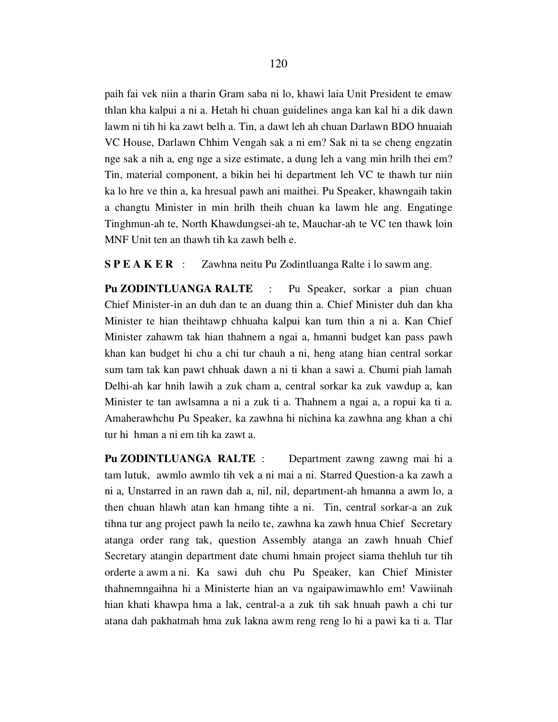paih fai vek niin a tharin Gram saba ni lo, khawi laia Unit President te emaw thlan kha kalpui a ni a. Hetah hi chuan guidelines anga kan kal hi a dik dawn lawm ni tih hi ka zawt belh a. Tin, a dawt leh ah chuan Darlawn BDO hnuaiah VC House, Darlawn Chhim Vengah sak a ni em? Sak ni ta se cheng engzatin nge sak a nih a, eng nge a size estimate, a dung leh a vang min hrilh thei em? Tin, material component, a bikin hei hi department leh VC te thawh tur niin ka lo hre ve thin a, ka hresual pawh ani maithei. Pu Speaker, khawngaih takin a changtu Minister in min hrilh theih chuan ka lawm hle ang. Engatinge Tinghmun-ah te, North Khawdungsei-ah te, Mauchar-ah te VC ten thawk loin MNF Unit ten an thawh tih ka zawh belh e.

S P E A K E R : Zawhna neitu Pu Zodintluanga Ralte i lo sawm ang.

Pu ZODINTLUANGA RALTE : Pu Speaker, sorkar a pian chuan Chief Minister-in an duh dan te an duang thin a. Chief Minister duh dan kha Minister te hian theihtawp chhuaha kalpui kan tum thin a ni a. Kan Chief Minister zahawm tak hian thahnem a ngai a, hmanni budget kan pass pawh khan kan budget hi chu a chi tur chauh a ni, heng atang hian central sorkar sum tam tak kan pawt chhuak dawn a ni ti khan a sawi a. Chumi piah lamah Delhi-ah kar hnih lawih a zuk cham a, central sorkar ka zuk vawdup a, kan Minister te tan awlsamna a ni a zuk ti a. Thahnem a ngai a, a ropui ka ti a. Amaherawhchu Pu Speaker, ka zawhna hi nichina ka zawhna ang khan a chi tur hi hman a ni em tih ka zawt a.

Pu ZODINTLUANGA RALTE : Department zawng zawng mai hi a tam lutuk, awmlo awmlo tih vek a ni mai a ni. Starred Question-a ka zawh a ni a, Unstarred in an rawn dah a, nil, nil, department-ah hmanna a awm lo, a then chuan hlawh atan kan hmang tihte a ni. Tin, central sorkar-a an zuk tihna tur ang project pawh la neilo te, zawhna ka zawh hnua Chief Secretary atanga order rang tak, question Assembly atanga an zawh hnuah Chief Secretary atangin department date chumi hmain project siama thehluh tur tih orderte a awm a ni. Ka sawi duh chu Pu Speaker, kan Chief Minister thahnemngaihna hi a Ministerte hian an va ngaipawimawhlo em! Vawiinah hian khati khawpa hma a lak, central-a a zuk tih sak hnuah pawh a chi tur atana dah pakhatmah hma zuk lakna awm reng reng lo hi a pawi ka ti a. Tlar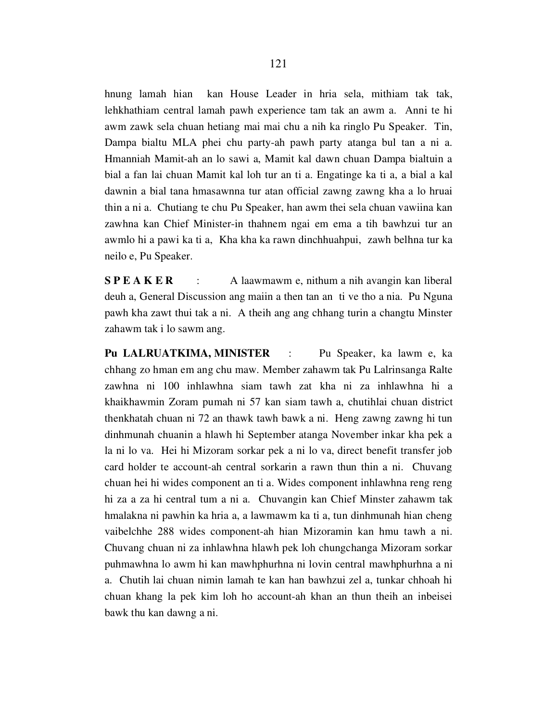hnung lamah hian kan House Leader in hria sela, mithiam tak tak, lehkhathiam central lamah pawh experience tam tak an awm a. Anni te hi awm zawk sela chuan hetiang mai mai chu a nih ka ringlo Pu Speaker. Tin, Dampa bialtu MLA phei chu party-ah pawh party atanga bul tan a ni a. Hmanniah Mamit-ah an lo sawi a, Mamit kal dawn chuan Dampa bialtuin a bial a fan lai chuan Mamit kal loh tur an ti a. Engatinge ka ti a, a bial a kal dawnin a bial tana hmasawnna tur atan official zawng zawng kha a lo hruai thin a ni a. Chutiang te chu Pu Speaker, han awm thei sela chuan vawiina kan zawhna kan Chief Minister-in thahnem ngai em ema a tih bawhzui tur an awmlo hi a pawi ka ti a, Kha kha ka rawn dinchhuahpui, zawh belhna tur ka neilo e, Pu Speaker.

S P E A K E R : A laawmawm e, nithum a nih avangin kan liberal deuh a, General Discussion ang maiin a then tan an ti ve tho a nia. Pu Nguna pawh kha zawt thui tak a ni. A theih ang ang chhang turin a changtu Minster zahawm tak i lo sawm ang.

Pu LALRUATKIMA, MINISTER : Pu Speaker, ka lawm e, ka chhang zo hman em ang chu maw. Member zahawm tak Pu Lalrinsanga Ralte zawhna ni 100 inhlawhna siam tawh zat kha ni za inhlawhna hi a khaikhawmin Zoram pumah ni 57 kan siam tawh a, chutihlai chuan district thenkhatah chuan ni 72 an thawk tawh bawk a ni. Heng zawng zawng hi tun dinhmunah chuanin a hlawh hi September atanga November inkar kha pek a la ni lo va. Hei hi Mizoram sorkar pek a ni lo va, direct benefit transfer job card holder te account-ah central sorkarin a rawn thun thin a ni. Chuvang chuan hei hi wides component an ti a. Wides component inhlawhna reng reng hi za a za hi central tum a ni a. Chuvangin kan Chief Minster zahawm tak hmalakna ni pawhin ka hria a, a lawmawm ka ti a, tun dinhmunah hian cheng vaibelchhe 288 wides component-ah hian Mizoramin kan hmu tawh a ni. Chuvang chuan ni za inhlawhna hlawh pek loh chungchanga Mizoram sorkar puhmawhna lo awm hi kan mawhphurhna ni lovin central mawhphurhna a ni a. Chutih lai chuan nimin lamah te kan han bawhzui zel a, tunkar chhoah hi chuan khang la pek kim loh ho account-ah khan an thun theih an inbeisei bawk thu kan dawng a ni.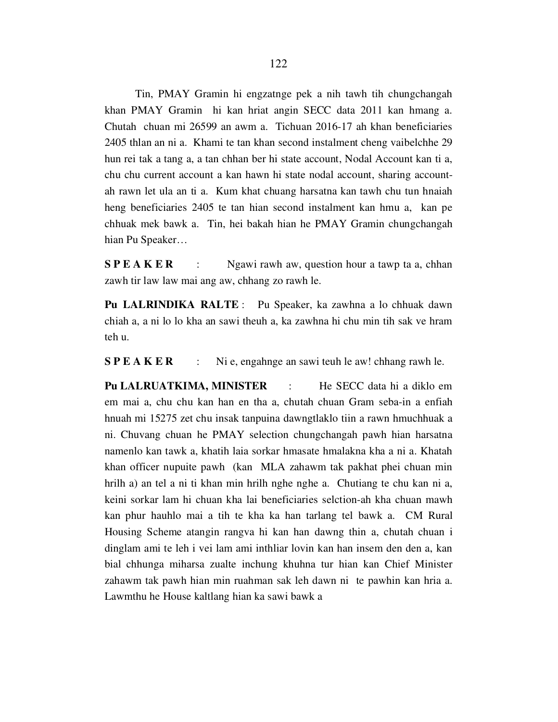Tin, PMAY Gramin hi engzatnge pek a nih tawh tih chungchangah khan PMAY Gramin hi kan hriat angin SECC data 2011 kan hmang a. Chutah chuan mi 26599 an awm a. Tichuan 2016-17 ah khan beneficiaries 2405 thlan an ni a. Khami te tan khan second instalment cheng vaibelchhe 29 hun rei tak a tang a, a tan chhan ber hi state account, Nodal Account kan ti a, chu chu current account a kan hawn hi state nodal account, sharing accountah rawn let ula an ti a. Kum khat chuang harsatna kan tawh chu tun hnaiah heng beneficiaries 2405 te tan hian second instalment kan hmu a, kan pe chhuak mek bawk a. Tin, hei bakah hian he PMAY Gramin chungchangah hian Pu Speaker…

**SPEAKER** : Ngawi rawh aw, question hour a tawp ta a, chhan zawh tir law law mai ang aw, chhang zo rawh le.

Pu LALRINDIKA RALTE : Pu Speaker, ka zawhna a lo chhuak dawn chiah a, a ni lo lo kha an sawi theuh a, ka zawhna hi chu min tih sak ve hram teh u.

S P E A K E R : Ni e, engahnge an sawi teuh le aw! chhang rawh le.

Pu LALRUATKIMA, MINISTER : He SECC data hi a diklo em em mai a, chu chu kan han en tha a, chutah chuan Gram seba-in a enfiah hnuah mi 15275 zet chu insak tanpuina dawngtlaklo tiin a rawn hmuchhuak a ni. Chuvang chuan he PMAY selection chungchangah pawh hian harsatna namenlo kan tawk a, khatih laia sorkar hmasate hmalakna kha a ni a. Khatah khan officer nupuite pawh (kan MLA zahawm tak pakhat phei chuan min hrilh a) an tel a ni ti khan min hrilh nghe nghe a. Chutiang te chu kan ni a, keini sorkar lam hi chuan kha lai beneficiaries selction-ah kha chuan mawh kan phur hauhlo mai a tih te kha ka han tarlang tel bawk a. CM Rural Housing Scheme atangin rangva hi kan han dawng thin a, chutah chuan i dinglam ami te leh i vei lam ami inthliar lovin kan han insem den den a, kan bial chhunga miharsa zualte inchung khuhna tur hian kan Chief Minister zahawm tak pawh hian min ruahman sak leh dawn ni te pawhin kan hria a. Lawmthu he House kaltlang hian ka sawi bawk a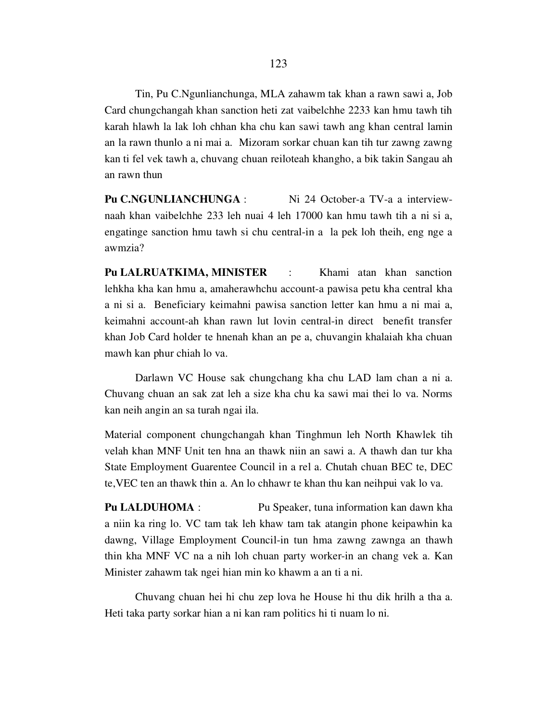Tin, Pu C.Ngunlianchunga, MLA zahawm tak khan a rawn sawi a, Job Card chungchangah khan sanction heti zat vaibelchhe 2233 kan hmu tawh tih karah hlawh la lak loh chhan kha chu kan sawi tawh ang khan central lamin an la rawn thunlo a ni mai a. Mizoram sorkar chuan kan tih tur zawng zawng kan ti fel vek tawh a, chuvang chuan reiloteah khangho, a bik takin Sangau ah an rawn thun

Pu C.NGUNLIANCHUNGA : Ni 24 October-a TV-a a interviewnaah khan vaibelchhe 233 leh nuai 4 leh 17000 kan hmu tawh tih a ni si a, engatinge sanction hmu tawh si chu central-in a la pek loh theih, eng nge a awmzia?

Pu LALRUATKIMA, MINISTER : Khami atan khan sanction lehkha kha kan hmu a, amaherawhchu account-a pawisa petu kha central kha a ni si a. Beneficiary keimahni pawisa sanction letter kan hmu a ni mai a, keimahni account-ah khan rawn lut lovin central-in direct benefit transfer khan Job Card holder te hnenah khan an pe a, chuvangin khalaiah kha chuan mawh kan phur chiah lo va.

 Darlawn VC House sak chungchang kha chu LAD lam chan a ni a. Chuvang chuan an sak zat leh a size kha chu ka sawi mai thei lo va. Norms kan neih angin an sa turah ngai ila.

Material component chungchangah khan Tinghmun leh North Khawlek tih velah khan MNF Unit ten hna an thawk niin an sawi a. A thawh dan tur kha State Employment Guarentee Council in a rel a. Chutah chuan BEC te, DEC te,VEC ten an thawk thin a. An lo chhawr te khan thu kan neihpui vak lo va.

Pu LALDUHOMA : Pu Speaker, tuna information kan dawn kha a niin ka ring lo. VC tam tak leh khaw tam tak atangin phone keipawhin ka dawng, Village Employment Council-in tun hma zawng zawnga an thawh thin kha MNF VC na a nih loh chuan party worker-in an chang vek a. Kan Minister zahawm tak ngei hian min ko khawm a an ti a ni.

 Chuvang chuan hei hi chu zep lova he House hi thu dik hrilh a tha a. Heti taka party sorkar hian a ni kan ram politics hi ti nuam lo ni.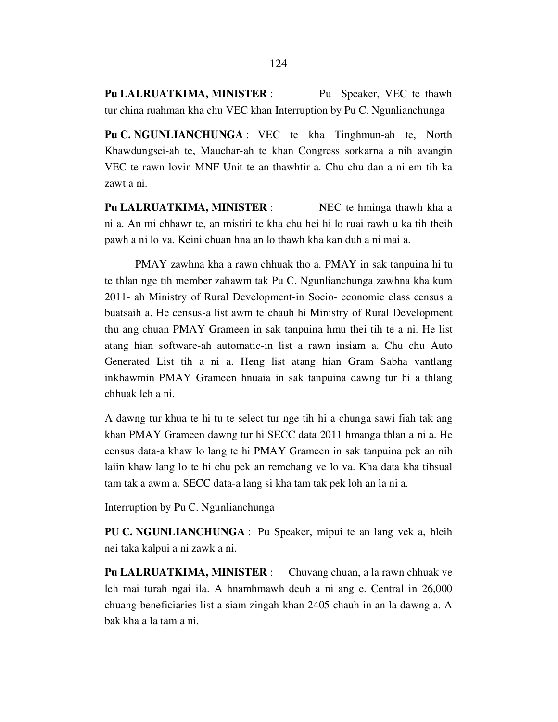Pu LALRUATKIMA, MINISTER : Pu Speaker, VEC te thawh tur china ruahman kha chu VEC khan Interruption by Pu C. Ngunlianchunga

Pu C. NGUNLIANCHUNGA : VEC te kha Tinghmun-ah te, North Khawdungsei-ah te, Mauchar-ah te khan Congress sorkarna a nih avangin VEC te rawn lovin MNF Unit te an thawhtir a. Chu chu dan a ni em tih ka zawt a ni.

Pu LALRUATKIMA, MINISTER : NEC te hminga thawh kha a ni a. An mi chhawr te, an mistiri te kha chu hei hi lo ruai rawh u ka tih theih pawh a ni lo va. Keini chuan hna an lo thawh kha kan duh a ni mai a.

 PMAY zawhna kha a rawn chhuak tho a. PMAY in sak tanpuina hi tu te thlan nge tih member zahawm tak Pu C. Ngunlianchunga zawhna kha kum 2011- ah Ministry of Rural Development-in Socio- economic class census a buatsaih a. He census-a list awm te chauh hi Ministry of Rural Development thu ang chuan PMAY Grameen in sak tanpuina hmu thei tih te a ni. He list atang hian software-ah automatic-in list a rawn insiam a. Chu chu Auto Generated List tih a ni a. Heng list atang hian Gram Sabha vantlang inkhawmin PMAY Grameen hnuaia in sak tanpuina dawng tur hi a thlang chhuak leh a ni.

A dawng tur khua te hi tu te select tur nge tih hi a chunga sawi fiah tak ang khan PMAY Grameen dawng tur hi SECC data 2011 hmanga thlan a ni a. He census data-a khaw lo lang te hi PMAY Grameen in sak tanpuina pek an nih laiin khaw lang lo te hi chu pek an remchang ve lo va. Kha data kha tihsual tam tak a awm a. SECC data-a lang si kha tam tak pek loh an la ni a.

Interruption by Pu C. Ngunlianchunga

PU C. NGUNLIANCHUNGA : Pu Speaker, mipui te an lang vek a, hleih nei taka kalpui a ni zawk a ni.

Pu LALRUATKIMA, MINISTER : Chuvang chuan, a la rawn chhuak ve leh mai turah ngai ila. A hnamhmawh deuh a ni ang e. Central in 26,000 chuang beneficiaries list a siam zingah khan 2405 chauh in an la dawng a. A bak kha a la tam a ni.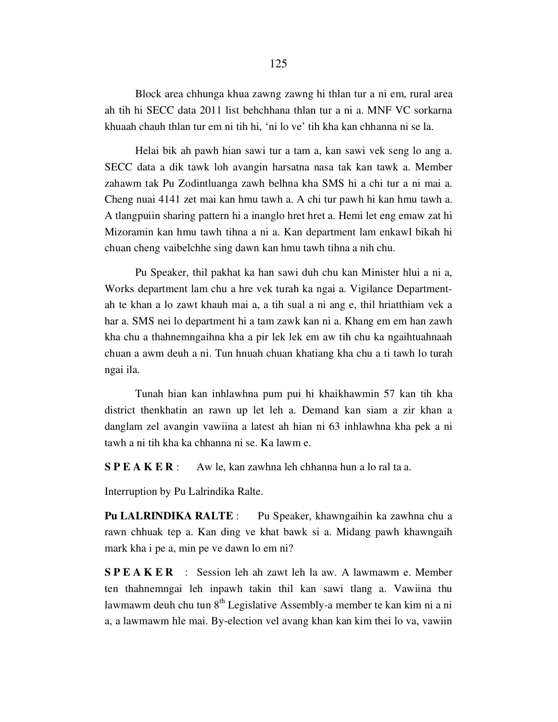Block area chhunga khua zawng zawng hi thlan tur a ni em, rural area ah tih hi SECC data 2011 list behchhana thlan tur a ni a. MNF VC sorkarna khuaah chauh thlan tur em ni tih hi, 'ni lo ve' tih kha kan chhanna ni se la.

 Helai bik ah pawh hian sawi tur a tam a, kan sawi vek seng lo ang a. SECC data a dik tawk loh avangin harsatna nasa tak kan tawk a. Member zahawm tak Pu Zodintluanga zawh belhna kha SMS hi a chi tur a ni mai a. Cheng nuai 4141 zet mai kan hmu tawh a. A chi tur pawh hi kan hmu tawh a. A tlangpuiin sharing pattern hi a inanglo hret hret a. Hemi let eng emaw zat hi Mizoramin kan hmu tawh tihna a ni a. Kan department lam enkawl bikah hi chuan cheng vaibelchhe sing dawn kan hmu tawh tihna a nih chu.

 Pu Speaker, thil pakhat ka han sawi duh chu kan Minister hlui a ni a, Works department lam chu a hre vek turah ka ngai a. Vigilance Departmentah te khan a lo zawt khauh mai a, a tih sual a ni ang e, thil hriatthiam vek a har a. SMS nei lo department hi a tam zawk kan ni a. Khang em em han zawh kha chu a thahnemngaihna kha a pir lek lek em aw tih chu ka ngaihtuahnaah chuan a awm deuh a ni. Tun hnuah chuan khatiang kha chu a ti tawh lo turah ngai ila.

 Tunah hian kan inhlawhna pum pui hi khaikhawmin 57 kan tih kha district thenkhatin an rawn up let leh a. Demand kan siam a zir khan a danglam zel avangin vawiina a latest ah hian ni 63 inhlawhna kha pek a ni tawh a ni tih kha ka chhanna ni se. Ka lawm e.

S P E A K E R : Aw le, kan zawhna leh chhanna hun a lo ral ta a.

Interruption by Pu Lalrindika Ralte.

Pu LALRINDIKA RALTE : Pu Speaker, khawngaihin ka zawhna chu a rawn chhuak tep a. Kan ding ve khat bawk si a. Midang pawh khawngaih mark kha i pe a, min pe ve dawn lo em ni?

S P E A K E R : Session leh ah zawt leh la aw. A lawmawm e. Member ten thahnemngai leh inpawh takin thil kan sawi tlang a. Vawiina thu lawmawm deuh chu tun 8<sup>th</sup> Legislative Assembly-a member te kan kim ni a ni a, a lawmawm hle mai. By-election vel avang khan kan kim thei lo va, vawiin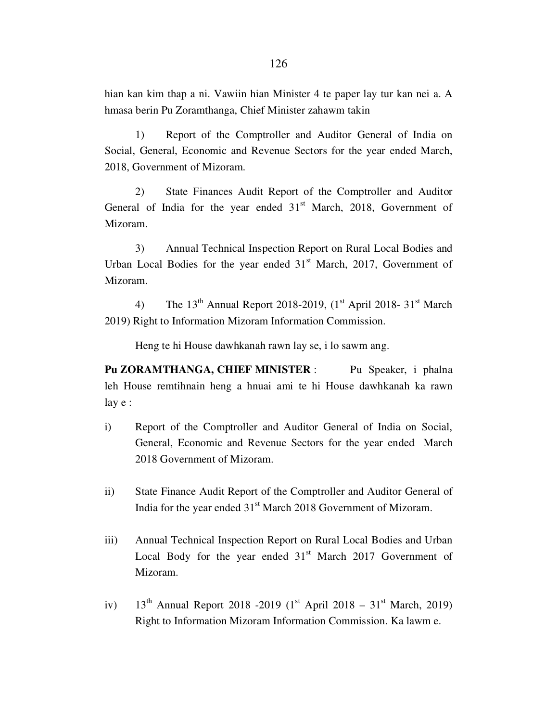hian kan kim thap a ni. Vawiin hian Minister 4 te paper lay tur kan nei a. A hmasa berin Pu Zoramthanga, Chief Minister zahawm takin

 1) Report of the Comptroller and Auditor General of India on Social, General, Economic and Revenue Sectors for the year ended March, 2018, Government of Mizoram.

 2) State Finances Audit Report of the Comptroller and Auditor General of India for the year ended  $31<sup>st</sup>$  March, 2018, Government of Mizoram.

 3) Annual Technical Inspection Report on Rural Local Bodies and Urban Local Bodies for the year ended  $31<sup>st</sup>$  March, 2017, Government of Mizoram.

4) The  $13<sup>th</sup>$  Annual Report 2018-2019, (1<sup>st</sup> April 2018- 31<sup>st</sup> March 2019) Right to Information Mizoram Information Commission.

Heng te hi House dawhkanah rawn lay se, i lo sawm ang.

Pu ZORAMTHANGA, CHIEF MINISTER : Pu Speaker, i phalna leh House remtihnain heng a hnuai ami te hi House dawhkanah ka rawn lay e :

- i) Report of the Comptroller and Auditor General of India on Social, General, Economic and Revenue Sectors for the year ended March 2018 Government of Mizoram.
- ii) State Finance Audit Report of the Comptroller and Auditor General of India for the year ended 31<sup>st</sup> March 2018 Government of Mizoram.
- iii) Annual Technical Inspection Report on Rural Local Bodies and Urban Local Body for the year ended  $31<sup>st</sup>$  March 2017 Government of Mizoram.
- iv)  $13^{th}$  Annual Report 2018 -2019 (1<sup>st</sup> April 2018 31<sup>st</sup> March, 2019) Right to Information Mizoram Information Commission. Ka lawm e.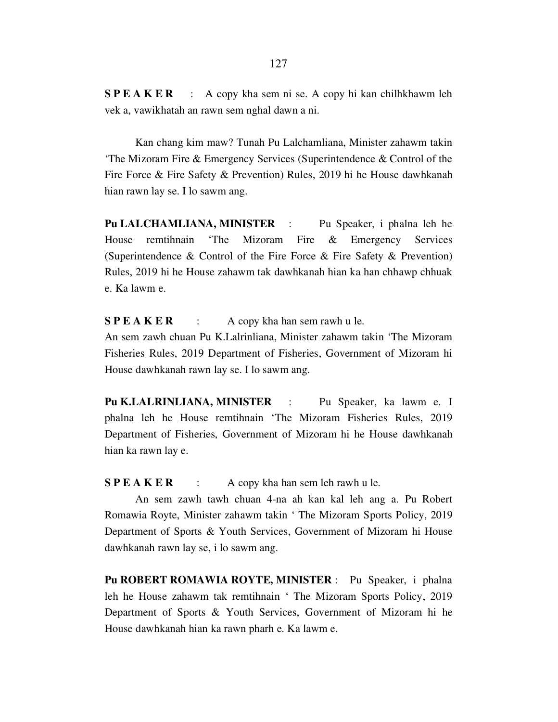S P E A K E R : A copy kha sem ni se. A copy hi kan chilhkhawm leh vek a, vawikhatah an rawn sem nghal dawn a ni.

 Kan chang kim maw? Tunah Pu Lalchamliana, Minister zahawm takin 'The Mizoram Fire & Emergency Services (Superintendence & Control of the Fire Force & Fire Safety & Prevention) Rules, 2019 hi he House dawhkanah hian rawn lay se. I lo sawm ang.

Pu LALCHAMLIANA, MINISTER : Pu Speaker, i phalna leh he House remtihnain 'The Mizoram Fire & Emergency Services (Superintendence & Control of the Fire Force & Fire Safety & Prevention) Rules, 2019 hi he House zahawm tak dawhkanah hian ka han chhawp chhuak e. Ka lawm e.

## $S P E A K E R$  : A copy kha han sem rawh u le.

An sem zawh chuan Pu K.Lalrinliana, Minister zahawm takin 'The Mizoram Fisheries Rules, 2019 Department of Fisheries, Government of Mizoram hi House dawhkanah rawn lay se. I lo sawm ang.

Pu K.LALRINLIANA, MINISTER : Pu Speaker, ka lawm e. I phalna leh he House remtihnain 'The Mizoram Fisheries Rules, 2019 Department of Fisheries, Government of Mizoram hi he House dawhkanah hian ka rawn lay e.

 $S P E A K E R$  : A copy kha han sem leh rawh u le.

 An sem zawh tawh chuan 4-na ah kan kal leh ang a. Pu Robert Romawia Royte, Minister zahawm takin ' The Mizoram Sports Policy, 2019 Department of Sports & Youth Services, Government of Mizoram hi House dawhkanah rawn lay se, i lo sawm ang.

Pu ROBERT ROMAWIA ROYTE, MINISTER : Pu Speaker, i phalna leh he House zahawm tak remtihnain ' The Mizoram Sports Policy, 2019 Department of Sports & Youth Services, Government of Mizoram hi he House dawhkanah hian ka rawn pharh e. Ka lawm e.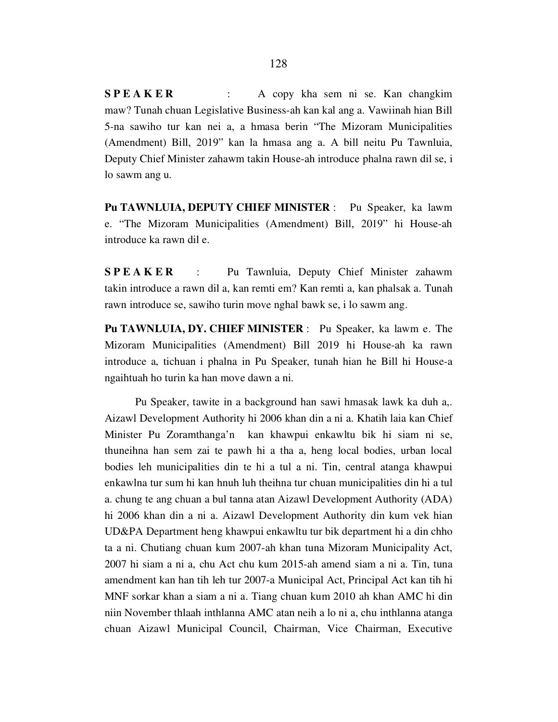S P E A K E R : A copy kha sem ni se. Kan changkim maw? Tunah chuan Legislative Business-ah kan kal ang a. Vawiinah hian Bill 5-na sawiho tur kan nei a, a hmasa berin "The Mizoram Municipalities (Amendment) Bill, 2019" kan la hmasa ang a. A bill neitu Pu Tawnluia, Deputy Chief Minister zahawm takin House-ah introduce phalna rawn dil se, i lo sawm ang u.

Pu TAWNLUIA, DEPUTY CHIEF MINISTER : Pu Speaker, ka lawm e. "The Mizoram Municipalities (Amendment) Bill, 2019" hi House-ah introduce ka rawn dil e.

SPEAKER : Pu Tawnluia, Deputy Chief Minister zahawm takin introduce a rawn dil a, kan remti em? Kan remti a, kan phalsak a. Tunah rawn introduce se, sawiho turin move nghal bawk se, i lo sawm ang.

Pu TAWNLUIA, DY. CHIEF MINISTER : Pu Speaker, ka lawm e. The Mizoram Municipalities (Amendment) Bill 2019 hi House-ah ka rawn introduce a, tichuan i phalna in Pu Speaker, tunah hian he Bill hi House-a ngaihtuah ho turin ka han move dawn a ni.

 Pu Speaker, tawite in a background han sawi hmasak lawk ka duh a,. Aizawl Development Authority hi 2006 khan din a ni a. Khatih laia kan Chief Minister Pu Zoramthanga'n kan khawpui enkawltu bik hi siam ni se, thuneihna han sem zai te pawh hi a tha a, heng local bodies, urban local bodies leh municipalities din te hi a tul a ni. Tin, central atanga khawpui enkawlna tur sum hi kan hnuh luh theihna tur chuan municipalities din hi a tul a. chung te ang chuan a bul tanna atan Aizawl Development Authority (ADA) hi 2006 khan din a ni a. Aizawl Development Authority din kum vek hian UD&PA Department heng khawpui enkawltu tur bik department hi a din chho ta a ni. Chutiang chuan kum 2007-ah khan tuna Mizoram Municipality Act, 2007 hi siam a ni a, chu Act chu kum 2015-ah amend siam a ni a. Tin, tuna amendment kan han tih leh tur 2007-a Municipal Act, Principal Act kan tih hi MNF sorkar khan a siam a ni a. Tiang chuan kum 2010 ah khan AMC hi din niin November thlaah inthlanna AMC atan neih a lo ni a, chu inthlanna atanga chuan Aizawl Municipal Council, Chairman, Vice Chairman, Executive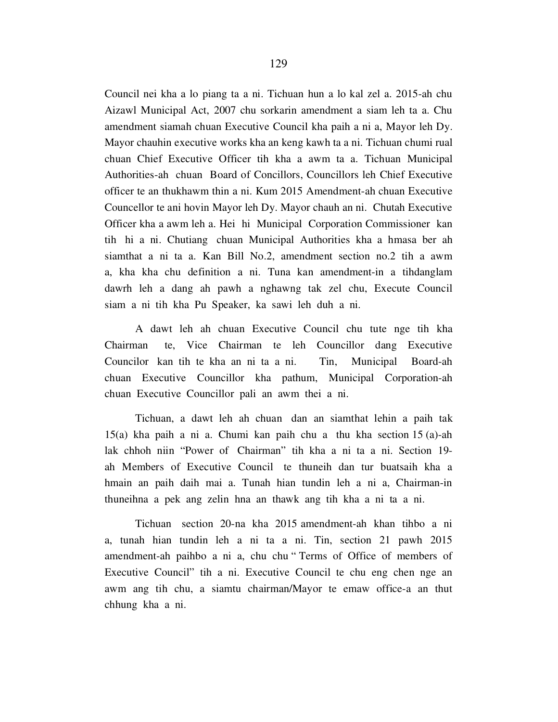Council nei kha a lo piang ta a ni. Tichuan hun a lo kal zel a. 2015-ah chu Aizawl Municipal Act, 2007 chu sorkarin amendment a siam leh ta a. Chu amendment siamah chuan Executive Council kha paih a ni a, Mayor leh Dy. Mayor chauhin executive works kha an keng kawh ta a ni. Tichuan chumi rual chuan Chief Executive Officer tih kha a awm ta a. Tichuan Municipal Authorities-ah chuan Board of Concillors, Councillors leh Chief Executive officer te an thukhawm thin a ni. Kum 2015 Amendment-ah chuan Executive Councellor te ani hovin Mayor leh Dy. Mayor chauh an ni. Chutah Executive Officer kha a awm leh a. Hei hi Municipal Corporation Commissioner kan tih hi a ni. Chutiang chuan Municipal Authorities kha a hmasa ber ah siamthat a ni ta a. Kan Bill No.2, amendment section no.2 tih a awm a, kha kha chu definition a ni. Tuna kan amendment-in a tihdanglam dawrh leh a dang ah pawh a nghawng tak zel chu, Execute Council siam a ni tih kha Pu Speaker, ka sawi leh duh a ni.

 A dawt leh ah chuan Executive Council chu tute nge tih kha Chairman te, Vice Chairman te leh Councillor dang Executive Councilor kan tih te kha an ni ta a ni. Tin, Municipal Board-ah chuan Executive Councillor kha pathum, Municipal Corporation-ah chuan Executive Councillor pali an awm thei a ni.

 Tichuan, a dawt leh ah chuan dan an siamthat lehin a paih tak 15(a) kha paih a ni a. Chumi kan paih chu a thu kha section 15 (a)-ah lak chhoh niin "Power of Chairman" tih kha a ni ta a ni. Section 19 ah Members of Executive Council te thuneih dan tur buatsaih kha a hmain an paih daih mai a. Tunah hian tundin leh a ni a, Chairman-in thuneihna a pek ang zelin hna an thawk ang tih kha a ni ta a ni.

 Tichuan section 20-na kha 2015 amendment-ah khan tihbo a ni a, tunah hian tundin leh a ni ta a ni. Tin, section 21 pawh 2015 amendment-ah paihbo a ni a, chu chu " Terms of Office of members of Executive Council" tih a ni. Executive Council te chu eng chen nge an awm ang tih chu, a siamtu chairman/Mayor te emaw office-a an thut chhung kha a ni.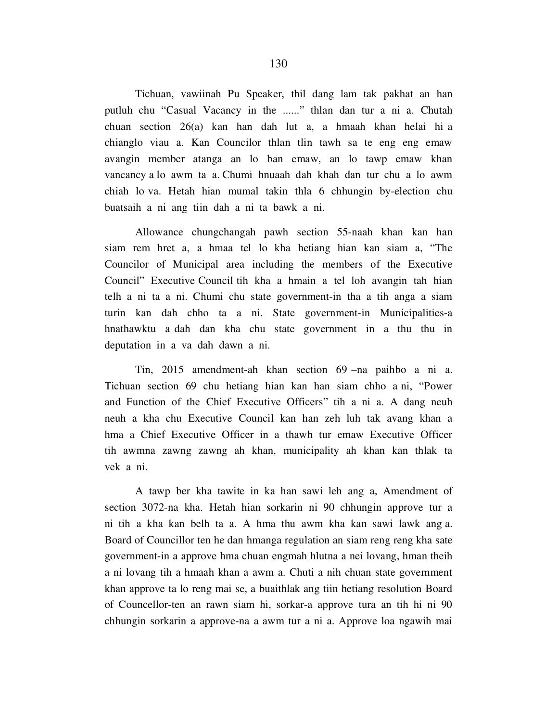Tichuan, vawiinah Pu Speaker, thil dang lam tak pakhat an han putluh chu "Casual Vacancy in the ......" thlan dan tur a ni a. Chutah chuan section 26(a) kan han dah lut a, a hmaah khan helai hi a chianglo viau a. Kan Councilor thlan tlin tawh sa te eng eng emaw avangin member atanga an lo ban emaw, an lo tawp emaw khan vancancy a lo awm ta a. Chumi hnuaah dah khah dan tur chu a lo awm chiah lo va. Hetah hian mumal takin thla 6 chhungin by-election chu buatsaih a ni ang tiin dah a ni ta bawk a ni.

 Allowance chungchangah pawh section 55-naah khan kan han siam rem hret a, a hmaa tel lo kha hetiang hian kan siam a, "The Councilor of Municipal area including the members of the Executive Council" Executive Council tih kha a hmain a tel loh avangin tah hian telh a ni ta a ni. Chumi chu state government-in tha a tih anga a siam turin kan dah chho ta a ni. State government-in Municipalities-a hnathawktu a dah dan kha chu state government in a thu thu in deputation in a va dah dawn a ni.

 Tin, 2015 amendment-ah khan section 69 –na paihbo a ni a. Tichuan section 69 chu hetiang hian kan han siam chho a ni, "Power and Function of the Chief Executive Officers" tih a ni a. A dang neuh neuh a kha chu Executive Council kan han zeh luh tak avang khan a hma a Chief Executive Officer in a thawh tur emaw Executive Officer tih awmna zawng zawng ah khan, municipality ah khan kan thlak ta vek a ni.

 A tawp ber kha tawite in ka han sawi leh ang a, Amendment of section 3072-na kha. Hetah hian sorkarin ni 90 chhungin approve tur a ni tih a kha kan belh ta a. A hma thu awm kha kan sawi lawk ang a. Board of Councillor ten he dan hmanga regulation an siam reng reng kha sate government-in a approve hma chuan engmah hlutna a nei lovang, hman theih a ni lovang tih a hmaah khan a awm a. Chuti a nih chuan state government khan approve ta lo reng mai se, a buaithlak ang tiin hetiang resolution Board of Councellor-ten an rawn siam hi, sorkar-a approve tura an tih hi ni 90 chhungin sorkarin a approve-na a awm tur a ni a. Approve loa ngawih mai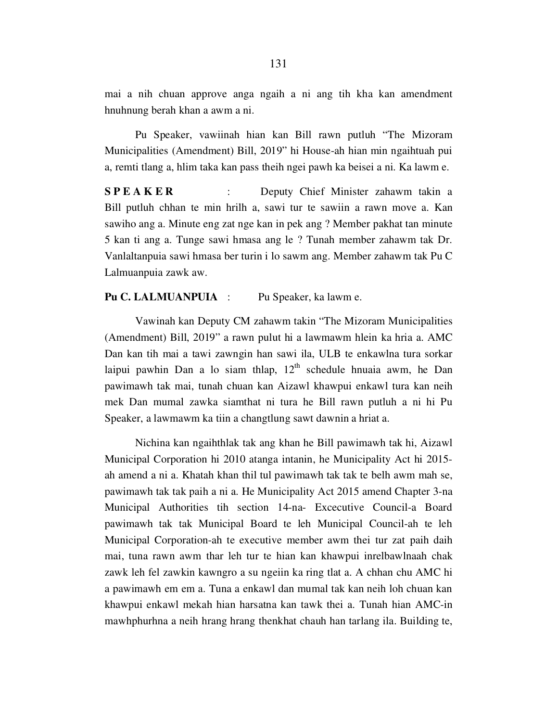mai a nih chuan approve anga ngaih a ni ang tih kha kan amendment hnuhnung berah khan a awm a ni.

 Pu Speaker, vawiinah hian kan Bill rawn putluh "The Mizoram Municipalities (Amendment) Bill, 2019" hi House-ah hian min ngaihtuah pui a, remti tlang a, hlim taka kan pass theih ngei pawh ka beisei a ni. Ka lawm e.

**SPEAKER** : Deputy Chief Minister zahawm takin a Bill putluh chhan te min hrilh a, sawi tur te sawiin a rawn move a. Kan sawiho ang a. Minute eng zat nge kan in pek ang ? Member pakhat tan minute 5 kan ti ang a. Tunge sawi hmasa ang le ? Tunah member zahawm tak Dr. Vanlaltanpuia sawi hmasa ber turin i lo sawm ang. Member zahawm tak Pu C Lalmuanpuia zawk aw.

## Pu C. LALMUANPUIA : Pu Speaker, ka lawm e.

 Vawinah kan Deputy CM zahawm takin "The Mizoram Municipalities (Amendment) Bill, 2019" a rawn pulut hi a lawmawm hlein ka hria a. AMC Dan kan tih mai a tawi zawngin han sawi ila, ULB te enkawlna tura sorkar laipui pawhin Dan a lo siam thlap,  $12<sup>th</sup>$  schedule hnuaia awm, he Dan pawimawh tak mai, tunah chuan kan Aizawl khawpui enkawl tura kan neih mek Dan mumal zawka siamthat ni tura he Bill rawn putluh a ni hi Pu Speaker, a lawmawm ka tiin a changtlung sawt dawnin a hriat a.

 Nichina kan ngaihthlak tak ang khan he Bill pawimawh tak hi, Aizawl Municipal Corporation hi 2010 atanga intanin, he Municipality Act hi 2015 ah amend a ni a. Khatah khan thil tul pawimawh tak tak te belh awm mah se, pawimawh tak tak paih a ni a. He Municipality Act 2015 amend Chapter 3-na Municipal Authorities tih section 14-na- Excecutive Council-a Board pawimawh tak tak Municipal Board te leh Municipal Council-ah te leh Municipal Corporation-ah te executive member awm thei tur zat paih daih mai, tuna rawn awm thar leh tur te hian kan khawpui inrelbawlnaah chak zawk leh fel zawkin kawngro a su ngeiin ka ring tlat a. A chhan chu AMC hi a pawimawh em em a. Tuna a enkawl dan mumal tak kan neih loh chuan kan khawpui enkawl mekah hian harsatna kan tawk thei a. Tunah hian AMC-in mawhphurhna a neih hrang hrang thenkhat chauh han tarlang ila. Building te,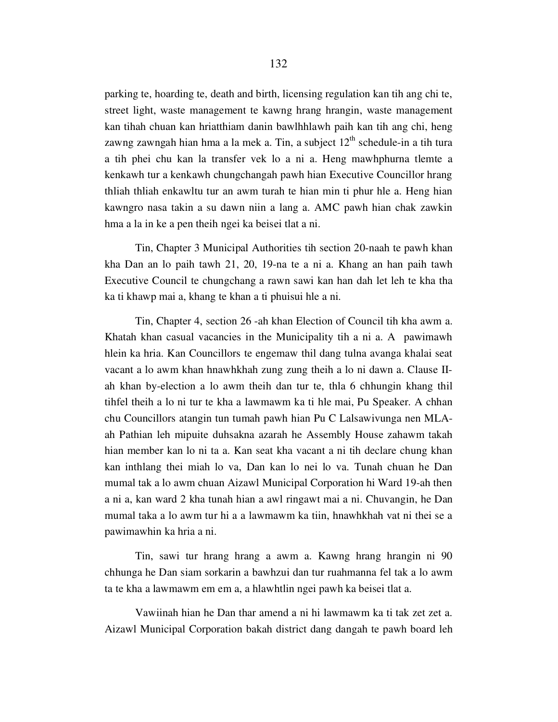parking te, hoarding te, death and birth, licensing regulation kan tih ang chi te, street light, waste management te kawng hrang hrangin, waste management kan tihah chuan kan hriatthiam danin bawlhhlawh paih kan tih ang chi, heng zawng zawngah hian hma a la mek a. Tin, a subject  $12<sup>th</sup>$  schedule-in a tih tura a tih phei chu kan la transfer vek lo a ni a. Heng mawhphurna tlemte a kenkawh tur a kenkawh chungchangah pawh hian Executive Councillor hrang thliah thliah enkawltu tur an awm turah te hian min ti phur hle a. Heng hian kawngro nasa takin a su dawn niin a lang a. AMC pawh hian chak zawkin hma a la in ke a pen theih ngei ka beisei tlat a ni.

 Tin, Chapter 3 Municipal Authorities tih section 20-naah te pawh khan kha Dan an lo paih tawh 21, 20, 19-na te a ni a. Khang an han paih tawh Executive Council te chungchang a rawn sawi kan han dah let leh te kha tha ka ti khawp mai a, khang te khan a ti phuisui hle a ni.

 Tin, Chapter 4, section 26 -ah khan Election of Council tih kha awm a. Khatah khan casual vacancies in the Municipality tih a ni a. A pawimawh hlein ka hria. Kan Councillors te engemaw thil dang tulna avanga khalai seat vacant a lo awm khan hnawhkhah zung zung theih a lo ni dawn a. Clause IIah khan by-election a lo awm theih dan tur te, thla 6 chhungin khang thil tihfel theih a lo ni tur te kha a lawmawm ka ti hle mai, Pu Speaker. A chhan chu Councillors atangin tun tumah pawh hian Pu C Lalsawivunga nen MLAah Pathian leh mipuite duhsakna azarah he Assembly House zahawm takah hian member kan lo ni ta a. Kan seat kha vacant a ni tih declare chung khan kan inthlang thei miah lo va, Dan kan lo nei lo va. Tunah chuan he Dan mumal tak a lo awm chuan Aizawl Municipal Corporation hi Ward 19-ah then a ni a, kan ward 2 kha tunah hian a awl ringawt mai a ni. Chuvangin, he Dan mumal taka a lo awm tur hi a a lawmawm ka tiin, hnawhkhah vat ni thei se a pawimawhin ka hria a ni.

 Tin, sawi tur hrang hrang a awm a. Kawng hrang hrangin ni 90 chhunga he Dan siam sorkarin a bawhzui dan tur ruahmanna fel tak a lo awm ta te kha a lawmawm em em a, a hlawhtlin ngei pawh ka beisei tlat a.

 Vawiinah hian he Dan thar amend a ni hi lawmawm ka ti tak zet zet a. Aizawl Municipal Corporation bakah district dang dangah te pawh board leh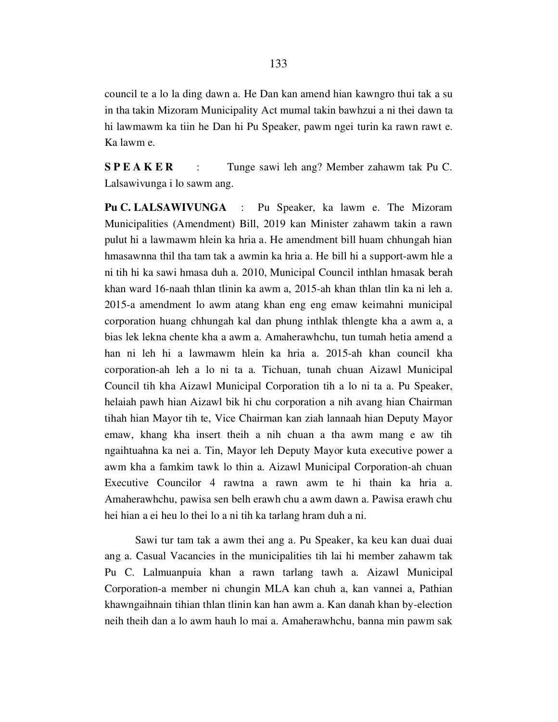council te a lo la ding dawn a. He Dan kan amend hian kawngro thui tak a su in tha takin Mizoram Municipality Act mumal takin bawhzui a ni thei dawn ta hi lawmawm ka tiin he Dan hi Pu Speaker, pawm ngei turin ka rawn rawt e. Ka lawm e.

S P E A K E R : Tunge sawi leh ang? Member zahawm tak Pu C. Lalsawivunga i lo sawm ang.

Pu C. LALSAWIVUNGA : Pu Speaker, ka lawm e. The Mizoram Municipalities (Amendment) Bill, 2019 kan Minister zahawm takin a rawn pulut hi a lawmawm hlein ka hria a. He amendment bill huam chhungah hian hmasawnna thil tha tam tak a awmin ka hria a. He bill hi a support-awm hle a ni tih hi ka sawi hmasa duh a. 2010, Municipal Council inthlan hmasak berah khan ward 16-naah thlan tlinin ka awm a, 2015-ah khan thlan tlin ka ni leh a. 2015-a amendment lo awm atang khan eng eng emaw keimahni municipal corporation huang chhungah kal dan phung inthlak thlengte kha a awm a, a bias lek lekna chente kha a awm a. Amaherawhchu, tun tumah hetia amend a han ni leh hi a lawmawm hlein ka hria a. 2015-ah khan council kha corporation-ah leh a lo ni ta a. Tichuan, tunah chuan Aizawl Municipal Council tih kha Aizawl Municipal Corporation tih a lo ni ta a. Pu Speaker, helaiah pawh hian Aizawl bik hi chu corporation a nih avang hian Chairman tihah hian Mayor tih te, Vice Chairman kan ziah lannaah hian Deputy Mayor emaw, khang kha insert theih a nih chuan a tha awm mang e aw tih ngaihtuahna ka nei a. Tin, Mayor leh Deputy Mayor kuta executive power a awm kha a famkim tawk lo thin a. Aizawl Municipal Corporation-ah chuan Executive Councilor 4 rawtna a rawn awm te hi thain ka hria a. Amaherawhchu, pawisa sen belh erawh chu a awm dawn a. Pawisa erawh chu hei hian a ei heu lo thei lo a ni tih ka tarlang hram duh a ni.

 Sawi tur tam tak a awm thei ang a. Pu Speaker, ka keu kan duai duai ang a. Casual Vacancies in the municipalities tih lai hi member zahawm tak Pu C. Lalmuanpuia khan a rawn tarlang tawh a. Aizawl Municipal Corporation-a member ni chungin MLA kan chuh a, kan vannei a, Pathian khawngaihnain tihian thlan tlinin kan han awm a. Kan danah khan by-election neih theih dan a lo awm hauh lo mai a. Amaherawhchu, banna min pawm sak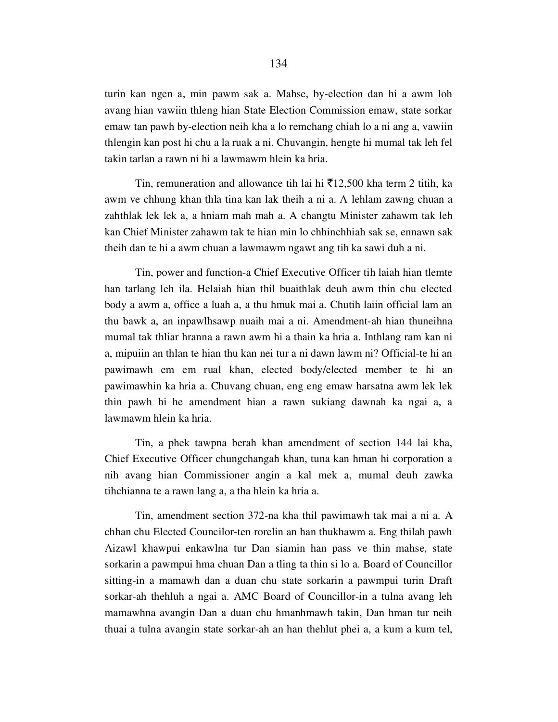turin kan ngen a, min pawm sak a. Mahse, by-election dan hi a awm loh avang hian vawiin thleng hian State Election Commission emaw, state sorkar emaw tan pawh by-election neih kha a lo remchang chiah lo a ni ang a, vawiin thlengin kan post hi chu a la ruak a ni. Chuvangin, hengte hi mumal tak leh fel takin tarlan a rawn ni hi a lawmawm hlein ka hria.

Tin, remuneration and allowance tih lai hi  $\bar{\tau}$ 12,500 kha term 2 titih, ka awm ve chhung khan thla tina kan lak theih a ni a. A lehlam zawng chuan a zahthlak lek lek a, a hniam mah mah a. A changtu Minister zahawm tak leh kan Chief Minister zahawm tak te hian min lo chhinchhiah sak se, ennawn sak theih dan te hi a awm chuan a lawmawm ngawt ang tih ka sawi duh a ni.

 Tin, power and function-a Chief Executive Officer tih laiah hian tlemte han tarlang leh ila. Helaiah hian thil buaithlak deuh awm thin chu elected body a awm a, office a luah a, a thu hmuk mai a. Chutih laiin official lam an thu bawk a, an inpawlhsawp nuaih mai a ni. Amendment-ah hian thuneihna mumal tak thliar hranna a rawn awm hi a thain ka hria a. Inthlang ram kan ni a, mipuiin an thlan te hian thu kan nei tur a ni dawn lawm ni? Official-te hi an pawimawh em em rual khan, elected body/elected member te hi an pawimawhin ka hria a. Chuvang chuan, eng eng emaw harsatna awm lek lek thin pawh hi he amendment hian a rawn sukiang dawnah ka ngai a, a lawmawm hlein ka hria.

 Tin, a phek tawpna berah khan amendment of section 144 lai kha, Chief Executive Officer chungchangah khan, tuna kan hman hi corporation a nih avang hian Commissioner angin a kal mek a, mumal deuh zawka tihchianna te a rawn lang a, a tha hlein ka hria a.

 Tin, amendment section 372-na kha thil pawimawh tak mai a ni a. A chhan chu Elected Councilor-ten rorelin an han thukhawm a. Eng thilah pawh Aizawl khawpui enkawlna tur Dan siamin han pass ve thin mahse, state sorkarin a pawmpui hma chuan Dan a tling ta thin si lo a. Board of Councillor sitting-in a mamawh dan a duan chu state sorkarin a pawmpui turin Draft sorkar-ah thehluh a ngai a. AMC Board of Councillor-in a tulna avang leh mamawhna avangin Dan a duan chu hmanhmawh takin, Dan hman tur neih thuai a tulna avangin state sorkar-ah an han thehlut phei a, a kum a kum tel,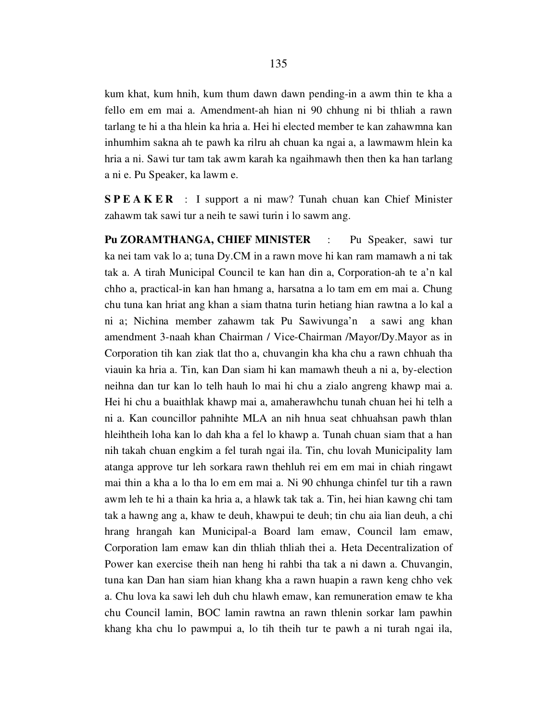kum khat, kum hnih, kum thum dawn dawn pending-in a awm thin te kha a fello em em mai a. Amendment-ah hian ni 90 chhung ni bi thliah a rawn tarlang te hi a tha hlein ka hria a. Hei hi elected member te kan zahawmna kan inhumhim sakna ah te pawh ka rilru ah chuan ka ngai a, a lawmawm hlein ka hria a ni. Sawi tur tam tak awm karah ka ngaihmawh then then ka han tarlang a ni e. Pu Speaker, ka lawm e.

S P E A K E R : I support a ni maw? Tunah chuan kan Chief Minister zahawm tak sawi tur a neih te sawi turin i lo sawm ang.

Pu ZORAMTHANGA, CHIEF MINISTER : Pu Speaker, sawi tur ka nei tam vak lo a; tuna Dy.CM in a rawn move hi kan ram mamawh a ni tak tak a. A tirah Municipal Council te kan han din a, Corporation-ah te a'n kal chho a, practical-in kan han hmang a, harsatna a lo tam em em mai a. Chung chu tuna kan hriat ang khan a siam thatna turin hetiang hian rawtna a lo kal a ni a; Nichina member zahawm tak Pu Sawivunga'n a sawi ang khan amendment 3-naah khan Chairman / Vice-Chairman /Mayor/Dy.Mayor as in Corporation tih kan ziak tlat tho a, chuvangin kha kha chu a rawn chhuah tha viauin ka hria a. Tin, kan Dan siam hi kan mamawh theuh a ni a, by-election neihna dan tur kan lo telh hauh lo mai hi chu a zialo angreng khawp mai a. Hei hi chu a buaithlak khawp mai a, amaherawhchu tunah chuan hei hi telh a ni a. Kan councillor pahnihte MLA an nih hnua seat chhuahsan pawh thlan hleihtheih loha kan lo dah kha a fel lo khawp a. Tunah chuan siam that a han nih takah chuan engkim a fel turah ngai ila. Tin, chu lovah Municipality lam atanga approve tur leh sorkara rawn thehluh rei em em mai in chiah ringawt mai thin a kha a lo tha lo em em mai a. Ni 90 chhunga chinfel tur tih a rawn awm leh te hi a thain ka hria a, a hlawk tak tak a. Tin, hei hian kawng chi tam tak a hawng ang a, khaw te deuh, khawpui te deuh; tin chu aia lian deuh, a chi hrang hrangah kan Municipal-a Board lam emaw, Council lam emaw, Corporation lam emaw kan din thliah thliah thei a. Heta Decentralization of Power kan exercise theih nan heng hi rahbi tha tak a ni dawn a. Chuvangin, tuna kan Dan han siam hian khang kha a rawn huapin a rawn keng chho vek a. Chu lova ka sawi leh duh chu hlawh emaw, kan remuneration emaw te kha chu Council lamin, BOC lamin rawtna an rawn thlenin sorkar lam pawhin khang kha chu lo pawmpui a, lo tih theih tur te pawh a ni turah ngai ila,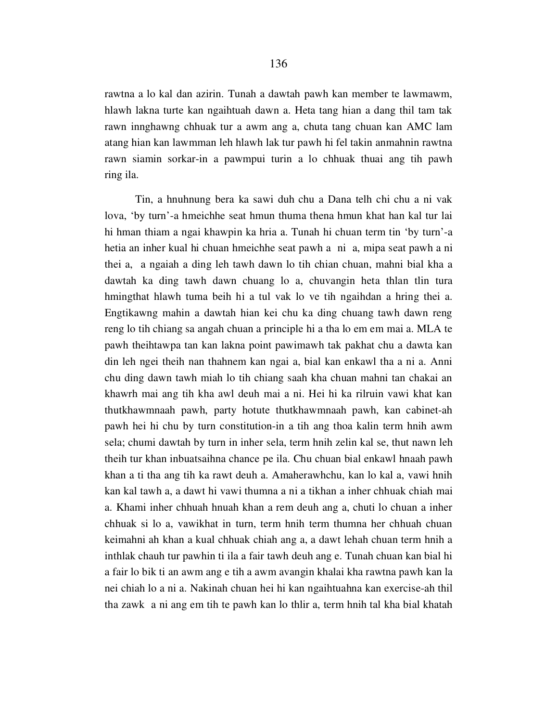rawtna a lo kal dan azirin. Tunah a dawtah pawh kan member te lawmawm, hlawh lakna turte kan ngaihtuah dawn a. Heta tang hian a dang thil tam tak rawn innghawng chhuak tur a awm ang a, chuta tang chuan kan AMC lam atang hian kan lawmman leh hlawh lak tur pawh hi fel takin anmahnin rawtna rawn siamin sorkar-in a pawmpui turin a lo chhuak thuai ang tih pawh ring ila.

 Tin, a hnuhnung bera ka sawi duh chu a Dana telh chi chu a ni vak lova, 'by turn'-a hmeichhe seat hmun thuma thena hmun khat han kal tur lai hi hman thiam a ngai khawpin ka hria a. Tunah hi chuan term tin 'by turn'-a hetia an inher kual hi chuan hmeichhe seat pawh a ni a, mipa seat pawh a ni thei a, a ngaiah a ding leh tawh dawn lo tih chian chuan, mahni bial kha a dawtah ka ding tawh dawn chuang lo a, chuvangin heta thlan tlin tura hmingthat hlawh tuma beih hi a tul vak lo ve tih ngaihdan a hring thei a. Engtikawng mahin a dawtah hian kei chu ka ding chuang tawh dawn reng reng lo tih chiang sa angah chuan a principle hi a tha lo em em mai a. MLA te pawh theihtawpa tan kan lakna point pawimawh tak pakhat chu a dawta kan din leh ngei theih nan thahnem kan ngai a, bial kan enkawl tha a ni a. Anni chu ding dawn tawh miah lo tih chiang saah kha chuan mahni tan chakai an khawrh mai ang tih kha awl deuh mai a ni. Hei hi ka rilruin vawi khat kan thutkhawmnaah pawh, party hotute thutkhawmnaah pawh, kan cabinet-ah pawh hei hi chu by turn constitution-in a tih ang thoa kalin term hnih awm sela; chumi dawtah by turn in inher sela, term hnih zelin kal se, thut nawn leh theih tur khan inbuatsaihna chance pe ila. Chu chuan bial enkawl hnaah pawh khan a ti tha ang tih ka rawt deuh a. Amaherawhchu, kan lo kal a, vawi hnih kan kal tawh a, a dawt hi vawi thumna a ni a tikhan a inher chhuak chiah mai a. Khami inher chhuah hnuah khan a rem deuh ang a, chuti lo chuan a inher chhuak si lo a, vawikhat in turn, term hnih term thumna her chhuah chuan keimahni ah khan a kual chhuak chiah ang a, a dawt lehah chuan term hnih a inthlak chauh tur pawhin ti ila a fair tawh deuh ang e. Tunah chuan kan bial hi a fair lo bik ti an awm ang e tih a awm avangin khalai kha rawtna pawh kan la nei chiah lo a ni a. Nakinah chuan hei hi kan ngaihtuahna kan exercise-ah thil tha zawk a ni ang em tih te pawh kan lo thlir a, term hnih tal kha bial khatah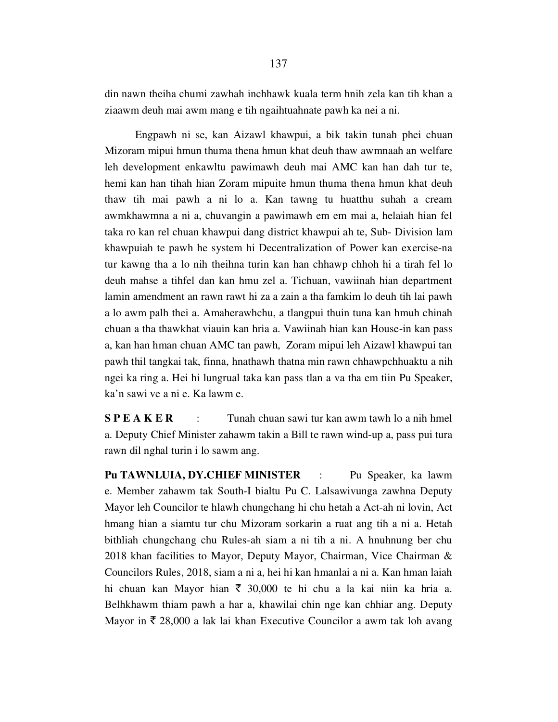din nawn theiha chumi zawhah inchhawk kuala term hnih zela kan tih khan a ziaawm deuh mai awm mang e tih ngaihtuahnate pawh ka nei a ni.

 Engpawh ni se, kan Aizawl khawpui, a bik takin tunah phei chuan Mizoram mipui hmun thuma thena hmun khat deuh thaw awmnaah an welfare leh development enkawltu pawimawh deuh mai AMC kan han dah tur te, hemi kan han tihah hian Zoram mipuite hmun thuma thena hmun khat deuh thaw tih mai pawh a ni lo a. Kan tawng tu huatthu suhah a cream awmkhawmna a ni a, chuvangin a pawimawh em em mai a, helaiah hian fel taka ro kan rel chuan khawpui dang district khawpui ah te, Sub- Division lam khawpuiah te pawh he system hi Decentralization of Power kan exercise-na tur kawng tha a lo nih theihna turin kan han chhawp chhoh hi a tirah fel lo deuh mahse a tihfel dan kan hmu zel a. Tichuan, vawiinah hian department lamin amendment an rawn rawt hi za a zain a tha famkim lo deuh tih lai pawh a lo awm palh thei a. Amaherawhchu, a tlangpui thuin tuna kan hmuh chinah chuan a tha thawkhat viauin kan hria a. Vawiinah hian kan House-in kan pass a, kan han hman chuan AMC tan pawh, Zoram mipui leh Aizawl khawpui tan pawh thil tangkai tak, finna, hnathawh thatna min rawn chhawpchhuaktu a nih ngei ka ring a. Hei hi lungrual taka kan pass tlan a va tha em tiin Pu Speaker, ka'n sawi ve a ni e. Ka lawm e.

S **P E A K E R** : Tunah chuan sawi tur kan awm tawh lo a nih hmel a. Deputy Chief Minister zahawm takin a Bill te rawn wind-up a, pass pui tura rawn dil nghal turin i lo sawm ang.

Pu TAWNLUIA, DY.CHIEF MINISTER : Pu Speaker, ka lawm e. Member zahawm tak South-I bialtu Pu C. Lalsawivunga zawhna Deputy Mayor leh Councilor te hlawh chungchang hi chu hetah a Act-ah ni lovin, Act hmang hian a siamtu tur chu Mizoram sorkarin a ruat ang tih a ni a. Hetah bithliah chungchang chu Rules-ah siam a ni tih a ni. A hnuhnung ber chu 2018 khan facilities to Mayor, Deputy Mayor, Chairman, Vice Chairman & Councilors Rules, 2018, siam a ni a, hei hi kan hmanlai a ni a. Kan hman laiah hi chuan kan Mayor hian  $\bar{\tau}$  30,000 te hi chu a la kai niin ka hria a. Belhkhawm thiam pawh a har a, khawilai chin nge kan chhiar ang. Deputy Mayor in  $\bar{\tau}$  28,000 a lak lai khan Executive Councilor a awm tak loh avang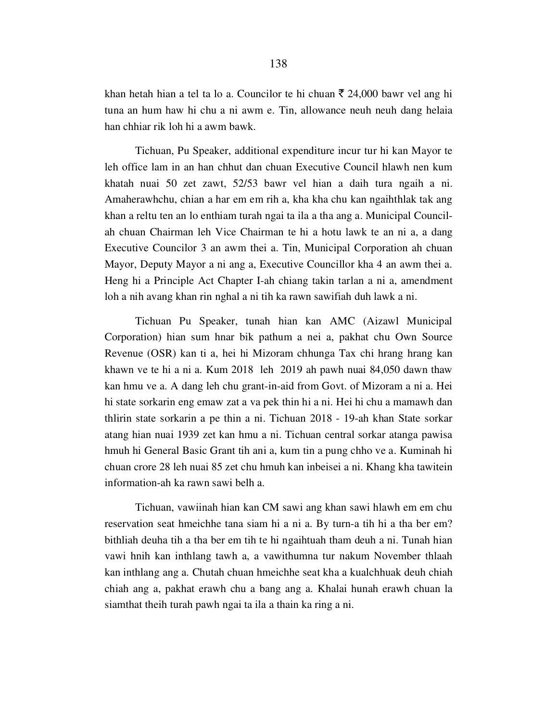khan hetah hian a tel ta lo a. Councilor te hi chuan  $\bar{\tau}$  24,000 bawr vel ang hi tuna an hum haw hi chu a ni awm e. Tin, allowance neuh neuh dang helaia han chhiar rik loh hi a awm bawk.

 Tichuan, Pu Speaker, additional expenditure incur tur hi kan Mayor te leh office lam in an han chhut dan chuan Executive Council hlawh nen kum khatah nuai 50 zet zawt, 52/53 bawr vel hian a daih tura ngaih a ni. Amaherawhchu, chian a har em em rih a, kha kha chu kan ngaihthlak tak ang khan a reltu ten an lo enthiam turah ngai ta ila a tha ang a. Municipal Councilah chuan Chairman leh Vice Chairman te hi a hotu lawk te an ni a, a dang Executive Councilor 3 an awm thei a. Tin, Municipal Corporation ah chuan Mayor, Deputy Mayor a ni ang a, Executive Councillor kha 4 an awm thei a. Heng hi a Principle Act Chapter I-ah chiang takin tarlan a ni a, amendment loh a nih avang khan rin nghal a ni tih ka rawn sawifiah duh lawk a ni.

 Tichuan Pu Speaker, tunah hian kan AMC (Aizawl Municipal Corporation) hian sum hnar bik pathum a nei a, pakhat chu Own Source Revenue (OSR) kan ti a, hei hi Mizoram chhunga Tax chi hrang hrang kan khawn ve te hi a ni a. Kum 2018 leh 2019 ah pawh nuai 84,050 dawn thaw kan hmu ve a. A dang leh chu grant-in-aid from Govt. of Mizoram a ni a. Hei hi state sorkarin eng emaw zat a va pek thin hi a ni. Hei hi chu a mamawh dan thlirin state sorkarin a pe thin a ni. Tichuan 2018 - 19-ah khan State sorkar atang hian nuai 1939 zet kan hmu a ni. Tichuan central sorkar atanga pawisa hmuh hi General Basic Grant tih ani a, kum tin a pung chho ve a. Kuminah hi chuan crore 28 leh nuai 85 zet chu hmuh kan inbeisei a ni. Khang kha tawitein information-ah ka rawn sawi belh a.

 Tichuan, vawiinah hian kan CM sawi ang khan sawi hlawh em em chu reservation seat hmeichhe tana siam hi a ni a. By turn-a tih hi a tha ber em? bithliah deuha tih a tha ber em tih te hi ngaihtuah tham deuh a ni. Tunah hian vawi hnih kan inthlang tawh a, a vawithumna tur nakum November thlaah kan inthlang ang a. Chutah chuan hmeichhe seat kha a kualchhuak deuh chiah chiah ang a, pakhat erawh chu a bang ang a. Khalai hunah erawh chuan la siamthat theih turah pawh ngai ta ila a thain ka ring a ni.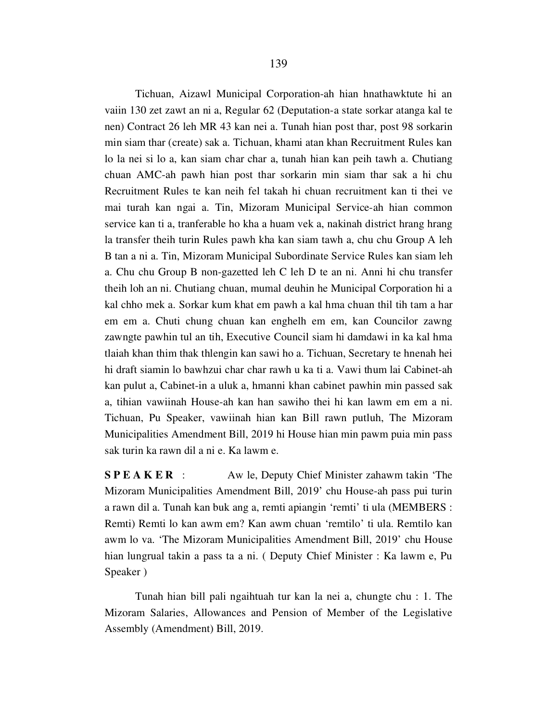Tichuan, Aizawl Municipal Corporation-ah hian hnathawktute hi an vaiin 130 zet zawt an ni a, Regular 62 (Deputation-a state sorkar atanga kal te nen) Contract 26 leh MR 43 kan nei a. Tunah hian post thar, post 98 sorkarin min siam thar (create) sak a. Tichuan, khami atan khan Recruitment Rules kan lo la nei si lo a, kan siam char char a, tunah hian kan peih tawh a. Chutiang chuan AMC-ah pawh hian post thar sorkarin min siam thar sak a hi chu Recruitment Rules te kan neih fel takah hi chuan recruitment kan ti thei ve mai turah kan ngai a. Tin, Mizoram Municipal Service-ah hian common service kan ti a, tranferable ho kha a huam vek a, nakinah district hrang hrang la transfer theih turin Rules pawh kha kan siam tawh a, chu chu Group A leh B tan a ni a. Tin, Mizoram Municipal Subordinate Service Rules kan siam leh a. Chu chu Group B non-gazetted leh C leh D te an ni. Anni hi chu transfer theih loh an ni. Chutiang chuan, mumal deuhin he Municipal Corporation hi a kal chho mek a. Sorkar kum khat em pawh a kal hma chuan thil tih tam a har em em a. Chuti chung chuan kan enghelh em em, kan Councilor zawng zawngte pawhin tul an tih, Executive Council siam hi damdawi in ka kal hma tlaiah khan thim thak thlengin kan sawi ho a. Tichuan, Secretary te hnenah hei hi draft siamin lo bawhzui char char rawh u ka ti a. Vawi thum lai Cabinet-ah kan pulut a, Cabinet-in a uluk a, hmanni khan cabinet pawhin min passed sak a, tihian vawiinah House-ah kan han sawiho thei hi kan lawm em em a ni. Tichuan, Pu Speaker, vawiinah hian kan Bill rawn putluh, The Mizoram Municipalities Amendment Bill, 2019 hi House hian min pawm puia min pass sak turin ka rawn dil a ni e. Ka lawm e.

S P E A K E R : Aw le, Deputy Chief Minister zahawm takin 'The Mizoram Municipalities Amendment Bill, 2019' chu House-ah pass pui turin a rawn dil a. Tunah kan buk ang a, remti apiangin 'remti' ti ula (MEMBERS : Remti) Remti lo kan awm em? Kan awm chuan 'remtilo' ti ula. Remtilo kan awm lo va. 'The Mizoram Municipalities Amendment Bill, 2019' chu House hian lungrual takin a pass ta a ni. ( Deputy Chief Minister : Ka lawm e, Pu Speaker )

 Tunah hian bill pali ngaihtuah tur kan la nei a, chungte chu : 1. The Mizoram Salaries, Allowances and Pension of Member of the Legislative Assembly (Amendment) Bill, 2019.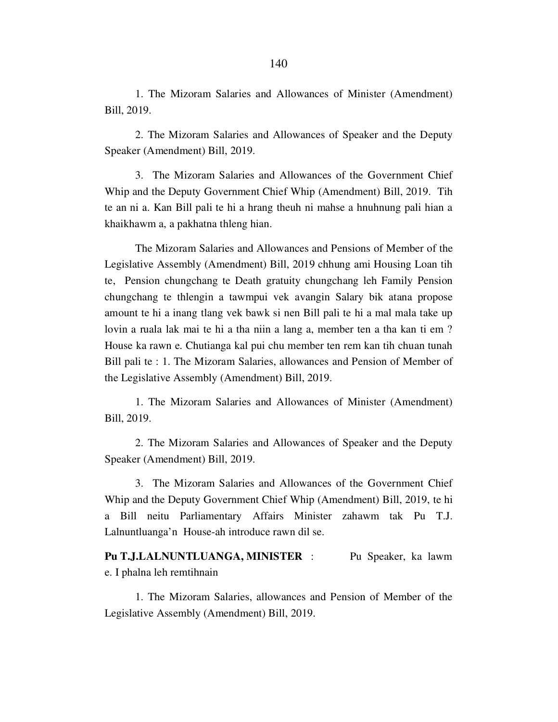1. The Mizoram Salaries and Allowances of Minister (Amendment) Bill, 2019.

 2. The Mizoram Salaries and Allowances of Speaker and the Deputy Speaker (Amendment) Bill, 2019.

 3. The Mizoram Salaries and Allowances of the Government Chief Whip and the Deputy Government Chief Whip (Amendment) Bill, 2019. Tih te an ni a. Kan Bill pali te hi a hrang theuh ni mahse a hnuhnung pali hian a khaikhawm a, a pakhatna thleng hian.

 The Mizoram Salaries and Allowances and Pensions of Member of the Legislative Assembly (Amendment) Bill, 2019 chhung ami Housing Loan tih te, Pension chungchang te Death gratuity chungchang leh Family Pension chungchang te thlengin a tawmpui vek avangin Salary bik atana propose amount te hi a inang tlang vek bawk si nen Bill pali te hi a mal mala take up lovin a ruala lak mai te hi a tha niin a lang a, member ten a tha kan ti em ? House ka rawn e. Chutianga kal pui chu member ten rem kan tih chuan tunah Bill pali te : 1. The Mizoram Salaries, allowances and Pension of Member of the Legislative Assembly (Amendment) Bill, 2019.

 1. The Mizoram Salaries and Allowances of Minister (Amendment) Bill, 2019.

 2. The Mizoram Salaries and Allowances of Speaker and the Deputy Speaker (Amendment) Bill, 2019.

 3. The Mizoram Salaries and Allowances of the Government Chief Whip and the Deputy Government Chief Whip (Amendment) Bill, 2019, te hi a Bill neitu Parliamentary Affairs Minister zahawm tak Pu T.J. Lalnuntluanga'n House-ah introduce rawn dil se.

Pu T.J.LALNUNTLUANGA, MINISTER : Pu Speaker, ka lawm e. I phalna leh remtihnain

 1. The Mizoram Salaries, allowances and Pension of Member of the Legislative Assembly (Amendment) Bill, 2019.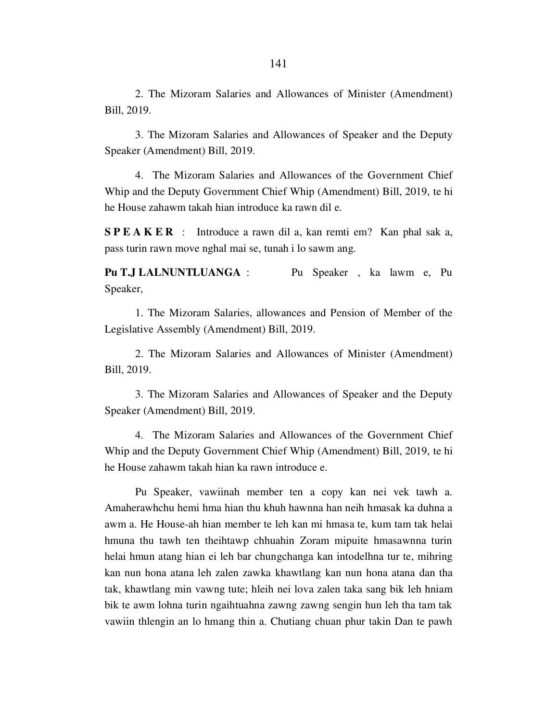2. The Mizoram Salaries and Allowances of Minister (Amendment) Bill, 2019.

 3. The Mizoram Salaries and Allowances of Speaker and the Deputy Speaker (Amendment) Bill, 2019.

 4. The Mizoram Salaries and Allowances of the Government Chief Whip and the Deputy Government Chief Whip (Amendment) Bill, 2019, te hi he House zahawm takah hian introduce ka rawn dil e.

S P E A K E R : Introduce a rawn dil a, kan remti em? Kan phal sak a, pass turin rawn move nghal mai se, tunah i lo sawm ang.

Pu T.J LALNUNTLUANGA : Pu Speaker, ka lawm e, Pu Speaker,

 1. The Mizoram Salaries, allowances and Pension of Member of the Legislative Assembly (Amendment) Bill, 2019.

 2. The Mizoram Salaries and Allowances of Minister (Amendment) Bill, 2019.

 3. The Mizoram Salaries and Allowances of Speaker and the Deputy Speaker (Amendment) Bill, 2019.

 4. The Mizoram Salaries and Allowances of the Government Chief Whip and the Deputy Government Chief Whip (Amendment) Bill, 2019, te hi he House zahawm takah hian ka rawn introduce e.

 Pu Speaker, vawiinah member ten a copy kan nei vek tawh a. Amaherawhchu hemi hma hian thu khuh hawnna han neih hmasak ka duhna a awm a. He House-ah hian member te leh kan mi hmasa te, kum tam tak helai hmuna thu tawh ten theihtawp chhuahin Zoram mipuite hmasawnna turin helai hmun atang hian ei leh bar chungchanga kan intodelhna tur te, mihring kan nun hona atana leh zalen zawka khawtlang kan nun hona atana dan tha tak, khawtlang min vawng tute; hleih nei lova zalen taka sang bik leh hniam bik te awm lohna turin ngaihtuahna zawng zawng sengin hun leh tha tam tak vawiin thlengin an lo hmang thin a. Chutiang chuan phur takin Dan te pawh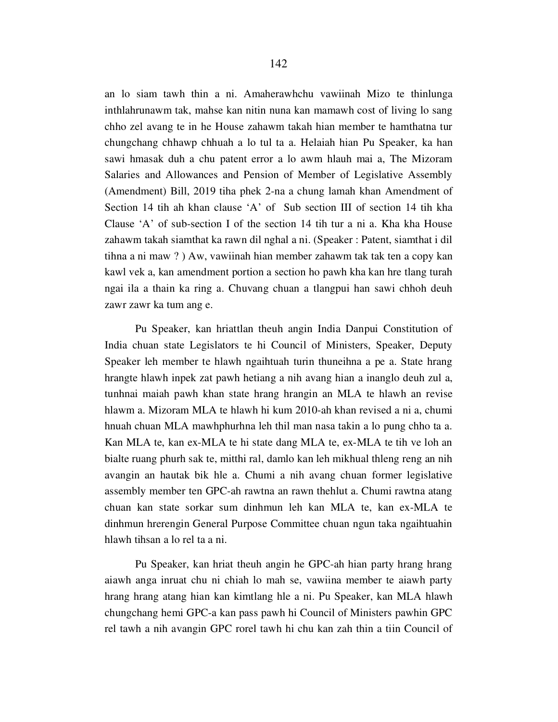an lo siam tawh thin a ni. Amaherawhchu vawiinah Mizo te thinlunga inthlahrunawm tak, mahse kan nitin nuna kan mamawh cost of living lo sang chho zel avang te in he House zahawm takah hian member te hamthatna tur chungchang chhawp chhuah a lo tul ta a. Helaiah hian Pu Speaker, ka han sawi hmasak duh a chu patent error a lo awm hlauh mai a, The Mizoram Salaries and Allowances and Pension of Member of Legislative Assembly (Amendment) Bill, 2019 tiha phek 2-na a chung lamah khan Amendment of Section 14 tih ah khan clause 'A' of Sub section III of section 14 tih kha Clause 'A' of sub-section I of the section 14 tih tur a ni a. Kha kha House zahawm takah siamthat ka rawn dil nghal a ni. (Speaker : Patent, siamthat i dil tihna a ni maw ? ) Aw, vawiinah hian member zahawm tak tak ten a copy kan kawl vek a, kan amendment portion a section ho pawh kha kan hre tlang turah ngai ila a thain ka ring a. Chuvang chuan a tlangpui han sawi chhoh deuh zawr zawr ka tum ang e.

 Pu Speaker, kan hriattlan theuh angin India Danpui Constitution of India chuan state Legislators te hi Council of Ministers, Speaker, Deputy Speaker leh member te hlawh ngaihtuah turin thuneihna a pe a. State hrang hrangte hlawh inpek zat pawh hetiang a nih avang hian a inanglo deuh zul a, tunhnai maiah pawh khan state hrang hrangin an MLA te hlawh an revise hlawm a. Mizoram MLA te hlawh hi kum 2010-ah khan revised a ni a, chumi hnuah chuan MLA mawhphurhna leh thil man nasa takin a lo pung chho ta a. Kan MLA te, kan ex-MLA te hi state dang MLA te, ex-MLA te tih ve loh an bialte ruang phurh sak te, mitthi ral, damlo kan leh mikhual thleng reng an nih avangin an hautak bik hle a. Chumi a nih avang chuan former legislative assembly member ten GPC-ah rawtna an rawn thehlut a. Chumi rawtna atang chuan kan state sorkar sum dinhmun leh kan MLA te, kan ex-MLA te dinhmun hrerengin General Purpose Committee chuan ngun taka ngaihtuahin hlawh tihsan a lo rel ta a ni.

 Pu Speaker, kan hriat theuh angin he GPC-ah hian party hrang hrang aiawh anga inruat chu ni chiah lo mah se, vawiina member te aiawh party hrang hrang atang hian kan kimtlang hle a ni. Pu Speaker, kan MLA hlawh chungchang hemi GPC-a kan pass pawh hi Council of Ministers pawhin GPC rel tawh a nih avangin GPC rorel tawh hi chu kan zah thin a tiin Council of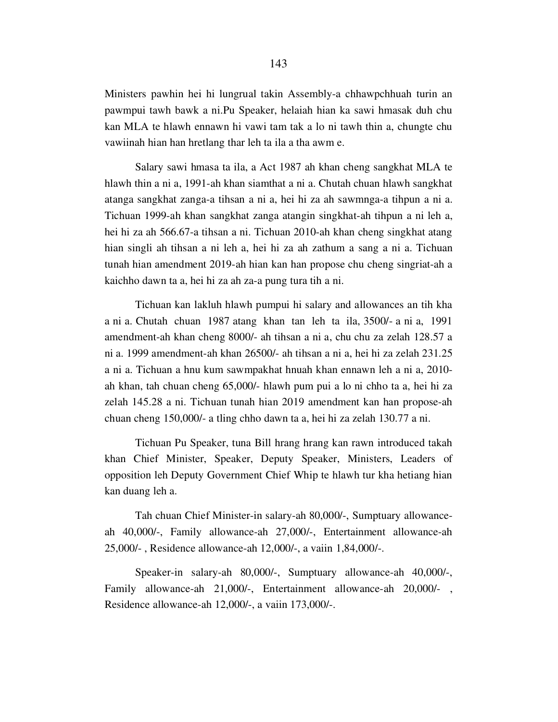Ministers pawhin hei hi lungrual takin Assembly-a chhawpchhuah turin an pawmpui tawh bawk a ni.Pu Speaker, helaiah hian ka sawi hmasak duh chu kan MLA te hlawh ennawn hi vawi tam tak a lo ni tawh thin a, chungte chu vawiinah hian han hretlang thar leh ta ila a tha awm e.

 Salary sawi hmasa ta ila, a Act 1987 ah khan cheng sangkhat MLA te hlawh thin a ni a, 1991-ah khan siamthat a ni a. Chutah chuan hlawh sangkhat atanga sangkhat zanga-a tihsan a ni a, hei hi za ah sawmnga-a tihpun a ni a. Tichuan 1999-ah khan sangkhat zanga atangin singkhat-ah tihpun a ni leh a, hei hi za ah 566.67-a tihsan a ni. Tichuan 2010-ah khan cheng singkhat atang hian singli ah tihsan a ni leh a, hei hi za ah zathum a sang a ni a. Tichuan tunah hian amendment 2019-ah hian kan han propose chu cheng singriat-ah a kaichho dawn ta a, hei hi za ah za-a pung tura tih a ni.

 Tichuan kan lakluh hlawh pumpui hi salary and allowances an tih kha a ni a. Chutah chuan 1987 atang khan tan leh ta ila, 3500/- a ni a, 1991 amendment-ah khan cheng 8000/- ah tihsan a ni a, chu chu za zelah 128.57 a ni a. 1999 amendment-ah khan 26500/- ah tihsan a ni a, hei hi za zelah 231.25 a ni a. Tichuan a hnu kum sawmpakhat hnuah khan ennawn leh a ni a, 2010 ah khan, tah chuan cheng 65,000/- hlawh pum pui a lo ni chho ta a, hei hi za zelah 145.28 a ni. Tichuan tunah hian 2019 amendment kan han propose-ah chuan cheng 150,000/- a tling chho dawn ta a, hei hi za zelah 130.77 a ni.

 Tichuan Pu Speaker, tuna Bill hrang hrang kan rawn introduced takah khan Chief Minister, Speaker, Deputy Speaker, Ministers, Leaders of opposition leh Deputy Government Chief Whip te hlawh tur kha hetiang hian kan duang leh a.

 Tah chuan Chief Minister-in salary-ah 80,000/-, Sumptuary allowanceah 40,000/-, Family allowance-ah 27,000/-, Entertainment allowance-ah 25,000/- , Residence allowance-ah 12,000/-, a vaiin 1,84,000/-.

 Speaker-in salary-ah 80,000/-, Sumptuary allowance-ah 40,000/-, Family allowance-ah 21,000/-, Entertainment allowance-ah 20,000/- , Residence allowance-ah 12,000/-, a vaiin 173,000/-.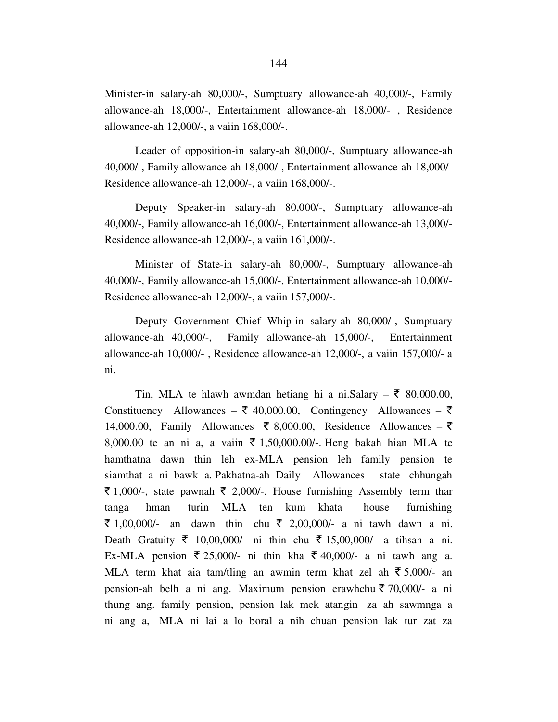Minister-in salary-ah 80,000/-, Sumptuary allowance-ah 40,000/-, Family allowance-ah 18,000/-, Entertainment allowance-ah 18,000/- , Residence allowance-ah 12,000/-, a vaiin 168,000/-.

 Leader of opposition-in salary-ah 80,000/-, Sumptuary allowance-ah 40,000/-, Family allowance-ah 18,000/-, Entertainment allowance-ah 18,000/- Residence allowance-ah 12,000/-, a vaiin 168,000/-.

 Deputy Speaker-in salary-ah 80,000/-, Sumptuary allowance-ah 40,000/-, Family allowance-ah 16,000/-, Entertainment allowance-ah 13,000/- Residence allowance-ah 12,000/-, a vaiin 161,000/-.

 Minister of State-in salary-ah 80,000/-, Sumptuary allowance-ah 40,000/-, Family allowance-ah 15,000/-, Entertainment allowance-ah 10,000/- Residence allowance-ah 12,000/-, a vaiin 157,000/-.

 Deputy Government Chief Whip-in salary-ah 80,000/-, Sumptuary allowance-ah 40,000/-, Family allowance-ah 15,000/-, Entertainment allowance-ah 10,000/- , Residence allowance-ah 12,000/-, a vaiin 157,000/- a ni.

Tin, MLA te hlawh awmdan hetiang hi a ni.Salary –  $\bar{\tau}$  80,000.00, Constituency Allowances –  $\bar{\xi}$  40,000.00, Contingency Allowances –  $\bar{\xi}$ 14,000.00, Family Allowances  $\bar{\xi}$  8,000.00, Residence Allowances –  $\bar{\xi}$ 8,000.00 te an ni a, a vaiin  $\bar{\tau}$  1,50,000.00/-. Heng bakah hian MLA te hamthatna dawn thin leh ex-MLA pension leh family pension te siamthat a ni bawk a. Pakhatna-ah Daily Allowances state chhungah  $\bar{\xi}$  1,000/-, state pawnah  $\bar{\xi}$  2,000/-. House furnishing Assembly term thar tanga hman turin MLA ten kum khata house furnishing ₹ 1,00,000/- an dawn thin chu ₹ 2,00,000/- a ni tawh dawn a ni. Death Gratuity ₹ 10,00,000/- ni thin chu ₹ 15,00,000/- a tihsan a ni. Ex-MLA pension  $\overline{\xi}$  25,000/- ni thin kha  $\overline{\xi}$  40,000/- a ni tawh ang a. MLA term khat aia tam/tling an awmin term khat zel ah  $\bar{\bar{\tau}}$  5,000/- an pension-ah belh a ni ang. Maximum pension erawhchu  $\bar{\tau}$  70,000/- a ni thung ang. family pension, pension lak mek atangin za ah sawmnga a ni ang a, MLA ni lai a lo boral a nih chuan pension lak tur zat za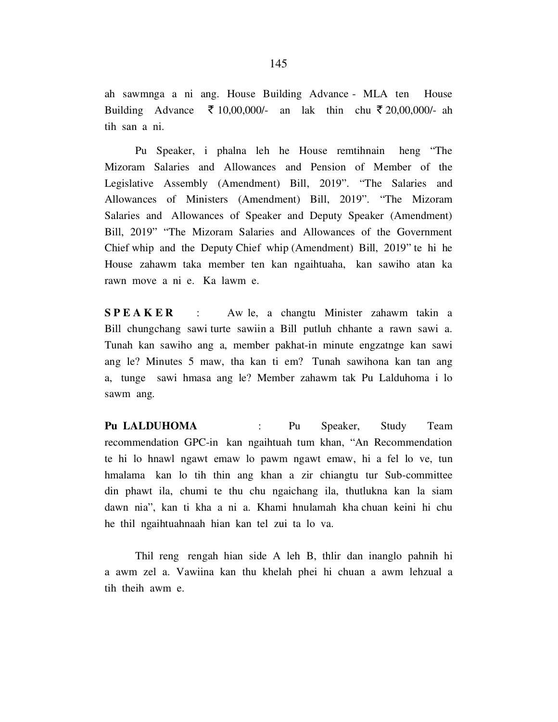ah sawmnga a ni ang. House Building Advance - MLA ten House Building Advance  $\bar{\tau}$  10,00,000/- an lak thin chu  $\bar{\tau}$  20,00,000/- ah tih san a ni.

 Pu Speaker, i phalna leh he House remtihnain heng "The Mizoram Salaries and Allowances and Pension of Member of the Legislative Assembly (Amendment) Bill, 2019". "The Salaries and Allowances of Ministers (Amendment) Bill, 2019". "The Mizoram Salaries and Allowances of Speaker and Deputy Speaker (Amendment) Bill, 2019" "The Mizoram Salaries and Allowances of the Government Chief whip and the Deputy Chief whip (Amendment) Bill, 2019" te hi he House zahawm taka member ten kan ngaihtuaha, kan sawiho atan ka rawn move a ni e. Ka lawm e.

**SPEAKER** : Aw le, a changtu Minister zahawm takin a Bill chungchang sawi turte sawiin a Bill putluh chhante a rawn sawi a. Tunah kan sawiho ang a, member pakhat-in minute engzatnge kan sawi ang le? Minutes 5 maw, tha kan ti em? Tunah sawihona kan tan ang a, tunge sawi hmasa ang le? Member zahawm tak Pu Lalduhoma i lo sawm ang.

Pu LALDUHOMA : Pu Speaker, Study Team recommendation GPC-in kan ngaihtuah tum khan, "An Recommendation te hi lo hnawl ngawt emaw lo pawm ngawt emaw, hi a fel lo ve, tun hmalama kan lo tih thin ang khan a zir chiangtu tur Sub-committee din phawt ila, chumi te thu chu ngaichang ila, thutlukna kan la siam dawn nia", kan ti kha a ni a. Khami hnulamah kha chuan keini hi chu he thil ngaihtuahnaah hian kan tel zui ta lo va.

 Thil reng rengah hian side A leh B, thlir dan inanglo pahnih hi a awm zel a. Vawiina kan thu khelah phei hi chuan a awm lehzual a tih theih awm e.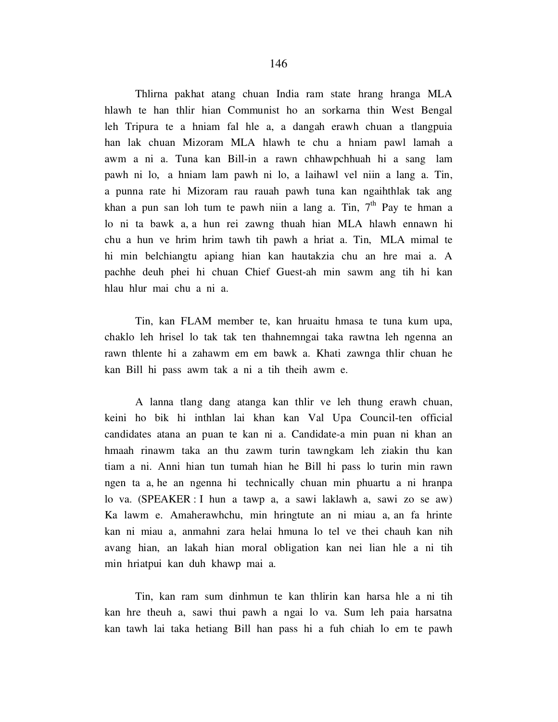Thlirna pakhat atang chuan India ram state hrang hranga MLA hlawh te han thlir hian Communist ho an sorkarna thin West Bengal leh Tripura te a hniam fal hle a, a dangah erawh chuan a tlangpuia han lak chuan Mizoram MLA hlawh te chu a hniam pawl lamah a awm a ni a. Tuna kan Bill-in a rawn chhawpchhuah hi a sang lam pawh ni lo, a hniam lam pawh ni lo, a laihawl vel niin a lang a. Tin, a punna rate hi Mizoram rau rauah pawh tuna kan ngaihthlak tak ang khan a pun san loh tum te pawh niin a lang a. Tin,  $7<sup>th</sup>$  Pay te hman a lo ni ta bawk a, a hun rei zawng thuah hian MLA hlawh ennawn hi chu a hun ve hrim hrim tawh tih pawh a hriat a. Tin, MLA mimal te hi min belchiangtu apiang hian kan hautakzia chu an hre mai a. A pachhe deuh phei hi chuan Chief Guest-ah min sawm ang tih hi kan hlau hlur mai chu a ni a.

 Tin, kan FLAM member te, kan hruaitu hmasa te tuna kum upa, chaklo leh hrisel lo tak tak ten thahnemngai taka rawtna leh ngenna an rawn thlente hi a zahawm em em bawk a. Khati zawnga thlir chuan he kan Bill hi pass awm tak a ni a tih theih awm e.

 A lanna tlang dang atanga kan thlir ve leh thung erawh chuan, keini ho bik hi inthlan lai khan kan Val Upa Council-ten official candidates atana an puan te kan ni a. Candidate-a min puan ni khan an hmaah rinawm taka an thu zawm turin tawngkam leh ziakin thu kan tiam a ni. Anni hian tun tumah hian he Bill hi pass lo turin min rawn ngen ta a, he an ngenna hi technically chuan min phuartu a ni hranpa lo va. (SPEAKER : I hun a tawp a, a sawi laklawh a, sawi zo se aw) Ka lawm e. Amaherawhchu, min hringtute an ni miau a, an fa hrinte kan ni miau a, anmahni zara helai hmuna lo tel ve thei chauh kan nih avang hian, an lakah hian moral obligation kan nei lian hle a ni tih min hriatpui kan duh khawp mai a.

 Tin, kan ram sum dinhmun te kan thlirin kan harsa hle a ni tih kan hre theuh a, sawi thui pawh a ngai lo va. Sum leh paia harsatna kan tawh lai taka hetiang Bill han pass hi a fuh chiah lo em te pawh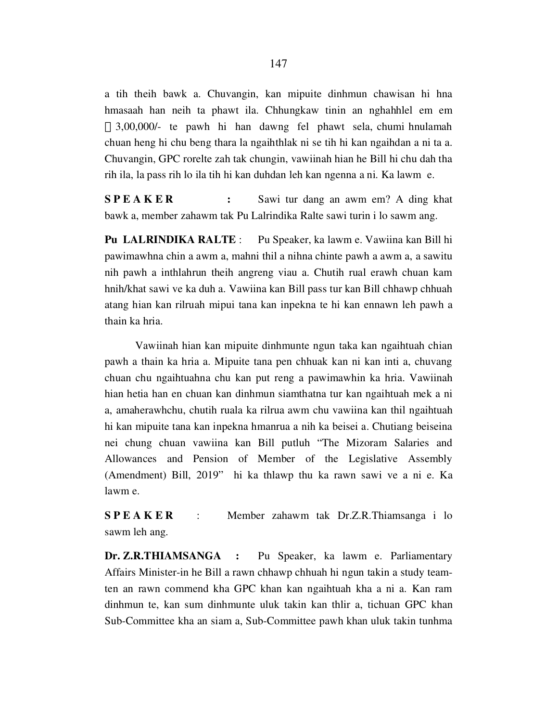a tih theih bawk a. Chuvangin, kan mipuite dinhmun chawisan hi hna hmasaah han neih ta phawt ila. Chhungkaw tinin an nghahhlel em em 3,00,000/- te pawh hi han dawng fel phawt sela, chumi hnulamah chuan heng hi chu beng thara la ngaihthlak ni se tih hi kan ngaihdan a ni ta a. Chuvangin, GPC rorelte zah tak chungin, vawiinah hian he Bill hi chu dah tha rih ila, la pass rih lo ila tih hi kan duhdan leh kan ngenna a ni. Ka lawm e.

S P E A K E R : Sawi tur dang an awm em? A ding khat bawk a, member zahawm tak Pu Lalrindika Ralte sawi turin i lo sawm ang.

Pu LALRINDIKA RALTE : Pu Speaker, ka lawm e. Vawiina kan Bill hi pawimawhna chin a awm a, mahni thil a nihna chinte pawh a awm a, a sawitu nih pawh a inthlahrun theih angreng viau a. Chutih rual erawh chuan kam hnih/khat sawi ve ka duh a. Vawiina kan Bill pass tur kan Bill chhawp chhuah atang hian kan rilruah mipui tana kan inpekna te hi kan ennawn leh pawh a thain ka hria.

 Vawiinah hian kan mipuite dinhmunte ngun taka kan ngaihtuah chian pawh a thain ka hria a. Mipuite tana pen chhuak kan ni kan inti a, chuvang chuan chu ngaihtuahna chu kan put reng a pawimawhin ka hria. Vawiinah hian hetia han en chuan kan dinhmun siamthatna tur kan ngaihtuah mek a ni a, amaherawhchu, chutih ruala ka rilrua awm chu vawiina kan thil ngaihtuah hi kan mipuite tana kan inpekna hmanrua a nih ka beisei a. Chutiang beiseina nei chung chuan vawiina kan Bill putluh "The Mizoram Salaries and Allowances and Pension of Member of the Legislative Assembly (Amendment) Bill, 2019" hi ka thlawp thu ka rawn sawi ve a ni e. Ka lawm e.

S P E A K E R : Member zahawm tak Dr.Z.R.Thiamsanga i lo sawm leh ang.

Dr. Z.R.THIAMSANGA : Pu Speaker, ka lawm e. Parliamentary Affairs Minister-in he Bill a rawn chhawp chhuah hi ngun takin a study teamten an rawn commend kha GPC khan kan ngaihtuah kha a ni a. Kan ram dinhmun te, kan sum dinhmunte uluk takin kan thlir a, tichuan GPC khan Sub-Committee kha an siam a, Sub-Committee pawh khan uluk takin tunhma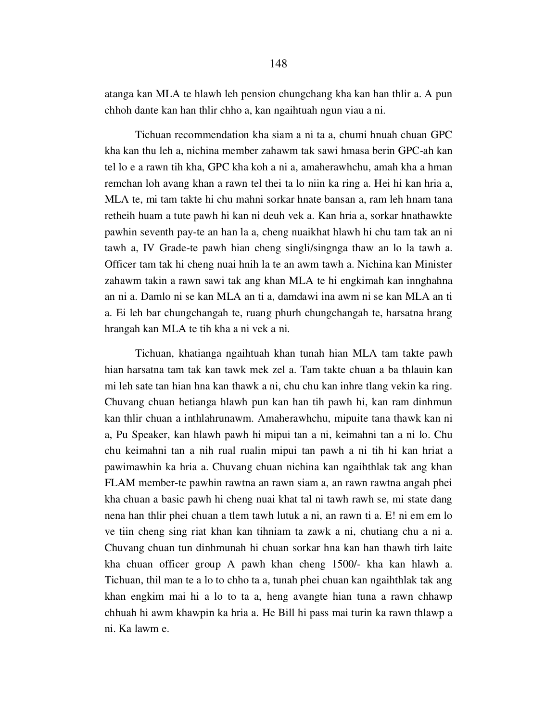atanga kan MLA te hlawh leh pension chungchang kha kan han thlir a. A pun chhoh dante kan han thlir chho a, kan ngaihtuah ngun viau a ni.

 Tichuan recommendation kha siam a ni ta a, chumi hnuah chuan GPC kha kan thu leh a, nichina member zahawm tak sawi hmasa berin GPC-ah kan tel lo e a rawn tih kha, GPC kha koh a ni a, amaherawhchu, amah kha a hman remchan loh avang khan a rawn tel thei ta lo niin ka ring a. Hei hi kan hria a, MLA te, mi tam takte hi chu mahni sorkar hnate bansan a, ram leh hnam tana retheih huam a tute pawh hi kan ni deuh vek a. Kan hria a, sorkar hnathawkte pawhin seventh pay-te an han la a, cheng nuaikhat hlawh hi chu tam tak an ni tawh a, IV Grade-te pawh hian cheng singli/singnga thaw an lo la tawh a. Officer tam tak hi cheng nuai hnih la te an awm tawh a. Nichina kan Minister zahawm takin a rawn sawi tak ang khan MLA te hi engkimah kan innghahna an ni a. Damlo ni se kan MLA an ti a, damdawi ina awm ni se kan MLA an ti a. Ei leh bar chungchangah te, ruang phurh chungchangah te, harsatna hrang hrangah kan MLA te tih kha a ni vek a ni.

 Tichuan, khatianga ngaihtuah khan tunah hian MLA tam takte pawh hian harsatna tam tak kan tawk mek zel a. Tam takte chuan a ba thlauin kan mi leh sate tan hian hna kan thawk a ni, chu chu kan inhre tlang vekin ka ring. Chuvang chuan hetianga hlawh pun kan han tih pawh hi, kan ram dinhmun kan thlir chuan a inthlahrunawm. Amaherawhchu, mipuite tana thawk kan ni a, Pu Speaker, kan hlawh pawh hi mipui tan a ni, keimahni tan a ni lo. Chu chu keimahni tan a nih rual rualin mipui tan pawh a ni tih hi kan hriat a pawimawhin ka hria a. Chuvang chuan nichina kan ngaihthlak tak ang khan FLAM member-te pawhin rawtna an rawn siam a, an rawn rawtna angah phei kha chuan a basic pawh hi cheng nuai khat tal ni tawh rawh se, mi state dang nena han thlir phei chuan a tlem tawh lutuk a ni, an rawn ti a. E! ni em em lo ve tiin cheng sing riat khan kan tihniam ta zawk a ni, chutiang chu a ni a. Chuvang chuan tun dinhmunah hi chuan sorkar hna kan han thawh tirh laite kha chuan officer group A pawh khan cheng 1500/- kha kan hlawh a. Tichuan, thil man te a lo to chho ta a, tunah phei chuan kan ngaihthlak tak ang khan engkim mai hi a lo to ta a, heng avangte hian tuna a rawn chhawp chhuah hi awm khawpin ka hria a. He Bill hi pass mai turin ka rawn thlawp a ni. Ka lawm e.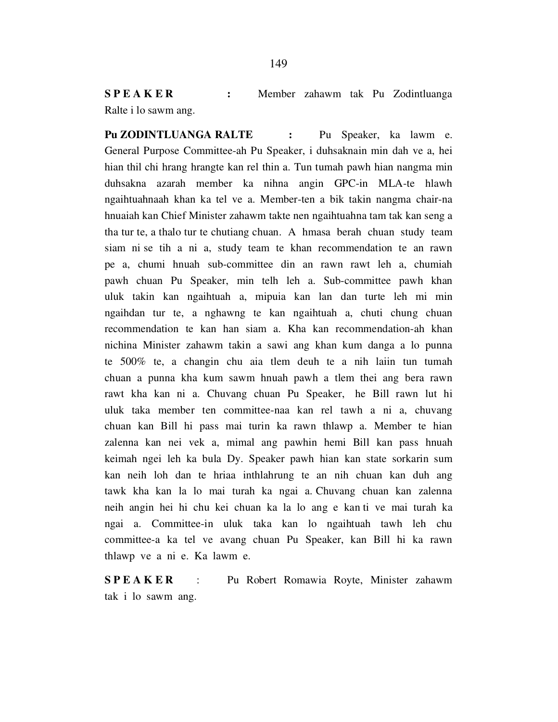SPEAKER : Member zahawm tak Pu Zodintluanga Ralte i lo sawm ang.

Pu ZODINTLUANGA RALTE : Pu Speaker, ka lawm e. General Purpose Committee-ah Pu Speaker, i duhsaknain min dah ve a, hei hian thil chi hrang hrangte kan rel thin a. Tun tumah pawh hian nangma min duhsakna azarah member ka nihna angin GPC-in MLA-te hlawh ngaihtuahnaah khan ka tel ve a. Member-ten a bik takin nangma chair-na hnuaiah kan Chief Minister zahawm takte nen ngaihtuahna tam tak kan seng a tha tur te, a thalo tur te chutiang chuan. A hmasa berah chuan study team siam ni se tih a ni a, study team te khan recommendation te an rawn pe a, chumi hnuah sub-committee din an rawn rawt leh a, chumiah pawh chuan Pu Speaker, min telh leh a. Sub-committee pawh khan uluk takin kan ngaihtuah a, mipuia kan lan dan turte leh mi min ngaihdan tur te, a nghawng te kan ngaihtuah a, chuti chung chuan recommendation te kan han siam a. Kha kan recommendation-ah khan nichina Minister zahawm takin a sawi ang khan kum danga a lo punna te 500% te, a changin chu aia tlem deuh te a nih laiin tun tumah chuan a punna kha kum sawm hnuah pawh a tlem thei ang bera rawn rawt kha kan ni a. Chuvang chuan Pu Speaker, he Bill rawn lut hi uluk taka member ten committee-naa kan rel tawh a ni a, chuvang chuan kan Bill hi pass mai turin ka rawn thlawp a. Member te hian zalenna kan nei vek a, mimal ang pawhin hemi Bill kan pass hnuah keimah ngei leh ka bula Dy. Speaker pawh hian kan state sorkarin sum kan neih loh dan te hriaa inthlahrung te an nih chuan kan duh ang tawk kha kan la lo mai turah ka ngai a. Chuvang chuan kan zalenna neih angin hei hi chu kei chuan ka la lo ang e kan ti ve mai turah ka ngai a. Committee-in uluk taka kan lo ngaihtuah tawh leh chu committee-a ka tel ve avang chuan Pu Speaker, kan Bill hi ka rawn thlawp ve a ni e. Ka lawm e.

**SPEAKER** : Pu Robert Romawia Royte, Minister zahawm tak i lo sawm ang.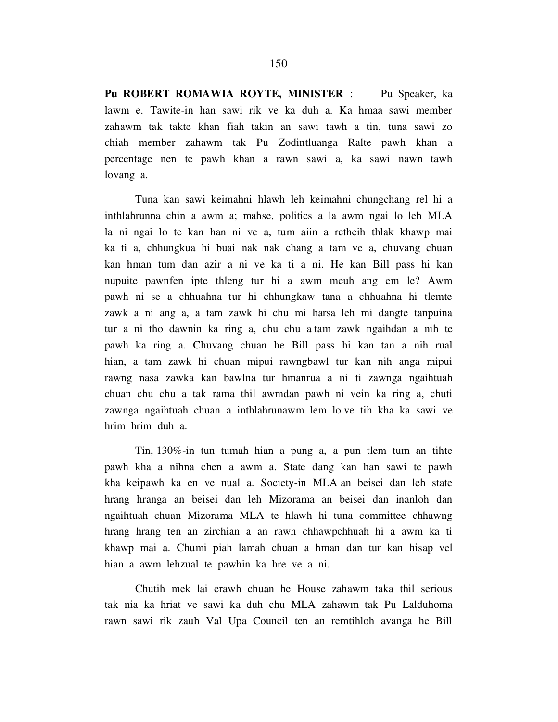Pu ROBERT ROMAWIA ROYTE, MINISTER : Pu Speaker, ka lawm e. Tawite-in han sawi rik ve ka duh a. Ka hmaa sawi member zahawm tak takte khan fiah takin an sawi tawh a tin, tuna sawi zo chiah member zahawm tak Pu Zodintluanga Ralte pawh khan a percentage nen te pawh khan a rawn sawi a, ka sawi nawn tawh lovang a.

 Tuna kan sawi keimahni hlawh leh keimahni chungchang rel hi a inthlahrunna chin a awm a; mahse, politics a la awm ngai lo leh MLA la ni ngai lo te kan han ni ve a, tum aiin a retheih thlak khawp mai ka ti a, chhungkua hi buai nak nak chang a tam ve a, chuvang chuan kan hman tum dan azir a ni ve ka ti a ni. He kan Bill pass hi kan nupuite pawnfen ipte thleng tur hi a awm meuh ang em le? Awm pawh ni se a chhuahna tur hi chhungkaw tana a chhuahna hi tlemte zawk a ni ang a, a tam zawk hi chu mi harsa leh mi dangte tanpuina tur a ni tho dawnin ka ring a, chu chu a tam zawk ngaihdan a nih te pawh ka ring a. Chuvang chuan he Bill pass hi kan tan a nih rual hian, a tam zawk hi chuan mipui rawngbawl tur kan nih anga mipui rawng nasa zawka kan bawlna tur hmanrua a ni ti zawnga ngaihtuah chuan chu chu a tak rama thil awmdan pawh ni vein ka ring a, chuti zawnga ngaihtuah chuan a inthlahrunawm lem lo ve tih kha ka sawi ve hrim hrim duh a.

 Tin, 130%-in tun tumah hian a pung a, a pun tlem tum an tihte pawh kha a nihna chen a awm a. State dang kan han sawi te pawh kha keipawh ka en ve nual a. Society-in MLA an beisei dan leh state hrang hranga an beisei dan leh Mizorama an beisei dan inanloh dan ngaihtuah chuan Mizorama MLA te hlawh hi tuna committee chhawng hrang hrang ten an zirchian a an rawn chhawpchhuah hi a awm ka ti khawp mai a. Chumi piah lamah chuan a hman dan tur kan hisap vel hian a awm lehzual te pawhin ka hre ve a ni.

 Chutih mek lai erawh chuan he House zahawm taka thil serious tak nia ka hriat ve sawi ka duh chu MLA zahawm tak Pu Lalduhoma rawn sawi rik zauh Val Upa Council ten an remtihloh avanga he Bill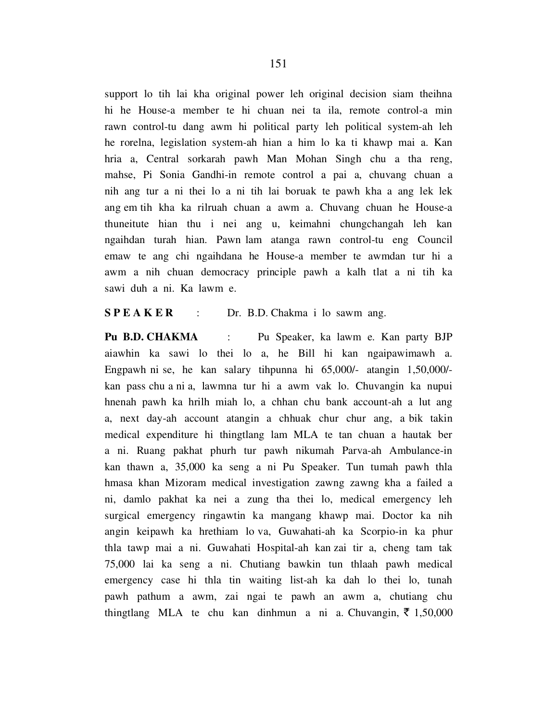support lo tih lai kha original power leh original decision siam theihna hi he House-a member te hi chuan nei ta ila, remote control-a min rawn control-tu dang awm hi political party leh political system-ah leh he rorelna, legislation system-ah hian a him lo ka ti khawp mai a. Kan hria a, Central sorkarah pawh Man Mohan Singh chu a tha reng, mahse, Pi Sonia Gandhi-in remote control a pai a, chuvang chuan a nih ang tur a ni thei lo a ni tih lai boruak te pawh kha a ang lek lek ang em tih kha ka rilruah chuan a awm a. Chuvang chuan he House-a thuneitute hian thu i nei ang u, keimahni chungchangah leh kan ngaihdan turah hian. Pawn lam atanga rawn control-tu eng Council emaw te ang chi ngaihdana he House-a member te awmdan tur hi a awm a nih chuan democracy principle pawh a kalh tlat a ni tih ka sawi duh a ni. Ka lawm e.

S P E A K E R : Dr. B.D. Chakma i lo sawm ang.

Pu B.D. CHAKMA : Pu Speaker, ka lawm e. Kan party BJP aiawhin ka sawi lo thei lo a, he Bill hi kan ngaipawimawh a. Engpawh ni se, he kan salary tihpunna hi 65,000/- atangin 1,50,000/ kan pass chu a ni a, lawmna tur hi a awm vak lo. Chuvangin ka nupui hnenah pawh ka hrilh miah lo, a chhan chu bank account-ah a lut ang a, next day-ah account atangin a chhuak chur chur ang, a bik takin medical expenditure hi thingtlang lam MLA te tan chuan a hautak ber a ni. Ruang pakhat phurh tur pawh nikumah Parva-ah Ambulance-in kan thawn a, 35,000 ka seng a ni Pu Speaker. Tun tumah pawh thla hmasa khan Mizoram medical investigation zawng zawng kha a failed a ni, damlo pakhat ka nei a zung tha thei lo, medical emergency leh surgical emergency ringawtin ka mangang khawp mai. Doctor ka nih angin keipawh ka hrethiam lo va, Guwahati-ah ka Scorpio-in ka phur thla tawp mai a ni. Guwahati Hospital-ah kan zai tir a, cheng tam tak 75,000 lai ka seng a ni. Chutiang bawkin tun thlaah pawh medical emergency case hi thla tin waiting list-ah ka dah lo thei lo, tunah pawh pathum a awm, zai ngai te pawh an awm a, chutiang chu thingtlang MLA te chu kan dinhmun a ni a Chuvangin,  $\bar{\tau}$  1,50,000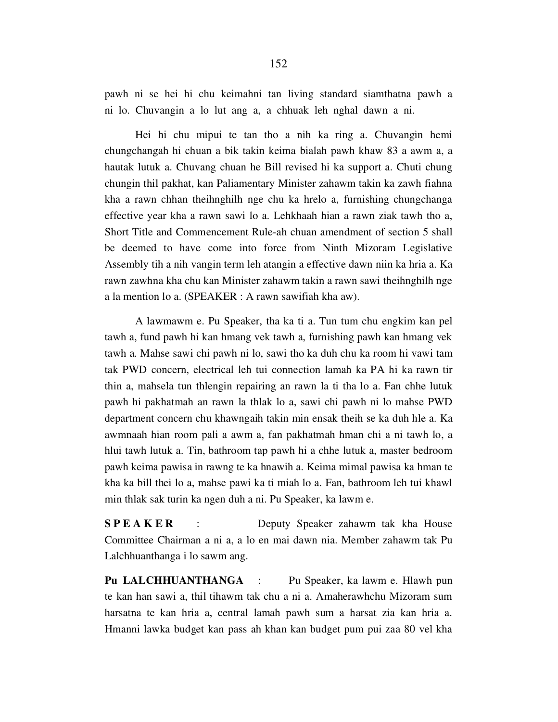pawh ni se hei hi chu keimahni tan living standard siamthatna pawh a ni lo. Chuvangin a lo lut ang a, a chhuak leh nghal dawn a ni.

 Hei hi chu mipui te tan tho a nih ka ring a. Chuvangin hemi chungchangah hi chuan a bik takin keima bialah pawh khaw 83 a awm a, a hautak lutuk a. Chuvang chuan he Bill revised hi ka support a. Chuti chung chungin thil pakhat, kan Paliamentary Minister zahawm takin ka zawh fiahna kha a rawn chhan theihnghilh nge chu ka hrelo a, furnishing chungchanga effective year kha a rawn sawi lo a. Lehkhaah hian a rawn ziak tawh tho a, Short Title and Commencement Rule-ah chuan amendment of section 5 shall be deemed to have come into force from Ninth Mizoram Legislative Assembly tih a nih vangin term leh atangin a effective dawn niin ka hria a. Ka rawn zawhna kha chu kan Minister zahawm takin a rawn sawi theihnghilh nge a la mention lo a. (SPEAKER : A rawn sawifiah kha aw).

 A lawmawm e. Pu Speaker, tha ka ti a. Tun tum chu engkim kan pel tawh a, fund pawh hi kan hmang vek tawh a, furnishing pawh kan hmang vek tawh a. Mahse sawi chi pawh ni lo, sawi tho ka duh chu ka room hi vawi tam tak PWD concern, electrical leh tui connection lamah ka PA hi ka rawn tir thin a, mahsela tun thlengin repairing an rawn la ti tha lo a. Fan chhe lutuk pawh hi pakhatmah an rawn la thlak lo a, sawi chi pawh ni lo mahse PWD department concern chu khawngaih takin min ensak theih se ka duh hle a. Ka awmnaah hian room pali a awm a, fan pakhatmah hman chi a ni tawh lo, a hlui tawh lutuk a. Tin, bathroom tap pawh hi a chhe lutuk a, master bedroom pawh keima pawisa in rawng te ka hnawih a. Keima mimal pawisa ka hman te kha ka bill thei lo a, mahse pawi ka ti miah lo a. Fan, bathroom leh tui khawl min thlak sak turin ka ngen duh a ni. Pu Speaker, ka lawm e.

S P E A K E R : Deputy Speaker zahawm tak kha House Committee Chairman a ni a, a lo en mai dawn nia. Member zahawm tak Pu Lalchhuanthanga i lo sawm ang.

Pu LALCHHUANTHANGA : Pu Speaker, ka lawm e. Hlawh pun te kan han sawi a, thil tihawm tak chu a ni a. Amaherawhchu Mizoram sum harsatna te kan hria a, central lamah pawh sum a harsat zia kan hria a. Hmanni lawka budget kan pass ah khan kan budget pum pui zaa 80 vel kha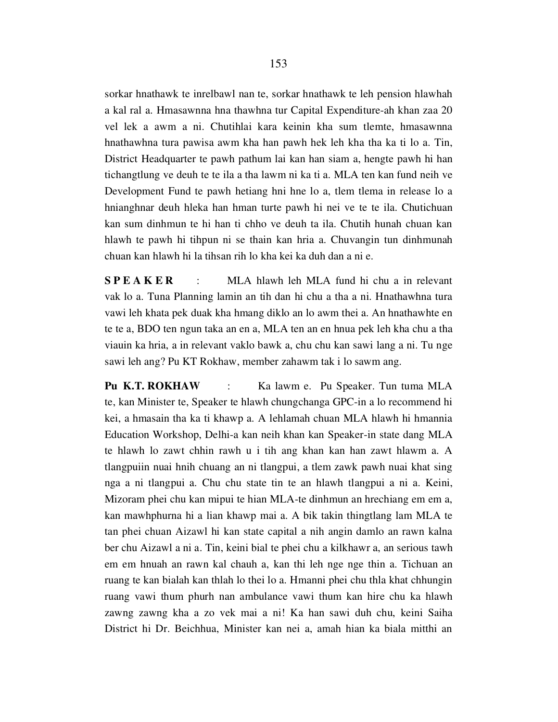sorkar hnathawk te inrelbawl nan te, sorkar hnathawk te leh pension hlawhah a kal ral a. Hmasawnna hna thawhna tur Capital Expenditure-ah khan zaa 20 vel lek a awm a ni. Chutihlai kara keinin kha sum tlemte, hmasawnna hnathawhna tura pawisa awm kha han pawh hek leh kha tha ka ti lo a. Tin, District Headquarter te pawh pathum lai kan han siam a, hengte pawh hi han tichangtlung ve deuh te te ila a tha lawm ni ka ti a. MLA ten kan fund neih ve Development Fund te pawh hetiang hni hne lo a, tlem tlema in release lo a hnianghnar deuh hleka han hman turte pawh hi nei ve te te ila. Chutichuan kan sum dinhmun te hi han ti chho ve deuh ta ila. Chutih hunah chuan kan hlawh te pawh hi tihpun ni se thain kan hria a. Chuvangin tun dinhmunah chuan kan hlawh hi la tihsan rih lo kha kei ka duh dan a ni e.

S P E A K E R : MLA hlawh leh MLA fund hi chu a in relevant vak lo a. Tuna Planning lamin an tih dan hi chu a tha a ni. Hnathawhna tura vawi leh khata pek duak kha hmang diklo an lo awm thei a. An hnathawhte en te te a, BDO ten ngun taka an en a, MLA ten an en hnua pek leh kha chu a tha viauin ka hria, a in relevant vaklo bawk a, chu chu kan sawi lang a ni. Tu nge sawi leh ang? Pu KT Rokhaw, member zahawm tak i lo sawm ang.

Pu K.T. ROKHAW : Ka lawm e. Pu Speaker. Tun tuma MLA te, kan Minister te, Speaker te hlawh chungchanga GPC-in a lo recommend hi kei, a hmasain tha ka ti khawp a. A lehlamah chuan MLA hlawh hi hmannia Education Workshop, Delhi-a kan neih khan kan Speaker-in state dang MLA te hlawh lo zawt chhin rawh u i tih ang khan kan han zawt hlawm a. A tlangpuiin nuai hnih chuang an ni tlangpui, a tlem zawk pawh nuai khat sing nga a ni tlangpui a. Chu chu state tin te an hlawh tlangpui a ni a. Keini, Mizoram phei chu kan mipui te hian MLA-te dinhmun an hrechiang em em a, kan mawhphurna hi a lian khawp mai a. A bik takin thingtlang lam MLA te tan phei chuan Aizawl hi kan state capital a nih angin damlo an rawn kalna ber chu Aizawl a ni a. Tin, keini bial te phei chu a kilkhawr a, an serious tawh em em hnuah an rawn kal chauh a, kan thi leh nge nge thin a. Tichuan an ruang te kan bialah kan thlah lo thei lo a. Hmanni phei chu thla khat chhungin ruang vawi thum phurh nan ambulance vawi thum kan hire chu ka hlawh zawng zawng kha a zo vek mai a ni! Ka han sawi duh chu, keini Saiha District hi Dr. Beichhua, Minister kan nei a, amah hian ka biala mitthi an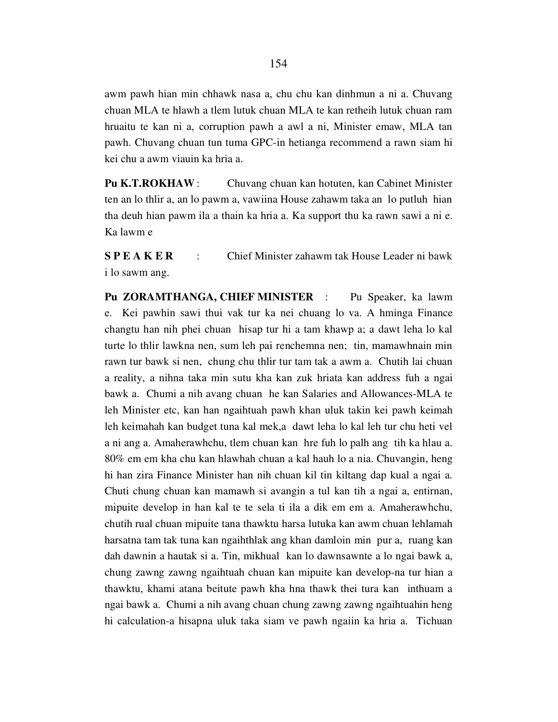awm pawh hian min chhawk nasa a, chu chu kan dinhmun a ni a. Chuvang chuan MLA te hlawh a tlem lutuk chuan MLA te kan retheih lutuk chuan ram hruaitu te kan ni a, corruption pawh a awl a ni, Minister emaw, MLA tan pawh. Chuvang chuan tun tuma GPC-in hetianga recommend a rawn siam hi kei chu a awm viauin ka hria a.

Pu K.T.ROKHAW : Chuvang chuan kan hotuten, kan Cabinet Minister ten an lo thlir a, an lo pawm a, vawiina House zahawm taka an lo putluh hian tha deuh hian pawm ila a thain ka hria a. Ka support thu ka rawn sawi a ni e. Ka lawm e

S P E A K E R : Chief Minister zahawm tak House Leader ni bawk i lo sawm ang.

Pu ZORAMTHANGA, CHIEF MINISTER : Pu Speaker, ka lawm e. Kei pawhin sawi thui vak tur ka nei chuang lo va. A hminga Finance changtu han nih phei chuan hisap tur hi a tam khawp a; a dawt leha lo kal turte lo thlir lawkna nen, sum leh pai renchemna nen; tin, mamawhnain min rawn tur bawk si nen, chung chu thlir tur tam tak a awm a. Chutih lai chuan a reality, a nihna taka min sutu kha kan zuk hriata kan address fuh a ngai bawk a. Chumi a nih avang chuan he kan Salaries and Allowances-MLA te leh Minister etc, kan han ngaihtuah pawh khan uluk takin kei pawh keimah leh keimahah kan budget tuna kal mek,a dawt leha lo kal leh tur chu heti vel a ni ang a. Amaherawhchu, tlem chuan kan hre fuh lo palh ang tih ka hlau a. 80% em em kha chu kan hlawhah chuan a kal hauh lo a nia. Chuvangin, heng hi han zira Finance Minister han nih chuan kil tin kiltang dap kual a ngai a. Chuti chung chuan kan mamawh si avangin a tul kan tih a ngai a, entirnan, mipuite develop in han kal te te sela ti ila a dik em em a. Amaherawhchu, chutih rual chuan mipuite tana thawktu harsa lutuka kan awm chuan lehlamah harsatna tam tak tuna kan ngaihthlak ang khan damloin min pur a, ruang kan dah dawnin a hautak si a. Tin, mikhual kan lo dawnsawnte a lo ngai bawk a, chung zawng zawng ngaihtuah chuan kan mipuite kan develop-na tur hian a thawktu, khami atana beitute pawh kha hna thawk thei tura kan inthuam a ngai bawk a. Chumi a nih avang chuan chung zawng zawng ngaihtuahin heng hi calculation-a hisapna uluk taka siam ve pawh ngaiin ka hria a. Tichuan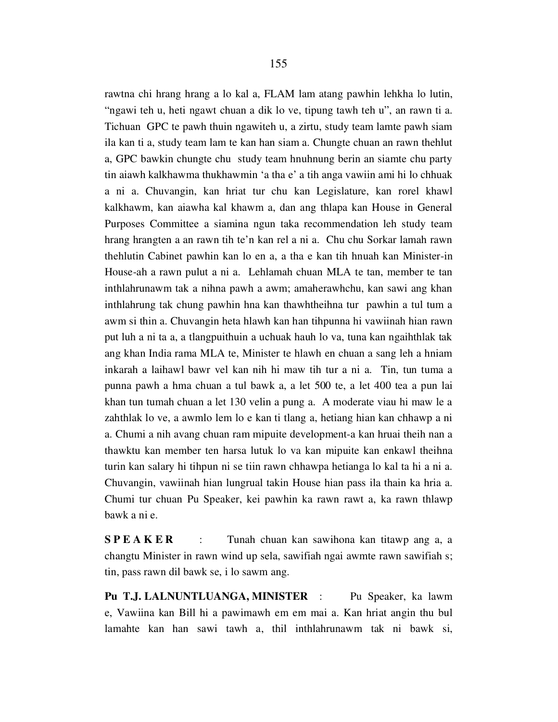rawtna chi hrang hrang a lo kal a, FLAM lam atang pawhin lehkha lo lutin, "ngawi teh u, heti ngawt chuan a dik lo ve, tipung tawh teh u", an rawn ti a. Tichuan GPC te pawh thuin ngawiteh u, a zirtu, study team lamte pawh siam ila kan ti a, study team lam te kan han siam a. Chungte chuan an rawn thehlut a, GPC bawkin chungte chu study team hnuhnung berin an siamte chu party tin aiawh kalkhawma thukhawmin 'a tha e' a tih anga vawiin ami hi lo chhuak a ni a. Chuvangin, kan hriat tur chu kan Legislature, kan rorel khawl kalkhawm, kan aiawha kal khawm a, dan ang thlapa kan House in General Purposes Committee a siamina ngun taka recommendation leh study team hrang hrangten a an rawn tih te'n kan rel a ni a. Chu chu Sorkar lamah rawn thehlutin Cabinet pawhin kan lo en a, a tha e kan tih hnuah kan Minister-in House-ah a rawn pulut a ni a. Lehlamah chuan MLA te tan, member te tan inthlahrunawm tak a nihna pawh a awm; amaherawhchu, kan sawi ang khan inthlahrung tak chung pawhin hna kan thawhtheihna tur pawhin a tul tum a awm si thin a. Chuvangin heta hlawh kan han tihpunna hi vawiinah hian rawn put luh a ni ta a, a tlangpuithuin a uchuak hauh lo va, tuna kan ngaihthlak tak ang khan India rama MLA te, Minister te hlawh en chuan a sang leh a hniam inkarah a laihawl bawr vel kan nih hi maw tih tur a ni a. Tin, tun tuma a punna pawh a hma chuan a tul bawk a, a let 500 te, a let 400 tea a pun lai khan tun tumah chuan a let 130 velin a pung a. A moderate viau hi maw le a zahthlak lo ve, a awmlo lem lo e kan ti tlang a, hetiang hian kan chhawp a ni a. Chumi a nih avang chuan ram mipuite development-a kan hruai theih nan a thawktu kan member ten harsa lutuk lo va kan mipuite kan enkawl theihna turin kan salary hi tihpun ni se tiin rawn chhawpa hetianga lo kal ta hi a ni a. Chuvangin, vawiinah hian lungrual takin House hian pass ila thain ka hria a. Chumi tur chuan Pu Speaker, kei pawhin ka rawn rawt a, ka rawn thlawp bawk a ni e.

S P E A K E R : Tunah chuan kan sawihona kan titawp ang a, a changtu Minister in rawn wind up sela, sawifiah ngai awmte rawn sawifiah s; tin, pass rawn dil bawk se, i lo sawm ang.

Pu T.J. LALNUNTLUANGA, MINISTER : Pu Speaker, ka lawm e, Vawiina kan Bill hi a pawimawh em em mai a. Kan hriat angin thu bul lamahte kan han sawi tawh a, thil inthlahrunawm tak ni bawk si,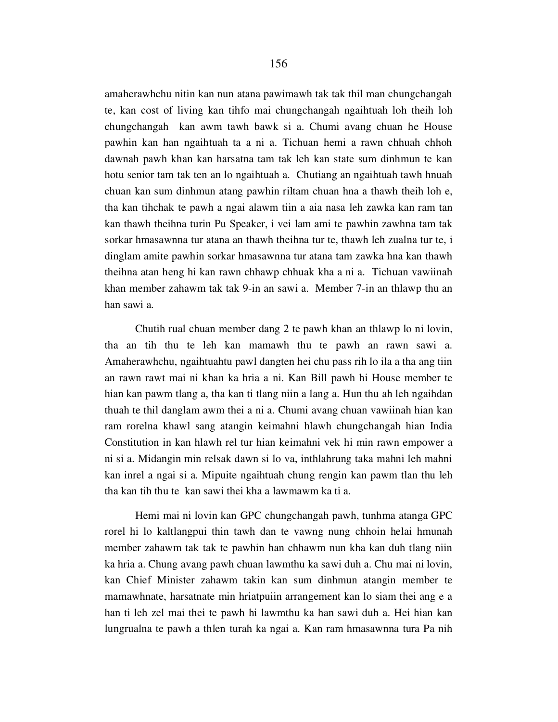amaherawhchu nitin kan nun atana pawimawh tak tak thil man chungchangah te, kan cost of living kan tihfo mai chungchangah ngaihtuah loh theih loh chungchangah kan awm tawh bawk si a. Chumi avang chuan he House pawhin kan han ngaihtuah ta a ni a. Tichuan hemi a rawn chhuah chhoh dawnah pawh khan kan harsatna tam tak leh kan state sum dinhmun te kan hotu senior tam tak ten an lo ngaihtuah a. Chutiang an ngaihtuah tawh hnuah chuan kan sum dinhmun atang pawhin riltam chuan hna a thawh theih loh e, tha kan tihchak te pawh a ngai alawm tiin a aia nasa leh zawka kan ram tan kan thawh theihna turin Pu Speaker, i vei lam ami te pawhin zawhna tam tak sorkar hmasawnna tur atana an thawh theihna tur te, thawh leh zualna tur te, i dinglam amite pawhin sorkar hmasawnna tur atana tam zawka hna kan thawh theihna atan heng hi kan rawn chhawp chhuak kha a ni a. Tichuan vawiinah khan member zahawm tak tak 9-in an sawi a. Member 7-in an thlawp thu an han sawi a.

 Chutih rual chuan member dang 2 te pawh khan an thlawp lo ni lovin, tha an tih thu te leh kan mamawh thu te pawh an rawn sawi a. Amaherawhchu, ngaihtuahtu pawl dangten hei chu pass rih lo ila a tha ang tiin an rawn rawt mai ni khan ka hria a ni. Kan Bill pawh hi House member te hian kan pawm tlang a, tha kan ti tlang niin a lang a. Hun thu ah leh ngaihdan thuah te thil danglam awm thei a ni a. Chumi avang chuan vawiinah hian kan ram rorelna khawl sang atangin keimahni hlawh chungchangah hian India Constitution in kan hlawh rel tur hian keimahni vek hi min rawn empower a ni si a. Midangin min relsak dawn si lo va, inthlahrung taka mahni leh mahni kan inrel a ngai si a. Mipuite ngaihtuah chung rengin kan pawm tlan thu leh tha kan tih thu te kan sawi thei kha a lawmawm ka ti a.

 Hemi mai ni lovin kan GPC chungchangah pawh, tunhma atanga GPC rorel hi lo kaltlangpui thin tawh dan te vawng nung chhoin helai hmunah member zahawm tak tak te pawhin han chhawm nun kha kan duh tlang niin ka hria a. Chung avang pawh chuan lawmthu ka sawi duh a. Chu mai ni lovin, kan Chief Minister zahawm takin kan sum dinhmun atangin member te mamawhnate, harsatnate min hriatpuiin arrangement kan lo siam thei ang e a han ti leh zel mai thei te pawh hi lawmthu ka han sawi duh a. Hei hian kan lungrualna te pawh a thlen turah ka ngai a. Kan ram hmasawnna tura Pa nih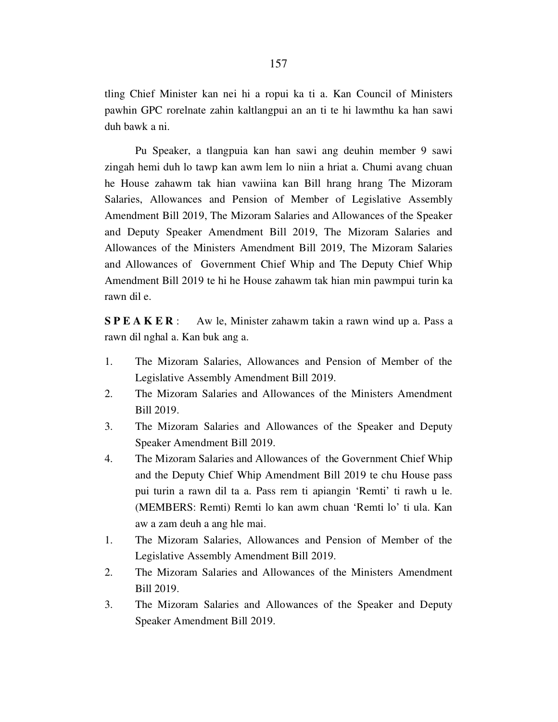tling Chief Minister kan nei hi a ropui ka ti a. Kan Council of Ministers pawhin GPC rorelnate zahin kaltlangpui an an ti te hi lawmthu ka han sawi duh bawk a ni.

 Pu Speaker, a tlangpuia kan han sawi ang deuhin member 9 sawi zingah hemi duh lo tawp kan awm lem lo niin a hriat a. Chumi avang chuan he House zahawm tak hian vawiina kan Bill hrang hrang The Mizoram Salaries, Allowances and Pension of Member of Legislative Assembly Amendment Bill 2019, The Mizoram Salaries and Allowances of the Speaker and Deputy Speaker Amendment Bill 2019, The Mizoram Salaries and Allowances of the Ministers Amendment Bill 2019, The Mizoram Salaries and Allowances of Government Chief Whip and The Deputy Chief Whip Amendment Bill 2019 te hi he House zahawm tak hian min pawmpui turin ka rawn dil e.

**SPEAKER**: Aw le, Minister zahawm takin a rawn wind up a. Pass a rawn dil nghal a. Kan buk ang a.

- 1. The Mizoram Salaries, Allowances and Pension of Member of the Legislative Assembly Amendment Bill 2019.
- 2. The Mizoram Salaries and Allowances of the Ministers Amendment Bill 2019.
- 3. The Mizoram Salaries and Allowances of the Speaker and Deputy Speaker Amendment Bill 2019.
- 4. The Mizoram Salaries and Allowances of the Government Chief Whip and the Deputy Chief Whip Amendment Bill 2019 te chu House pass pui turin a rawn dil ta a. Pass rem ti apiangin 'Remti' ti rawh u le. (MEMBERS: Remti) Remti lo kan awm chuan 'Remti lo' ti ula. Kan aw a zam deuh a ang hle mai.
- 1. The Mizoram Salaries, Allowances and Pension of Member of the Legislative Assembly Amendment Bill 2019.
- 2. The Mizoram Salaries and Allowances of the Ministers Amendment Bill 2019.
- 3. The Mizoram Salaries and Allowances of the Speaker and Deputy Speaker Amendment Bill 2019.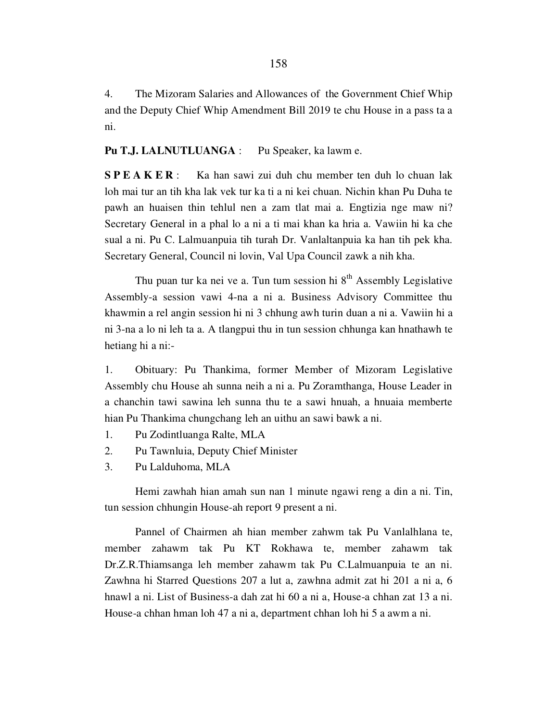4. The Mizoram Salaries and Allowances of the Government Chief Whip and the Deputy Chief Whip Amendment Bill 2019 te chu House in a pass ta a ni.

#### Pu T.J. LALNUTLUANGA : Pu Speaker, ka lawm e.

S P E A K E R : Ka han sawi zui duh chu member ten duh lo chuan lak loh mai tur an tih kha lak vek tur ka ti a ni kei chuan. Nichin khan Pu Duha te pawh an huaisen thin tehlul nen a zam tlat mai a. Engtizia nge maw ni? Secretary General in a phal lo a ni a ti mai khan ka hria a. Vawiin hi ka che sual a ni. Pu C. Lalmuanpuia tih turah Dr. Vanlaltanpuia ka han tih pek kha. Secretary General, Council ni lovin, Val Upa Council zawk a nih kha.

Thu puan tur ka nei ve a. Tun tum session hi  $8<sup>th</sup>$  Assembly Legislative Assembly-a session vawi 4-na a ni a. Business Advisory Committee thu khawmin a rel angin session hi ni 3 chhung awh turin duan a ni a. Vawiin hi a ni 3-na a lo ni leh ta a. A tlangpui thu in tun session chhunga kan hnathawh te hetiang hi a ni:-

1. Obituary: Pu Thankima, former Member of Mizoram Legislative Assembly chu House ah sunna neih a ni a. Pu Zoramthanga, House Leader in a chanchin tawi sawina leh sunna thu te a sawi hnuah, a hnuaia memberte hian Pu Thankima chungchang leh an uithu an sawi bawk a ni.

- 1. Pu Zodintluanga Ralte, MLA
- 2. Pu Tawnluia, Deputy Chief Minister
- 3. Pu Lalduhoma, MLA

 Hemi zawhah hian amah sun nan 1 minute ngawi reng a din a ni. Tin, tun session chhungin House-ah report 9 present a ni.

 Pannel of Chairmen ah hian member zahwm tak Pu Vanlalhlana te, member zahawm tak Pu KT Rokhawa te, member zahawm tak Dr.Z.R.Thiamsanga leh member zahawm tak Pu C.Lalmuanpuia te an ni. Zawhna hi Starred Questions 207 a lut a, zawhna admit zat hi 201 a ni a, 6 hnawl a ni. List of Business-a dah zat hi 60 a ni a, House-a chhan zat 13 a ni. House-a chhan hman loh 47 a ni a, department chhan loh hi 5 a awm a ni.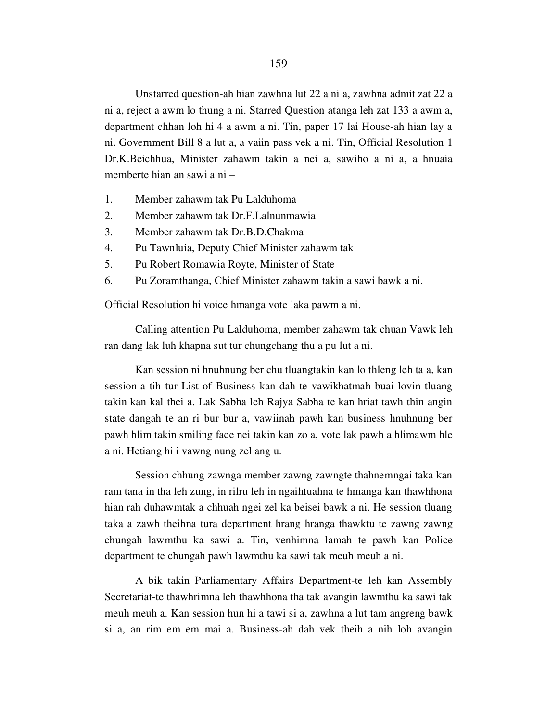Unstarred question-ah hian zawhna lut 22 a ni a, zawhna admit zat 22 a ni a, reject a awm lo thung a ni. Starred Question atanga leh zat 133 a awm a, department chhan loh hi 4 a awm a ni. Tin, paper 17 lai House-ah hian lay a ni. Government Bill 8 a lut a, a vaiin pass vek a ni. Tin, Official Resolution 1 Dr.K.Beichhua, Minister zahawm takin a nei a, sawiho a ni a, a hnuaia memberte hian an sawi a ni –

- 1. Member zahawm tak Pu Lalduhoma
- 2. Member zahawm tak Dr.F.Lalnunmawia
- 3. Member zahawm tak Dr.B.D.Chakma
- 4. Pu Tawnluia, Deputy Chief Minister zahawm tak
- 5. Pu Robert Romawia Royte, Minister of State
- 6. Pu Zoramthanga, Chief Minister zahawm takin a sawi bawk a ni.

Official Resolution hi voice hmanga vote laka pawm a ni.

 Calling attention Pu Lalduhoma, member zahawm tak chuan Vawk leh ran dang lak luh khapna sut tur chungchang thu a pu lut a ni.

 Kan session ni hnuhnung ber chu tluangtakin kan lo thleng leh ta a, kan session-a tih tur List of Business kan dah te vawikhatmah buai lovin tluang takin kan kal thei a. Lak Sabha leh Rajya Sabha te kan hriat tawh thin angin state dangah te an ri bur bur a, vawiinah pawh kan business hnuhnung ber pawh hlim takin smiling face nei takin kan zo a, vote lak pawh a hlimawm hle a ni. Hetiang hi i vawng nung zel ang u.

 Session chhung zawnga member zawng zawngte thahnemngai taka kan ram tana in tha leh zung, in rilru leh in ngaihtuahna te hmanga kan thawhhona hian rah duhawmtak a chhuah ngei zel ka beisei bawk a ni. He session tluang taka a zawh theihna tura department hrang hranga thawktu te zawng zawng chungah lawmthu ka sawi a. Tin, venhimna lamah te pawh kan Police department te chungah pawh lawmthu ka sawi tak meuh meuh a ni.

 A bik takin Parliamentary Affairs Department-te leh kan Assembly Secretariat-te thawhrimna leh thawhhona tha tak avangin lawmthu ka sawi tak meuh meuh a. Kan session hun hi a tawi si a, zawhna a lut tam angreng bawk si a, an rim em em mai a. Business-ah dah vek theih a nih loh avangin